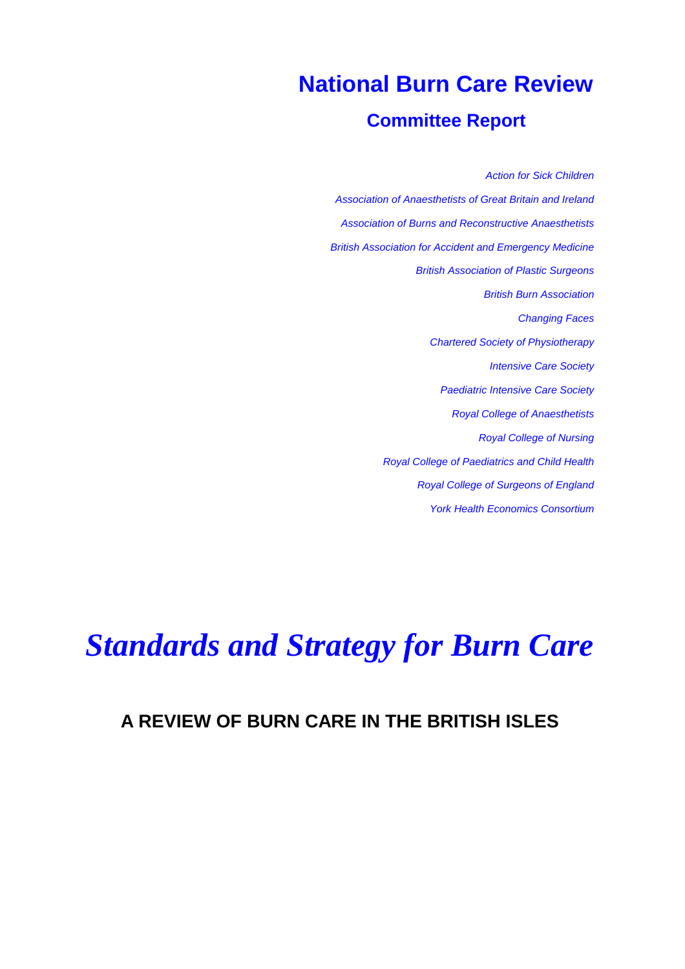# **National Burn Care Review Committee Report**

*Action for Sick Children Association of Anaesthetists of Great Britain and Ireland Association of Burns and Reconstructive Anaesthetists British Association for Accident and Emergency Medicine British Association of Plastic Surgeons British Burn Association Changing Faces Chartered Society of Physiotherapy Intensive Care Society Paediatric Intensive Care Society Royal College of Anaesthetists Royal College of Nursing Royal College of Paediatrics and Child Health Royal College of Surgeons of England York Health Economics Consortium* 

# *Standards and Strategy for Burn Care*

# **A REVIEW OF BURN CARE IN THE BRITISH ISLES**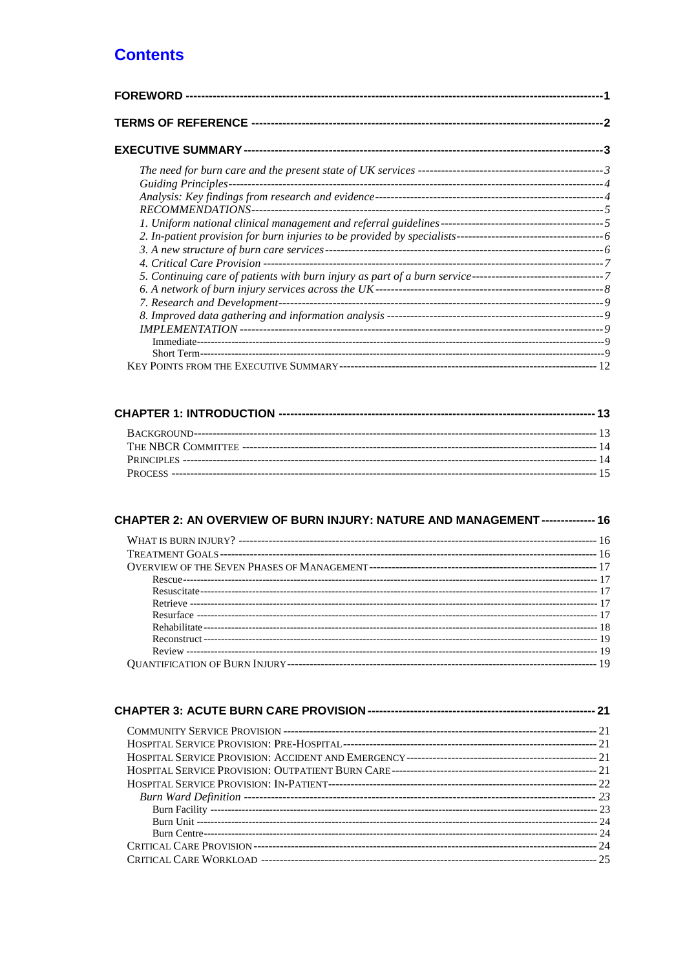# **Contents**

### CHAPTER 2: AN OVERVIEW OF BURN INJURY: NATURE AND MANAGEMENT -------------- 16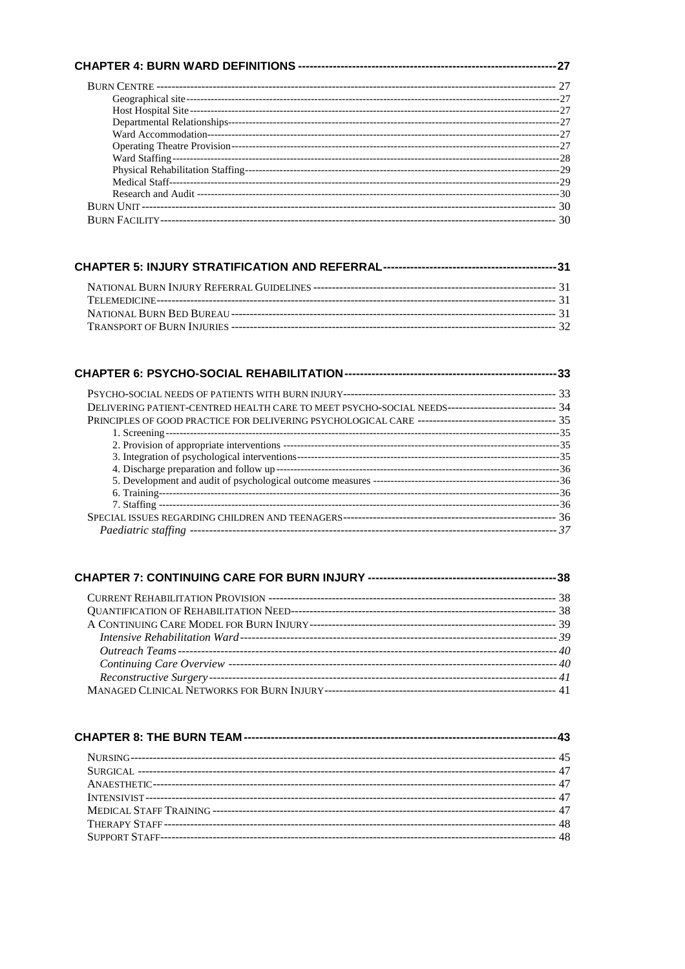| DELIVERING PATIENT-CENTRED HEALTH CARE TO MEET PSYCHO-SOCIAL NEEDS---------------------------- 34 |  |
|---------------------------------------------------------------------------------------------------|--|
|                                                                                                   |  |
|                                                                                                   |  |
|                                                                                                   |  |
|                                                                                                   |  |
|                                                                                                   |  |
|                                                                                                   |  |
|                                                                                                   |  |
|                                                                                                   |  |
|                                                                                                   |  |
|                                                                                                   |  |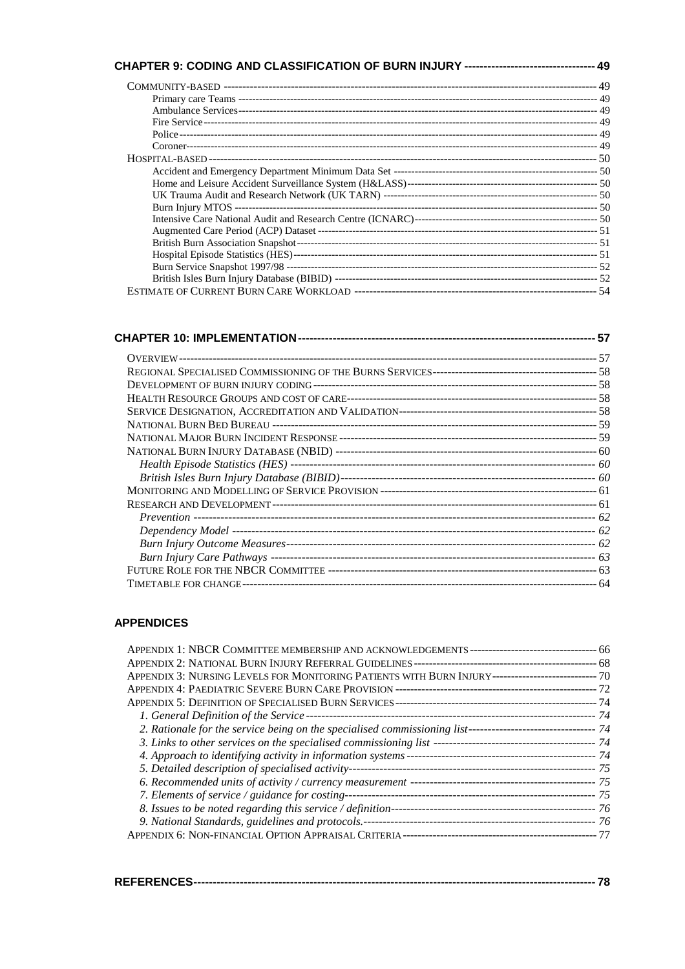#### **APPENDICES**

| APPENDIX 1: NBCR COMMITTEE MEMBERSHIP AND ACKNOWLEDGEMENTS---------------------------------- 66     |  |
|-----------------------------------------------------------------------------------------------------|--|
|                                                                                                     |  |
| APPENDIX 3: NURSING LEVELS FOR MONITORING PATIENTS WITH BURN INJURY----------------------------- 70 |  |
|                                                                                                     |  |
|                                                                                                     |  |
|                                                                                                     |  |
|                                                                                                     |  |
|                                                                                                     |  |
|                                                                                                     |  |
|                                                                                                     |  |
|                                                                                                     |  |
| 7. Elements of service / guidance for costing--                                                     |  |
|                                                                                                     |  |
|                                                                                                     |  |
|                                                                                                     |  |

**REFERENCES-------------------------------------------------------------------------------------------------------- 78**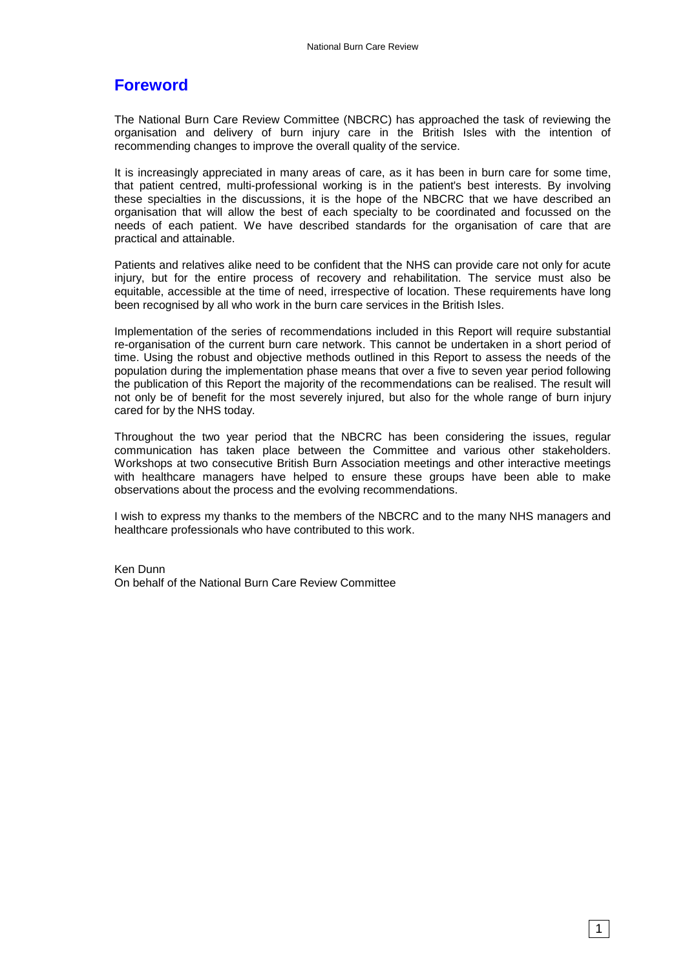# **Foreword**

The National Burn Care Review Committee (NBCRC) has approached the task of reviewing the organisation and delivery of burn injury care in the British Isles with the intention of recommending changes to improve the overall quality of the service.

It is increasingly appreciated in many areas of care, as it has been in burn care for some time, that patient centred, multi-professional working is in the patient's best interests. By involving these specialties in the discussions, it is the hope of the NBCRC that we have described an organisation that will allow the best of each specialty to be coordinated and focussed on the needs of each patient. We have described standards for the organisation of care that are practical and attainable.

Patients and relatives alike need to be confident that the NHS can provide care not only for acute injury, but for the entire process of recovery and rehabilitation. The service must also be equitable, accessible at the time of need, irrespective of location. These requirements have long been recognised by all who work in the burn care services in the British Isles.

Implementation of the series of recommendations included in this Report will require substantial re-organisation of the current burn care network. This cannot be undertaken in a short period of time. Using the robust and objective methods outlined in this Report to assess the needs of the population during the implementation phase means that over a five to seven year period following the publication of this Report the majority of the recommendations can be realised. The result will not only be of benefit for the most severely injured, but also for the whole range of burn injury cared for by the NHS today.

Throughout the two year period that the NBCRC has been considering the issues, regular communication has taken place between the Committee and various other stakeholders. Workshops at two consecutive British Burn Association meetings and other interactive meetings with healthcare managers have helped to ensure these groups have been able to make observations about the process and the evolving recommendations.

I wish to express my thanks to the members of the NBCRC and to the many NHS managers and healthcare professionals who have contributed to this work.

Ken Dunn On behalf of the National Burn Care Review Committee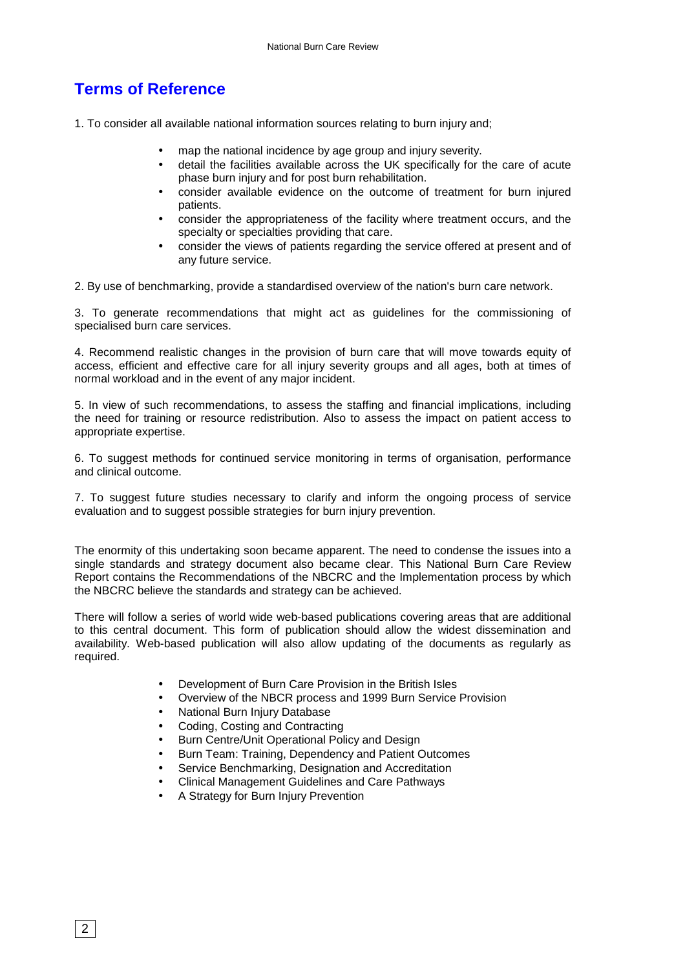# **Terms of Reference**

1. To consider all available national information sources relating to burn injury and;

- map the national incidence by age group and injury severity.
- detail the facilities available across the UK specifically for the care of acute phase burn injury and for post burn rehabilitation.
- consider available evidence on the outcome of treatment for burn injured patients.
- consider the appropriateness of the facility where treatment occurs, and the specialty or specialties providing that care.
- consider the views of patients regarding the service offered at present and of any future service.

2. By use of benchmarking, provide a standardised overview of the nation's burn care network.

3. To generate recommendations that might act as guidelines for the commissioning of specialised burn care services.

4. Recommend realistic changes in the provision of burn care that will move towards equity of access, efficient and effective care for all injury severity groups and all ages, both at times of normal workload and in the event of any major incident.

5. In view of such recommendations, to assess the staffing and financial implications, including the need for training or resource redistribution. Also to assess the impact on patient access to appropriate expertise.

6. To suggest methods for continued service monitoring in terms of organisation, performance and clinical outcome.

7. To suggest future studies necessary to clarify and inform the ongoing process of service evaluation and to suggest possible strategies for burn injury prevention.

The enormity of this undertaking soon became apparent. The need to condense the issues into a single standards and strategy document also became clear. This National Burn Care Review Report contains the Recommendations of the NBCRC and the Implementation process by which the NBCRC believe the standards and strategy can be achieved.

There will follow a series of world wide web-based publications covering areas that are additional to this central document. This form of publication should allow the widest dissemination and availability. Web-based publication will also allow updating of the documents as regularly as required.

- Development of Burn Care Provision in the British Isles
- Overview of the NBCR process and 1999 Burn Service Provision
- National Burn Injury Database
- Coding, Costing and Contracting
- Burn Centre/Unit Operational Policy and Design
- Burn Team: Training, Dependency and Patient Outcomes
- Service Benchmarking, Designation and Accreditation
- Clinical Management Guidelines and Care Pathways
- A Strategy for Burn Injury Prevention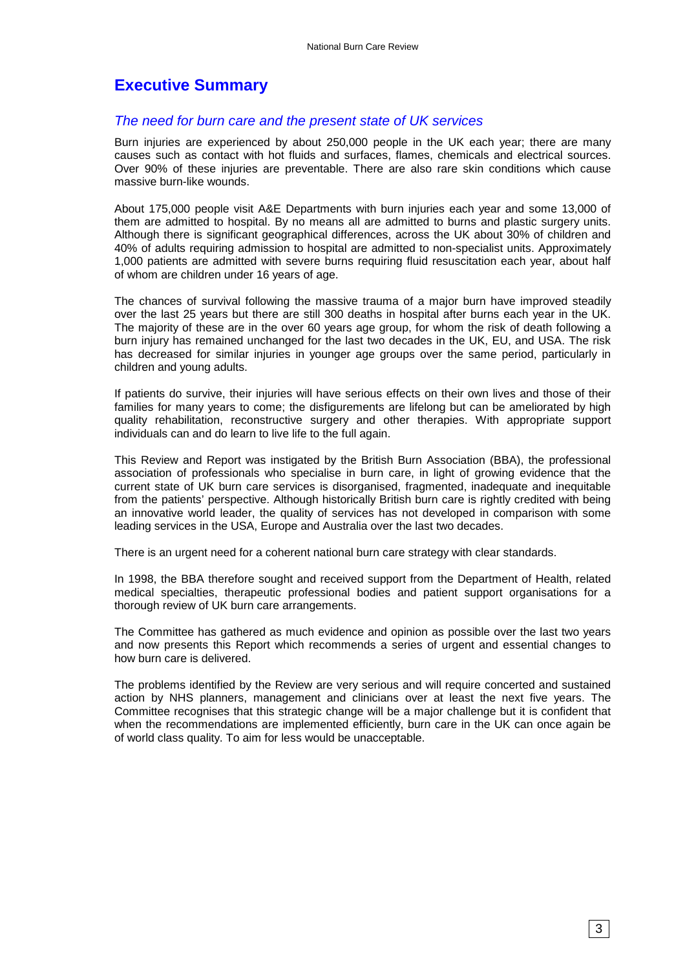# **Executive Summary**

#### *The need for burn care and the present state of UK services*

Burn injuries are experienced by about 250,000 people in the UK each year; there are many causes such as contact with hot fluids and surfaces, flames, chemicals and electrical sources. Over 90% of these injuries are preventable. There are also rare skin conditions which cause massive burn-like wounds.

About 175,000 people visit A&E Departments with burn injuries each year and some 13,000 of them are admitted to hospital. By no means all are admitted to burns and plastic surgery units. Although there is significant geographical differences, across the UK about 30% of children and 40% of adults requiring admission to hospital are admitted to non-specialist units. Approximately 1,000 patients are admitted with severe burns requiring fluid resuscitation each year, about half of whom are children under 16 years of age.

The chances of survival following the massive trauma of a major burn have improved steadily over the last 25 years but there are still 300 deaths in hospital after burns each year in the UK. The majority of these are in the over 60 years age group, for whom the risk of death following a burn injury has remained unchanged for the last two decades in the UK, EU, and USA. The risk has decreased for similar injuries in younger age groups over the same period, particularly in children and young adults.

If patients do survive, their injuries will have serious effects on their own lives and those of their families for many years to come; the disfigurements are lifelong but can be ameliorated by high quality rehabilitation, reconstructive surgery and other therapies. With appropriate support individuals can and do learn to live life to the full again.

This Review and Report was instigated by the British Burn Association (BBA), the professional association of professionals who specialise in burn care, in light of growing evidence that the current state of UK burn care services is disorganised, fragmented, inadequate and inequitable from the patients' perspective. Although historically British burn care is rightly credited with being an innovative world leader, the quality of services has not developed in comparison with some leading services in the USA, Europe and Australia over the last two decades.

There is an urgent need for a coherent national burn care strategy with clear standards.

In 1998, the BBA therefore sought and received support from the Department of Health, related medical specialties, therapeutic professional bodies and patient support organisations for a thorough review of UK burn care arrangements.

The Committee has gathered as much evidence and opinion as possible over the last two years and now presents this Report which recommends a series of urgent and essential changes to how burn care is delivered.

The problems identified by the Review are very serious and will require concerted and sustained action by NHS planners, management and clinicians over at least the next five years. The Committee recognises that this strategic change will be a major challenge but it is confident that when the recommendations are implemented efficiently, burn care in the UK can once again be of world class quality. To aim for less would be unacceptable.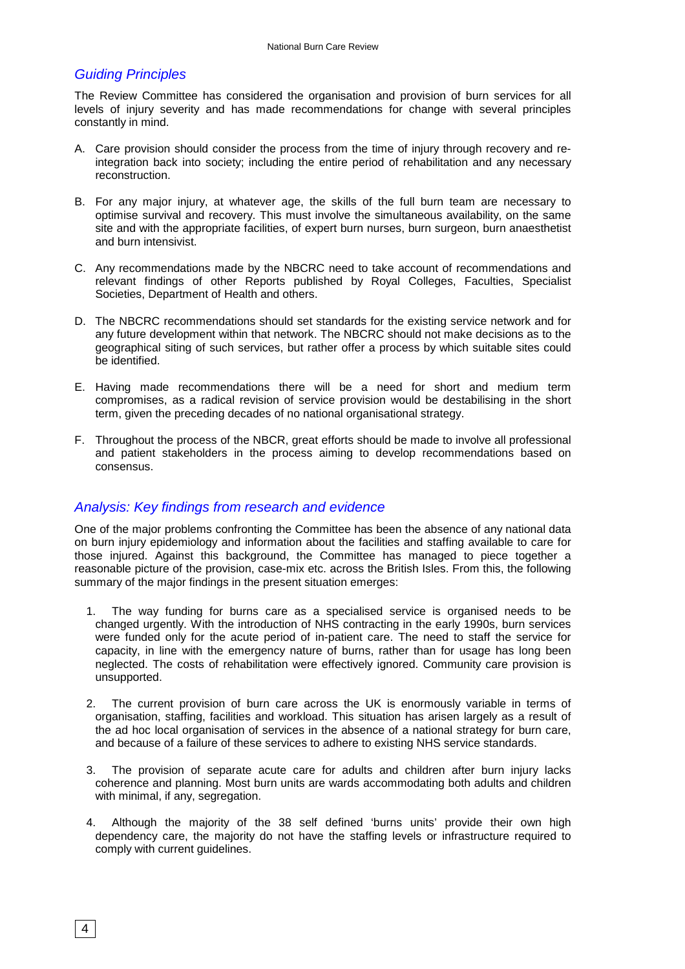### *Guiding Principles*

The Review Committee has considered the organisation and provision of burn services for all levels of injury severity and has made recommendations for change with several principles constantly in mind.

- A. Care provision should consider the process from the time of injury through recovery and reintegration back into society; including the entire period of rehabilitation and any necessary reconstruction.
- B. For any major injury, at whatever age, the skills of the full burn team are necessary to optimise survival and recovery. This must involve the simultaneous availability, on the same site and with the appropriate facilities, of expert burn nurses, burn surgeon, burn anaesthetist and burn intensivist.
- C. Any recommendations made by the NBCRC need to take account of recommendations and relevant findings of other Reports published by Royal Colleges, Faculties, Specialist Societies, Department of Health and others.
- D. The NBCRC recommendations should set standards for the existing service network and for any future development within that network. The NBCRC should not make decisions as to the geographical siting of such services, but rather offer a process by which suitable sites could be identified.
- E. Having made recommendations there will be a need for short and medium term compromises, as a radical revision of service provision would be destabilising in the short term, given the preceding decades of no national organisational strategy.
- F. Throughout the process of the NBCR, great efforts should be made to involve all professional and patient stakeholders in the process aiming to develop recommendations based on consensus.

#### *Analysis: Key findings from research and evidence*

One of the major problems confronting the Committee has been the absence of any national data on burn injury epidemiology and information about the facilities and staffing available to care for those injured. Against this background, the Committee has managed to piece together a reasonable picture of the provision, case-mix etc. across the British Isles. From this, the following summary of the major findings in the present situation emerges:

- 1. The way funding for burns care as a specialised service is organised needs to be changed urgently. With the introduction of NHS contracting in the early 1990s, burn services were funded only for the acute period of in-patient care. The need to staff the service for capacity, in line with the emergency nature of burns, rather than for usage has long been neglected. The costs of rehabilitation were effectively ignored. Community care provision is unsupported.
- 2. The current provision of burn care across the UK is enormously variable in terms of organisation, staffing, facilities and workload. This situation has arisen largely as a result of the ad hoc local organisation of services in the absence of a national strategy for burn care, and because of a failure of these services to adhere to existing NHS service standards.
- 3. The provision of separate acute care for adults and children after burn injury lacks coherence and planning. Most burn units are wards accommodating both adults and children with minimal, if any, segregation.
- 4. Although the majority of the 38 self defined 'burns units' provide their own high dependency care, the majority do not have the staffing levels or infrastructure required to comply with current guidelines.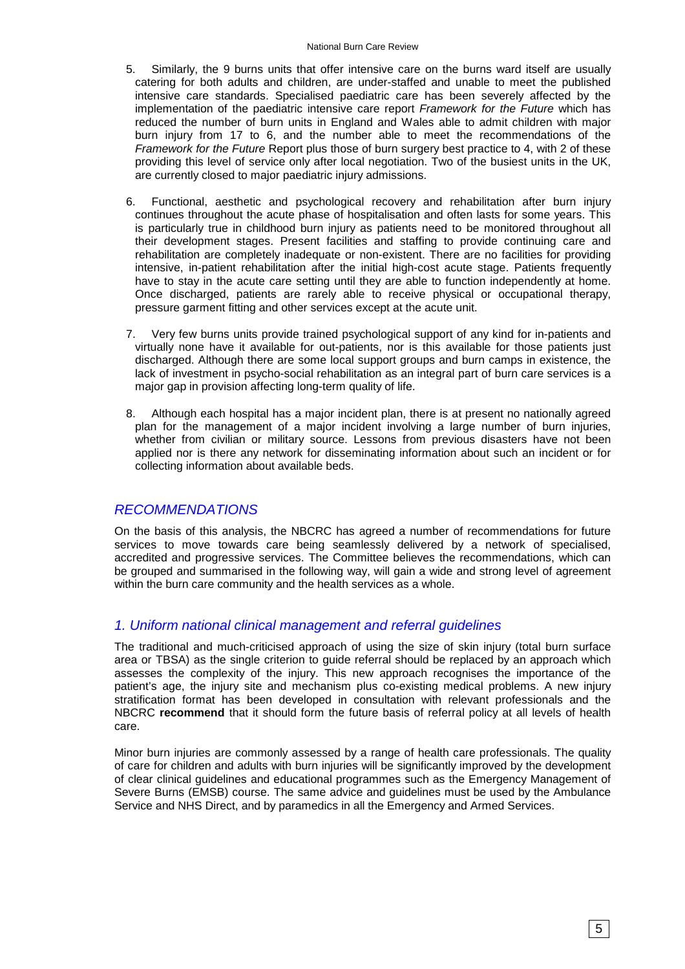- 5. Similarly, the 9 burns units that offer intensive care on the burns ward itself are usually catering for both adults and children, are under-staffed and unable to meet the published intensive care standards. Specialised paediatric care has been severely affected by the implementation of the paediatric intensive care report *Framework for the Future* which has reduced the number of burn units in England and Wales able to admit children with major burn injury from 17 to 6, and the number able to meet the recommendations of the *Framework for the Future* Report plus those of burn surgery best practice to 4, with 2 of these providing this level of service only after local negotiation. Two of the busiest units in the UK, are currently closed to major paediatric injury admissions.
- 6. Functional, aesthetic and psychological recovery and rehabilitation after burn injury continues throughout the acute phase of hospitalisation and often lasts for some years. This is particularly true in childhood burn injury as patients need to be monitored throughout all their development stages. Present facilities and staffing to provide continuing care and rehabilitation are completely inadequate or non-existent. There are no facilities for providing intensive, in-patient rehabilitation after the initial high-cost acute stage. Patients frequently have to stay in the acute care setting until they are able to function independently at home. Once discharged, patients are rarely able to receive physical or occupational therapy, pressure garment fitting and other services except at the acute unit.
- 7. Very few burns units provide trained psychological support of any kind for in-patients and virtually none have it available for out-patients, nor is this available for those patients just discharged. Although there are some local support groups and burn camps in existence, the lack of investment in psycho-social rehabilitation as an integral part of burn care services is a major gap in provision affecting long-term quality of life.
- 8. Although each hospital has a major incident plan, there is at present no nationally agreed plan for the management of a major incident involving a large number of burn injuries, whether from civilian or military source. Lessons from previous disasters have not been applied nor is there any network for disseminating information about such an incident or for collecting information about available beds.

### *RECOMMENDATIONS*

On the basis of this analysis, the NBCRC has agreed a number of recommendations for future services to move towards care being seamlessly delivered by a network of specialised, accredited and progressive services. The Committee believes the recommendations, which can be grouped and summarised in the following way, will gain a wide and strong level of agreement within the burn care community and the health services as a whole.

### *1. Uniform national clinical management and referral guidelines*

The traditional and much-criticised approach of using the size of skin injury (total burn surface area or TBSA) as the single criterion to guide referral should be replaced by an approach which assesses the complexity of the injury. This new approach recognises the importance of the patient's age, the injury site and mechanism plus co-existing medical problems. A new injury stratification format has been developed in consultation with relevant professionals and the NBCRC **recommend** that it should form the future basis of referral policy at all levels of health care.

Minor burn injuries are commonly assessed by a range of health care professionals. The quality of care for children and adults with burn injuries will be significantly improved by the development of clear clinical guidelines and educational programmes such as the Emergency Management of Severe Burns (EMSB) course. The same advice and guidelines must be used by the Ambulance Service and NHS Direct, and by paramedics in all the Emergency and Armed Services.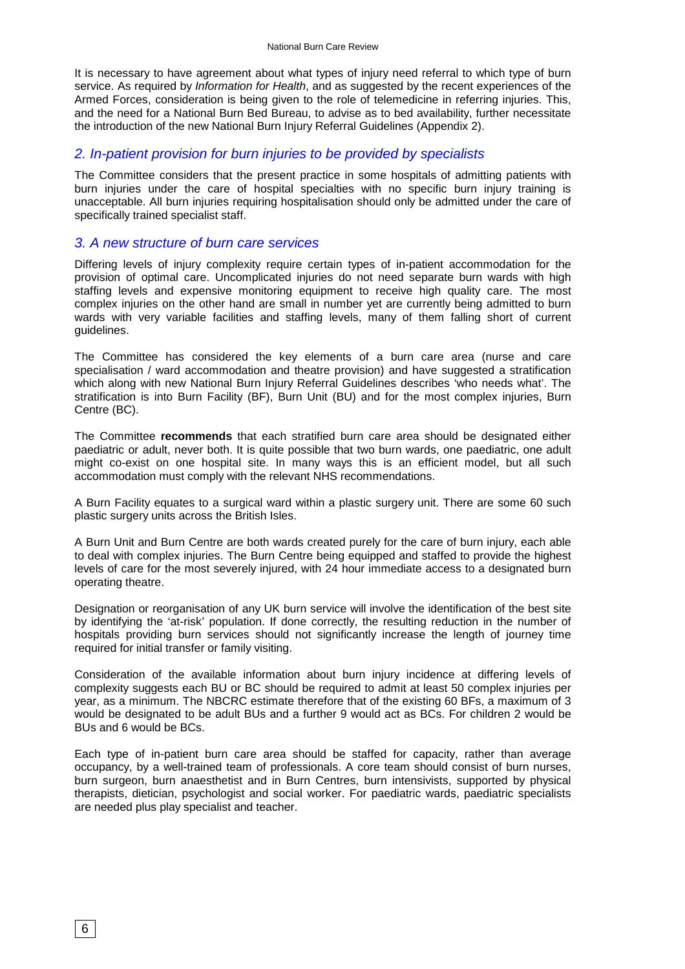It is necessary to have agreement about what types of injury need referral to which type of burn service. As required by *Information for Health*, and as suggested by the recent experiences of the Armed Forces, consideration is being given to the role of telemedicine in referring injuries. This, and the need for a National Burn Bed Bureau, to advise as to bed availability, further necessitate the introduction of the new National Burn Injury Referral Guidelines (Appendix 2).

### *2. In-patient provision for burn injuries to be provided by specialists*

The Committee considers that the present practice in some hospitals of admitting patients with burn injuries under the care of hospital specialties with no specific burn injury training is unacceptable. All burn injuries requiring hospitalisation should only be admitted under the care of specifically trained specialist staff.

#### *3. A new structure of burn care services*

Differing levels of injury complexity require certain types of in-patient accommodation for the provision of optimal care. Uncomplicated injuries do not need separate burn wards with high staffing levels and expensive monitoring equipment to receive high quality care. The most complex injuries on the other hand are small in number yet are currently being admitted to burn wards with very variable facilities and staffing levels, many of them falling short of current guidelines.

The Committee has considered the key elements of a burn care area (nurse and care specialisation / ward accommodation and theatre provision) and have suggested a stratification which along with new National Burn Injury Referral Guidelines describes 'who needs what'. The stratification is into Burn Facility (BF), Burn Unit (BU) and for the most complex injuries, Burn Centre (BC).

The Committee **recommends** that each stratified burn care area should be designated either paediatric or adult, never both. It is quite possible that two burn wards, one paediatric, one adult might co-exist on one hospital site. In many ways this is an efficient model, but all such accommodation must comply with the relevant NHS recommendations.

A Burn Facility equates to a surgical ward within a plastic surgery unit. There are some 60 such plastic surgery units across the British Isles.

A Burn Unit and Burn Centre are both wards created purely for the care of burn injury, each able to deal with complex injuries. The Burn Centre being equipped and staffed to provide the highest levels of care for the most severely injured, with 24 hour immediate access to a designated burn operating theatre.

Designation or reorganisation of any UK burn service will involve the identification of the best site by identifying the 'at-risk' population. If done correctly, the resulting reduction in the number of hospitals providing burn services should not significantly increase the length of journey time required for initial transfer or family visiting.

Consideration of the available information about burn injury incidence at differing levels of complexity suggests each BU or BC should be required to admit at least 50 complex injuries per year, as a minimum. The NBCRC estimate therefore that of the existing 60 BFs, a maximum of 3 would be designated to be adult BUs and a further 9 would act as BCs. For children 2 would be BUs and 6 would be BCs.

Each type of in-patient burn care area should be staffed for capacity, rather than average occupancy, by a well-trained team of professionals. A core team should consist of burn nurses, burn surgeon, burn anaesthetist and in Burn Centres, burn intensivists, supported by physical therapists, dietician, psychologist and social worker. For paediatric wards, paediatric specialists are needed plus play specialist and teacher.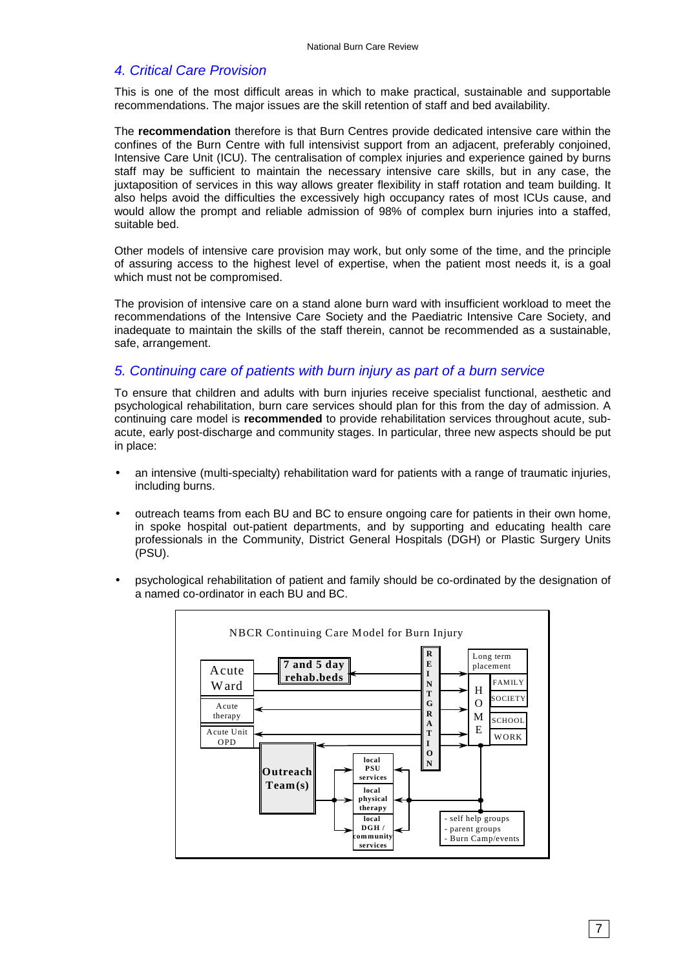### *4. Critical Care Provision*

This is one of the most difficult areas in which to make practical, sustainable and supportable recommendations. The major issues are the skill retention of staff and bed availability.

The **recommendation** therefore is that Burn Centres provide dedicated intensive care within the confines of the Burn Centre with full intensivist support from an adjacent, preferably conjoined, Intensive Care Unit (ICU). The centralisation of complex injuries and experience gained by burns staff may be sufficient to maintain the necessary intensive care skills, but in any case, the juxtaposition of services in this way allows greater flexibility in staff rotation and team building. It also helps avoid the difficulties the excessively high occupancy rates of most ICUs cause, and would allow the prompt and reliable admission of 98% of complex burn injuries into a staffed, suitable bed.

Other models of intensive care provision may work, but only some of the time, and the principle of assuring access to the highest level of expertise, when the patient most needs it, is a goal which must not be compromised.

The provision of intensive care on a stand alone burn ward with insufficient workload to meet the recommendations of the Intensive Care Society and the Paediatric Intensive Care Society, and inadequate to maintain the skills of the staff therein, cannot be recommended as a sustainable, safe, arrangement.

#### *5. Continuing care of patients with burn injury as part of a burn service*

To ensure that children and adults with burn injuries receive specialist functional, aesthetic and psychological rehabilitation, burn care services should plan for this from the day of admission. A continuing care model is **recommended** to provide rehabilitation services throughout acute, subacute, early post-discharge and community stages. In particular, three new aspects should be put in place:

- an intensive (multi-specialty) rehabilitation ward for patients with a range of traumatic injuries, including burns.
- outreach teams from each BU and BC to ensure ongoing care for patients in their own home, in spoke hospital out-patient departments, and by supporting and educating health care professionals in the Community, District General Hospitals (DGH) or Plastic Surgery Units (PSU).
- psychological rehabilitation of patient and family should be co-ordinated by the designation of a named co-ordinator in each BU and BC.

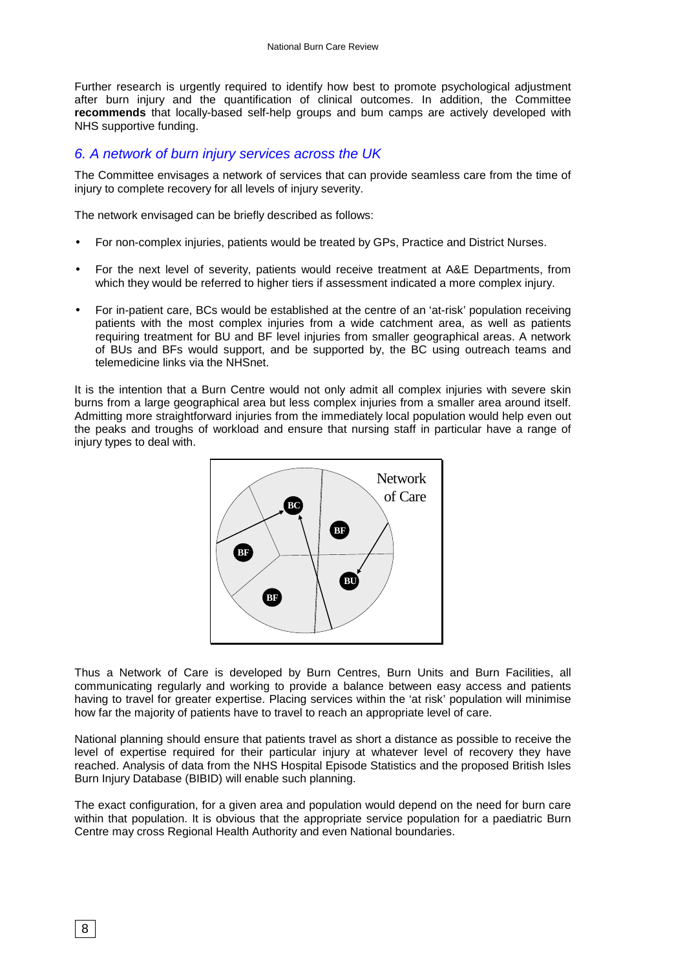Further research is urgently required to identify how best to promote psychological adjustment after burn injury and the quantification of clinical outcomes. In addition, the Committee **recommends** that locally-based self-help groups and bum camps are actively developed with NHS supportive funding.

### *6. A network of burn injury services across the UK*

The Committee envisages a network of services that can provide seamless care from the time of injury to complete recovery for all levels of injury severity.

The network envisaged can be briefly described as follows:

- For non-complex injuries, patients would be treated by GPs, Practice and District Nurses.
- For the next level of severity, patients would receive treatment at A&E Departments, from which they would be referred to higher tiers if assessment indicated a more complex injury.
- For in-patient care, BCs would be established at the centre of an 'at-risk' population receiving patients with the most complex injuries from a wide catchment area, as well as patients requiring treatment for BU and BF level injuries from smaller geographical areas. A network of BUs and BFs would support, and be supported by, the BC using outreach teams and telemedicine links via the NHSnet.

It is the intention that a Burn Centre would not only admit all complex injuries with severe skin burns from a large geographical area but less complex injuries from a smaller area around itself. Admitting more straightforward injuries from the immediately local population would help even out the peaks and troughs of workload and ensure that nursing staff in particular have a range of injury types to deal with.



Thus a Network of Care is developed by Burn Centres, Burn Units and Burn Facilities, all communicating regularly and working to provide a balance between easy access and patients having to travel for greater expertise. Placing services within the 'at risk' population will minimise how far the majority of patients have to travel to reach an appropriate level of care.

National planning should ensure that patients travel as short a distance as possible to receive the level of expertise required for their particular injury at whatever level of recovery they have reached. Analysis of data from the NHS Hospital Episode Statistics and the proposed British Isles Burn Injury Database (BIBID) will enable such planning.

The exact configuration, for a given area and population would depend on the need for burn care within that population. It is obvious that the appropriate service population for a paediatric Burn Centre may cross Regional Health Authority and even National boundaries.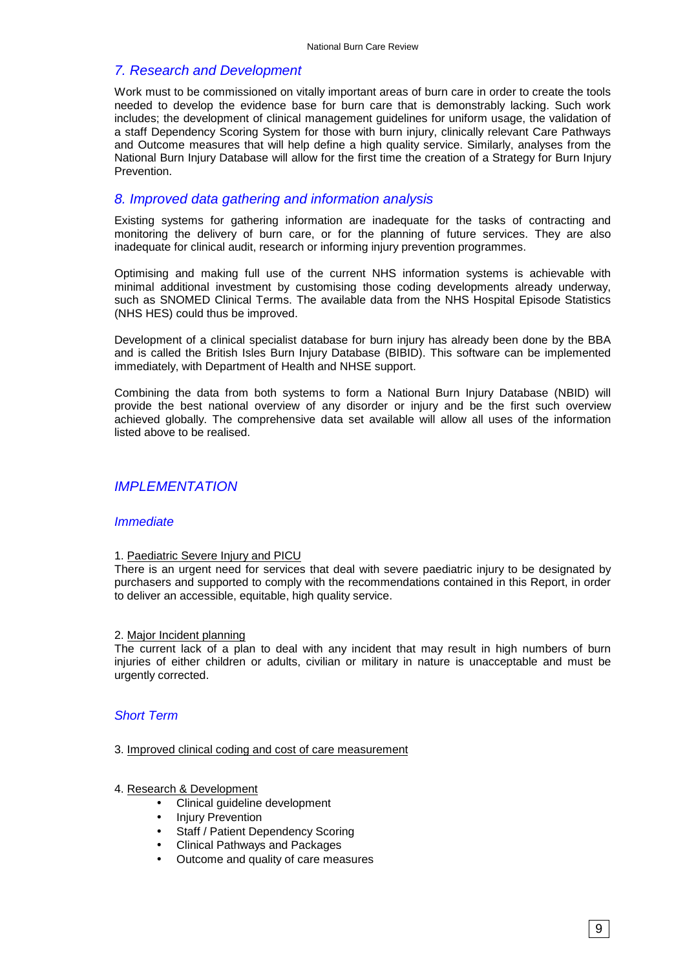### *7. Research and Development*

Work must to be commissioned on vitally important areas of burn care in order to create the tools needed to develop the evidence base for burn care that is demonstrably lacking. Such work includes; the development of clinical management guidelines for uniform usage, the validation of a staff Dependency Scoring System for those with burn injury, clinically relevant Care Pathways and Outcome measures that will help define a high quality service. Similarly, analyses from the National Burn Injury Database will allow for the first time the creation of a Strategy for Burn Injury Prevention.

#### *8. Improved data gathering and information analysis*

Existing systems for gathering information are inadequate for the tasks of contracting and monitoring the delivery of burn care, or for the planning of future services. They are also inadequate for clinical audit, research or informing injury prevention programmes.

Optimising and making full use of the current NHS information systems is achievable with minimal additional investment by customising those coding developments already underway, such as SNOMED Clinical Terms. The available data from the NHS Hospital Episode Statistics (NHS HES) could thus be improved.

Development of a clinical specialist database for burn injury has already been done by the BBA and is called the British Isles Burn Injury Database (BIBID). This software can be implemented immediately, with Department of Health and NHSE support.

Combining the data from both systems to form a National Burn Injury Database (NBID) will provide the best national overview of any disorder or injury and be the first such overview achieved globally. The comprehensive data set available will allow all uses of the information listed above to be realised.

### **IMPI FMENTATION**

#### *Immediate*

#### 1. Paediatric Severe Injury and PICU

There is an urgent need for services that deal with severe paediatric injury to be designated by purchasers and supported to comply with the recommendations contained in this Report, in order to deliver an accessible, equitable, high quality service.

#### 2. Major Incident planning

The current lack of a plan to deal with any incident that may result in high numbers of burn injuries of either children or adults, civilian or military in nature is unacceptable and must be urgently corrected.

#### *Short Term*

#### 3. Improved clinical coding and cost of care measurement

#### 4. Research & Development

- Clinical guideline development
- Injury Prevention
- **Staff / Patient Dependency Scoring**
- Clinical Pathways and Packages
- Outcome and quality of care measures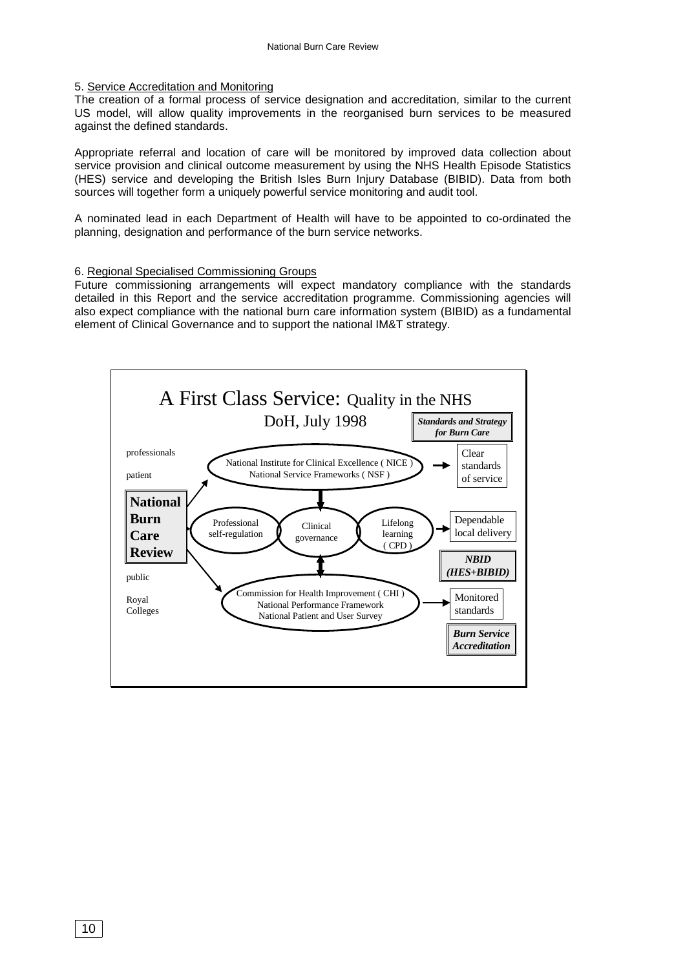#### 5. Service Accreditation and Monitoring

The creation of a formal process of service designation and accreditation, similar to the current US model, will allow quality improvements in the reorganised burn services to be measured against the defined standards.

Appropriate referral and location of care will be monitored by improved data collection about service provision and clinical outcome measurement by using the NHS Health Episode Statistics (HES) service and developing the British Isles Burn Injury Database (BIBID). Data from both sources will together form a uniquely powerful service monitoring and audit tool.

A nominated lead in each Department of Health will have to be appointed to co-ordinated the planning, designation and performance of the burn service networks.

#### 6. Regional Specialised Commissioning Groups

Future commissioning arrangements will expect mandatory compliance with the standards detailed in this Report and the service accreditation programme. Commissioning agencies will also expect compliance with the national burn care information system (BIBID) as a fundamental element of Clinical Governance and to support the national IM&T strategy.

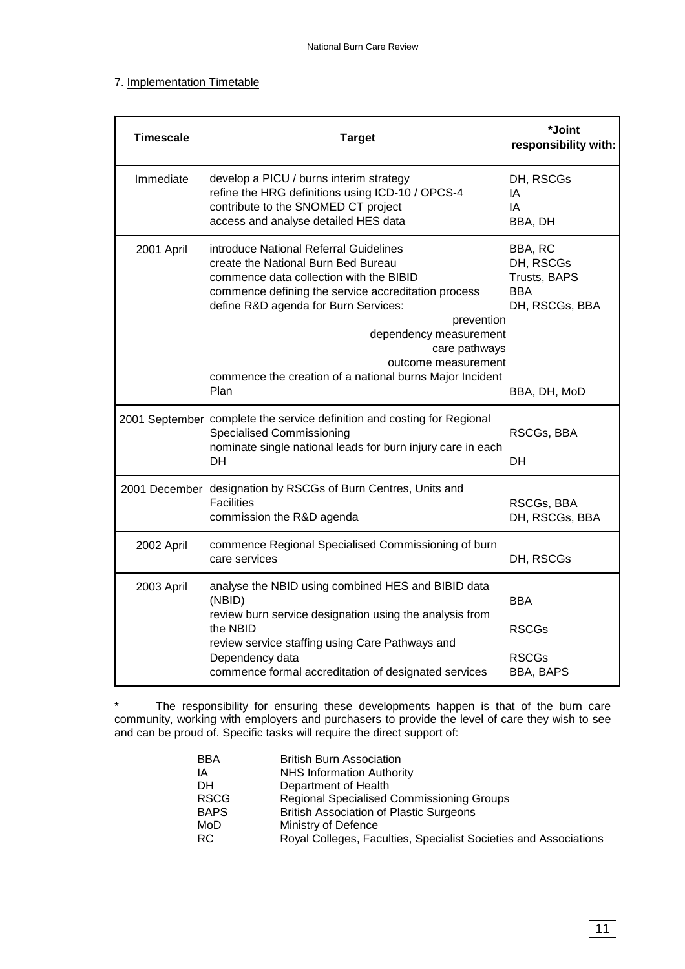#### 7. Implementation Timetable

| <b>Timescale</b> | <b>Target</b>                                                                                                                                                                                                                                                                                                                                                       | *Joint<br>responsibility with:                                       |
|------------------|---------------------------------------------------------------------------------------------------------------------------------------------------------------------------------------------------------------------------------------------------------------------------------------------------------------------------------------------------------------------|----------------------------------------------------------------------|
| Immediate        | develop a PICU / burns interim strategy<br>refine the HRG definitions using ICD-10 / OPCS-4<br>contribute to the SNOMED CT project<br>access and analyse detailed HES data                                                                                                                                                                                          | DH, RSCGs<br>ΙA<br>IA<br>BBA, DH                                     |
| 2001 April       | introduce National Referral Guidelines<br>create the National Burn Bed Bureau<br>commence data collection with the BIBID<br>commence defining the service accreditation process<br>define R&D agenda for Burn Services:<br>prevention<br>dependency measurement<br>care pathways<br>outcome measurement<br>commence the creation of a national burns Major Incident | BBA, RC<br>DH, RSCGs<br>Trusts, BAPS<br><b>BBA</b><br>DH, RSCGs, BBA |
|                  | Plan                                                                                                                                                                                                                                                                                                                                                                | BBA, DH, MoD                                                         |
|                  | 2001 September complete the service definition and costing for Regional<br><b>Specialised Commissioning</b><br>nominate single national leads for burn injury care in each<br>DH                                                                                                                                                                                    | RSCGs, BBA<br>DH                                                     |
|                  | 2001 December designation by RSCGs of Burn Centres, Units and<br><b>Facilities</b><br>commission the R&D agenda                                                                                                                                                                                                                                                     | RSCGs, BBA<br>DH, RSCGs, BBA                                         |
| 2002 April       | commence Regional Specialised Commissioning of burn<br>care services                                                                                                                                                                                                                                                                                                | DH, RSCGs                                                            |
| 2003 April       | analyse the NBID using combined HES and BIBID data<br>(NBID)<br>review burn service designation using the analysis from<br>the NBID<br>review service staffing using Care Pathways and<br>Dependency data<br>commence formal accreditation of designated services                                                                                                   | <b>BBA</b><br><b>RSCGs</b><br><b>RSCGs</b><br><b>BBA, BAPS</b>       |

\* The responsibility for ensuring these developments happen is that of the burn care community, working with employers and purchasers to provide the level of care they wish to see and can be proud of. Specific tasks will require the direct support of:

| <b>BBA</b>  | <b>British Burn Association</b>                                  |
|-------------|------------------------------------------------------------------|
| ΙA          | <b>NHS Information Authority</b>                                 |
| DH.         | Department of Health                                             |
| <b>RSCG</b> | <b>Regional Specialised Commissioning Groups</b>                 |
| <b>BAPS</b> | <b>British Association of Plastic Surgeons</b>                   |
| MoD         | Ministry of Defence                                              |
| RC.         | Royal Colleges, Faculties, Specialist Societies and Associations |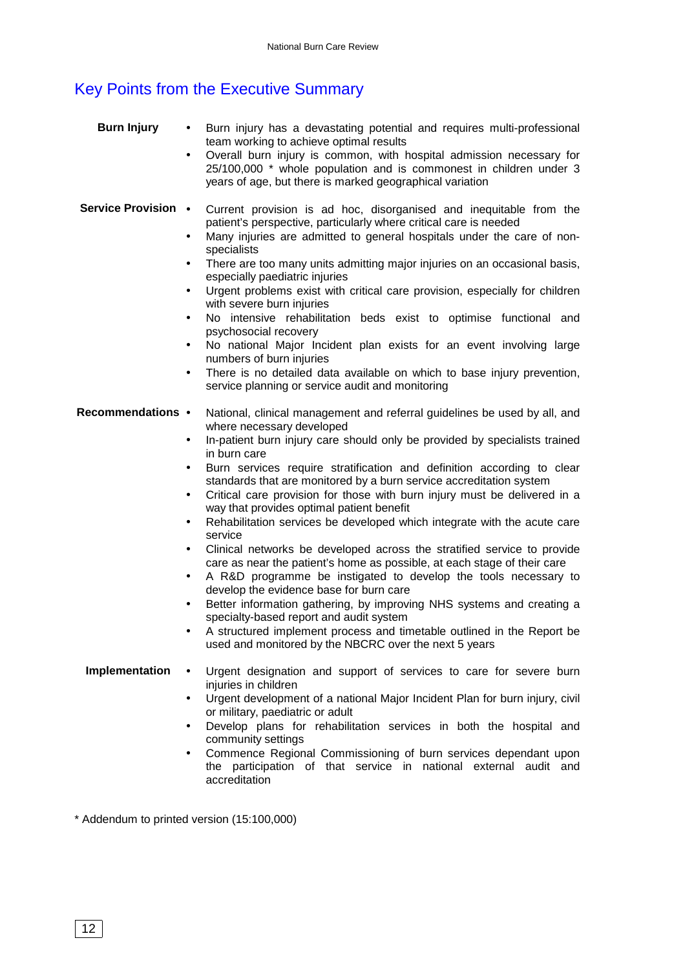# Key Points from the Executive Summary

| <b>Burn Injury</b>       | Burn injury has a devastating potential and requires multi-professional<br>$\bullet$<br>team working to achieve optimal results<br>Overall burn injury is common, with hospital admission necessary for<br>$\bullet$<br>25/100,000 * whole population and is commonest in children under 3<br>years of age, but there is marked geographical variation                                                                                                                                                                                                                                                                                                                                                                                                                                                                                                                                                                                                                                                                                                                                                                                                                        |
|--------------------------|-------------------------------------------------------------------------------------------------------------------------------------------------------------------------------------------------------------------------------------------------------------------------------------------------------------------------------------------------------------------------------------------------------------------------------------------------------------------------------------------------------------------------------------------------------------------------------------------------------------------------------------------------------------------------------------------------------------------------------------------------------------------------------------------------------------------------------------------------------------------------------------------------------------------------------------------------------------------------------------------------------------------------------------------------------------------------------------------------------------------------------------------------------------------------------|
| Service Provision .      | Current provision is ad hoc, disorganised and inequitable from the<br>patient's perspective, particularly where critical care is needed<br>Many injuries are admitted to general hospitals under the care of non-<br>$\bullet$<br>specialists<br>There are too many units admitting major injuries on an occasional basis,<br>$\bullet$<br>especially paediatric injuries<br>Urgent problems exist with critical care provision, especially for children<br>$\bullet$<br>with severe burn injuries<br>No intensive rehabilitation beds exist to optimise functional and<br>$\bullet$<br>psychosocial recovery<br>No national Major Incident plan exists for an event involving large<br>$\bullet$<br>numbers of burn injuries<br>There is no detailed data available on which to base injury prevention,<br>service planning or service audit and monitoring                                                                                                                                                                                                                                                                                                                  |
| <b>Recommendations •</b> | National, clinical management and referral guidelines be used by all, and<br>where necessary developed<br>In-patient burn injury care should only be provided by specialists trained<br>$\bullet$<br>in burn care<br>Burn services require stratification and definition according to clear<br>٠<br>standards that are monitored by a burn service accreditation system<br>Critical care provision for those with burn injury must be delivered in a<br>$\bullet$<br>way that provides optimal patient benefit<br>Rehabilitation services be developed which integrate with the acute care<br>$\bullet$<br>service<br>Clinical networks be developed across the stratified service to provide<br>$\bullet$<br>care as near the patient's home as possible, at each stage of their care<br>A R&D programme be instigated to develop the tools necessary to<br>$\bullet$<br>develop the evidence base for burn care<br>Better information gathering, by improving NHS systems and creating a<br>٠<br>specialty-based report and audit system<br>A structured implement process and timetable outlined in the Report be<br>used and monitored by the NBCRC over the next 5 years |
| Implementation           | Urgent designation and support of services to care for severe burn<br>$\bullet$<br>injuries in children<br>Urgent development of a national Major Incident Plan for burn injury, civil<br>$\bullet$<br>or military, paediatric or adult<br>Develop plans for rehabilitation services in both the hospital and<br>$\bullet$<br>community settings<br>Commence Regional Commissioning of burn services dependant upon<br>$\bullet$<br>the participation of that service in national external audit and<br>accreditation                                                                                                                                                                                                                                                                                                                                                                                                                                                                                                                                                                                                                                                         |

\* Addendum to printed version (15:100,000)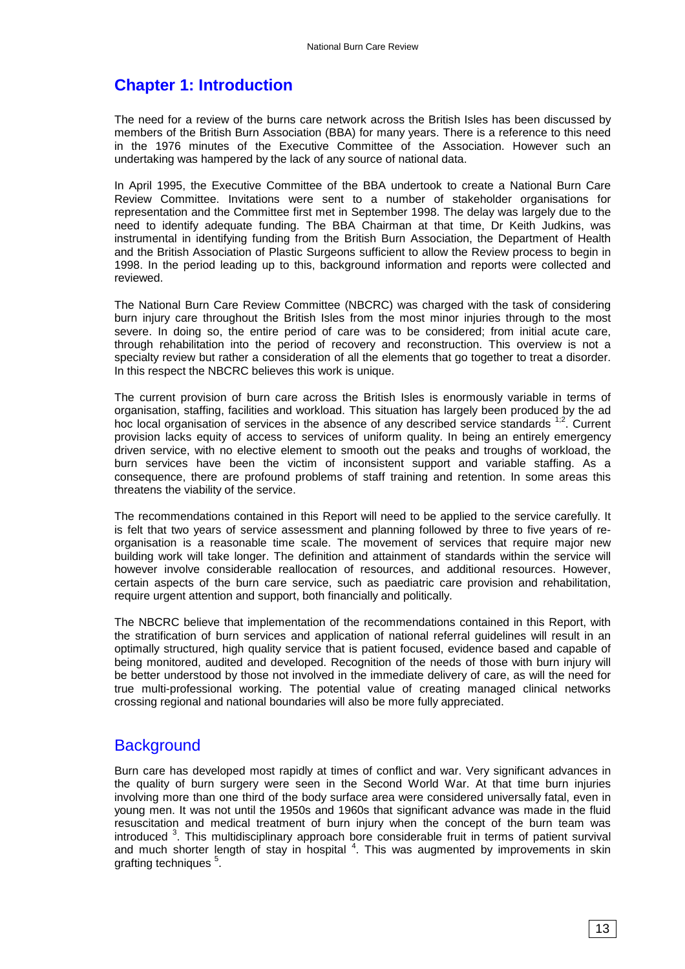# **Chapter 1: Introduction**

The need for a review of the burns care network across the British Isles has been discussed by members of the British Burn Association (BBA) for many years. There is a reference to this need in the 1976 minutes of the Executive Committee of the Association. However such an undertaking was hampered by the lack of any source of national data.

In April 1995, the Executive Committee of the BBA undertook to create a National Burn Care Review Committee. Invitations were sent to a number of stakeholder organisations for representation and the Committee first met in September 1998. The delay was largely due to the need to identify adequate funding. The BBA Chairman at that time, Dr Keith Judkins, was instrumental in identifying funding from the British Burn Association, the Department of Health and the British Association of Plastic Surgeons sufficient to allow the Review process to begin in 1998. In the period leading up to this, background information and reports were collected and reviewed.

The National Burn Care Review Committee (NBCRC) was charged with the task of considering burn injury care throughout the British Isles from the most minor injuries through to the most severe. In doing so, the entire period of care was to be considered; from initial acute care, through rehabilitation into the period of recovery and reconstruction. This overview is not a specialty review but rather a consideration of all the elements that go together to treat a disorder. In this respect the NBCRC believes this work is unique.

The current provision of burn care across the British Isles is enormously variable in terms of organisation, staffing, facilities and workload. This situation has largely been produced by the ad hoc local organisation of services in the absence of any described service standards  $1/2$ . Current provision lacks equity of access to services of uniform quality. In being an entirely emergency driven service, with no elective element to smooth out the peaks and troughs of workload, the burn services have been the victim of inconsistent support and variable staffing. As a consequence, there are profound problems of staff training and retention. In some areas this threatens the viability of the service.

The recommendations contained in this Report will need to be applied to the service carefully. It is felt that two years of service assessment and planning followed by three to five years of reorganisation is a reasonable time scale. The movement of services that require major new building work will take longer. The definition and attainment of standards within the service will however involve considerable reallocation of resources, and additional resources. However, certain aspects of the burn care service, such as paediatric care provision and rehabilitation, require urgent attention and support, both financially and politically.

The NBCRC believe that implementation of the recommendations contained in this Report, with the stratification of burn services and application of national referral guidelines will result in an optimally structured, high quality service that is patient focused, evidence based and capable of being monitored, audited and developed. Recognition of the needs of those with burn injury will be better understood by those not involved in the immediate delivery of care, as will the need for true multi-professional working. The potential value of creating managed clinical networks crossing regional and national boundaries will also be more fully appreciated.

### **Background**

Burn care has developed most rapidly at times of conflict and war. Very significant advances in the quality of burn surgery were seen in the Second World War. At that time burn injuries involving more than one third of the body surface area were considered universally fatal, even in young men. It was not until the 1950s and 1960s that significant advance was made in the fluid resuscitation and medical treatment of burn injury when the concept of the burn team was introduced <sup>3</sup>. This multidisciplinary approach bore considerable fruit in terms of patient survival and much shorter length of stay in hospital <sup>4</sup>. This was augmented by improvements in skin grafting techniques<sup>5</sup>.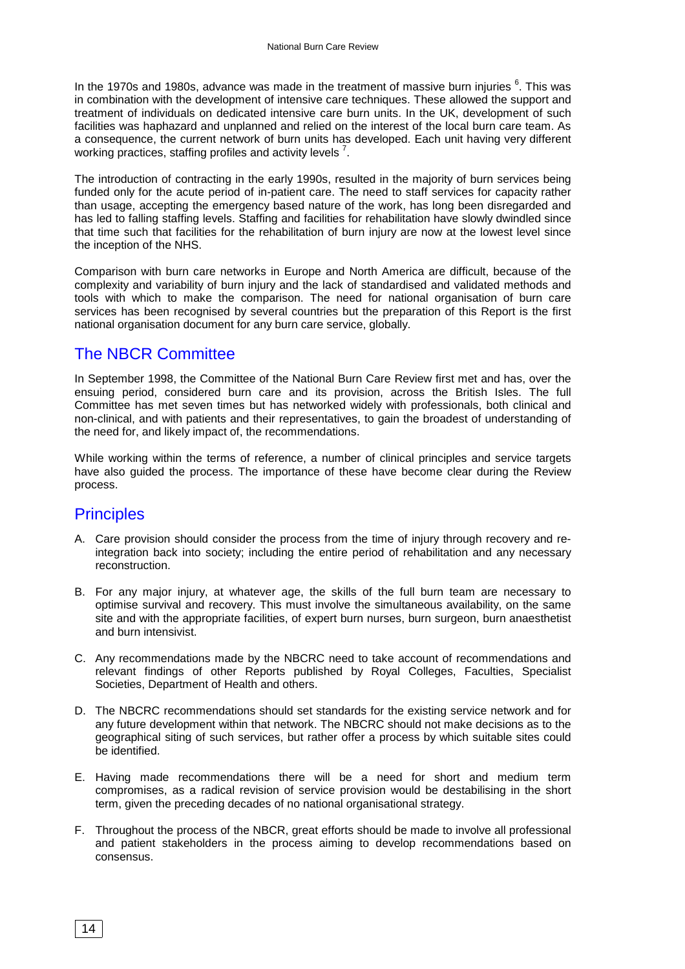In the 1970s and 1980s, advance was made in the treatment of massive burn injuries  $6$ . This was in combination with the development of intensive care techniques. These allowed the support and treatment of individuals on dedicated intensive care burn units. In the UK, development of such facilities was haphazard and unplanned and relied on the interest of the local burn care team. As a consequence, the current network of burn units has developed. Each unit having very different working practices, staffing profiles and activity levels  $<sup>7</sup>$ .</sup>

The introduction of contracting in the early 1990s, resulted in the majority of burn services being funded only for the acute period of in-patient care. The need to staff services for capacity rather than usage, accepting the emergency based nature of the work, has long been disregarded and has led to falling staffing levels. Staffing and facilities for rehabilitation have slowly dwindled since that time such that facilities for the rehabilitation of burn injury are now at the lowest level since the inception of the NHS.

Comparison with burn care networks in Europe and North America are difficult, because of the complexity and variability of burn injury and the lack of standardised and validated methods and tools with which to make the comparison. The need for national organisation of burn care services has been recognised by several countries but the preparation of this Report is the first national organisation document for any burn care service, globally.

# The NBCR Committee

In September 1998, the Committee of the National Burn Care Review first met and has, over the ensuing period, considered burn care and its provision, across the British Isles. The full Committee has met seven times but has networked widely with professionals, both clinical and non-clinical, and with patients and their representatives, to gain the broadest of understanding of the need for, and likely impact of, the recommendations.

While working within the terms of reference, a number of clinical principles and service targets have also guided the process. The importance of these have become clear during the Review process.

# **Principles**

- A. Care provision should consider the process from the time of injury through recovery and reintegration back into society; including the entire period of rehabilitation and any necessary reconstruction.
- B. For any major injury, at whatever age, the skills of the full burn team are necessary to optimise survival and recovery. This must involve the simultaneous availability, on the same site and with the appropriate facilities, of expert burn nurses, burn surgeon, burn anaesthetist and burn intensivist.
- C. Any recommendations made by the NBCRC need to take account of recommendations and relevant findings of other Reports published by Royal Colleges, Faculties, Specialist Societies, Department of Health and others.
- D. The NBCRC recommendations should set standards for the existing service network and for any future development within that network. The NBCRC should not make decisions as to the geographical siting of such services, but rather offer a process by which suitable sites could be identified.
- E. Having made recommendations there will be a need for short and medium term compromises, as a radical revision of service provision would be destabilising in the short term, given the preceding decades of no national organisational strategy.
- F. Throughout the process of the NBCR, great efforts should be made to involve all professional and patient stakeholders in the process aiming to develop recommendations based on consensus.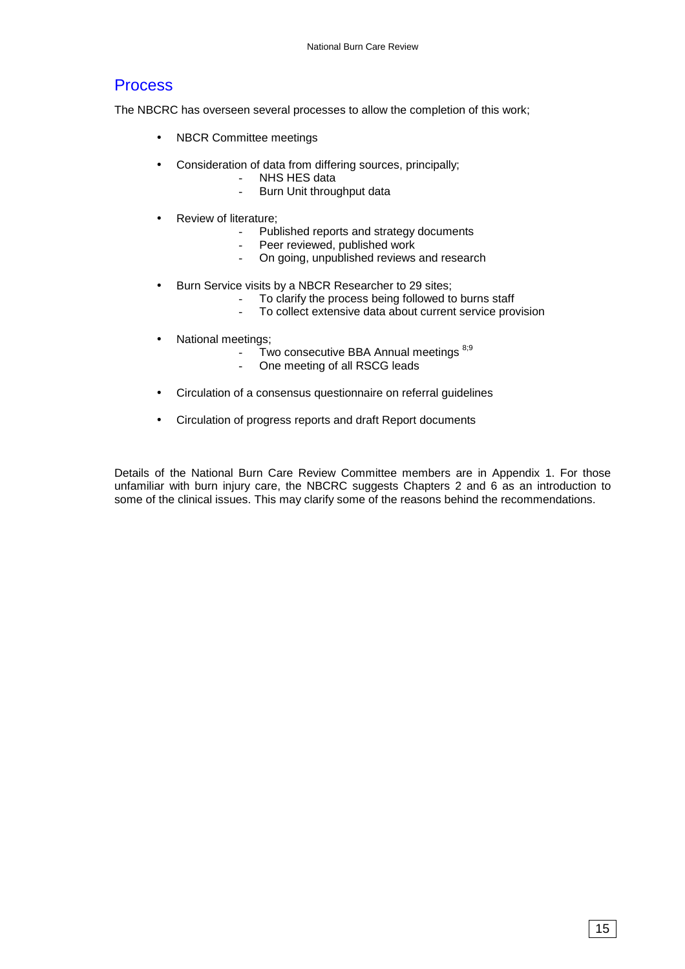# **Process**

The NBCRC has overseen several processes to allow the completion of this work;

- NBCR Committee meetings
- Consideration of data from differing sources, principally;
	- NHS HES data
	- Burn Unit throughput data
- Review of literature;
	- Published reports and strategy documents
	- Peer reviewed, published work
	- On going, unpublished reviews and research
- Burn Service visits by a NBCR Researcher to 29 sites;
	- To clarify the process being followed to burns staff<br>- To collect extensive data about current service pro-
	- To collect extensive data about current service provision
- National meetings;
	- Two consecutive BBA Annual meetings 8;9
	- One meeting of all RSCG leads
- Circulation of a consensus questionnaire on referral guidelines
- Circulation of progress reports and draft Report documents

Details of the National Burn Care Review Committee members are in Appendix 1. For those unfamiliar with burn injury care, the NBCRC suggests Chapters 2 and 6 as an introduction to some of the clinical issues. This may clarify some of the reasons behind the recommendations.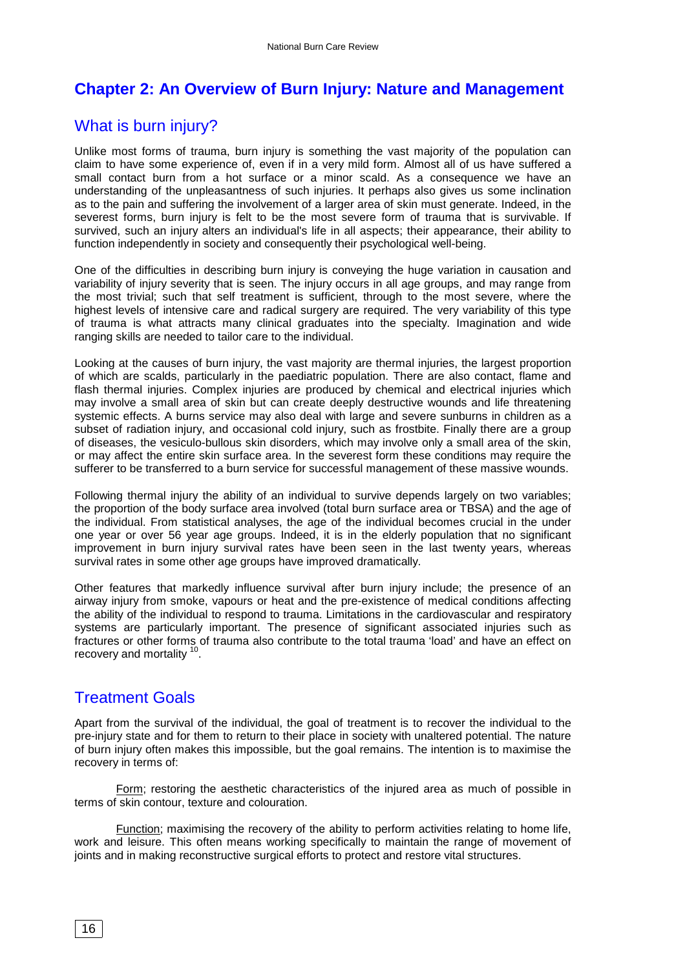# **Chapter 2: An Overview of Burn Injury: Nature and Management**

# What is burn injury?

Unlike most forms of trauma, burn injury is something the vast majority of the population can claim to have some experience of, even if in a very mild form. Almost all of us have suffered a small contact burn from a hot surface or a minor scald. As a consequence we have an understanding of the unpleasantness of such injuries. It perhaps also gives us some inclination as to the pain and suffering the involvement of a larger area of skin must generate. Indeed, in the severest forms, burn injury is felt to be the most severe form of trauma that is survivable. If survived, such an injury alters an individual's life in all aspects; their appearance, their ability to function independently in society and consequently their psychological well-being.

One of the difficulties in describing burn injury is conveying the huge variation in causation and variability of injury severity that is seen. The injury occurs in all age groups, and may range from the most trivial; such that self treatment is sufficient, through to the most severe, where the highest levels of intensive care and radical surgery are required. The very variability of this type of trauma is what attracts many clinical graduates into the specialty. Imagination and wide ranging skills are needed to tailor care to the individual.

Looking at the causes of burn injury, the vast majority are thermal injuries, the largest proportion of which are scalds, particularly in the paediatric population. There are also contact, flame and flash thermal injuries. Complex injuries are produced by chemical and electrical injuries which may involve a small area of skin but can create deeply destructive wounds and life threatening systemic effects. A burns service may also deal with large and severe sunburns in children as a subset of radiation injury, and occasional cold injury, such as frostbite. Finally there are a group of diseases, the vesiculo-bullous skin disorders, which may involve only a small area of the skin, or may affect the entire skin surface area. In the severest form these conditions may require the sufferer to be transferred to a burn service for successful management of these massive wounds.

Following thermal injury the ability of an individual to survive depends largely on two variables; the proportion of the body surface area involved (total burn surface area or TBSA) and the age of the individual. From statistical analyses, the age of the individual becomes crucial in the under one year or over 56 year age groups. Indeed, it is in the elderly population that no significant improvement in burn injury survival rates have been seen in the last twenty years, whereas survival rates in some other age groups have improved dramatically.

Other features that markedly influence survival after burn injury include; the presence of an airway injury from smoke, vapours or heat and the pre-existence of medical conditions affecting the ability of the individual to respond to trauma. Limitations in the cardiovascular and respiratory systems are particularly important. The presence of significant associated injuries such as fractures or other forms of trauma also contribute to the total trauma 'load' and have an effect on recovery and mortality <sup>10</sup>.

# Treatment Goals

Apart from the survival of the individual, the goal of treatment is to recover the individual to the pre-injury state and for them to return to their place in society with unaltered potential. The nature of burn injury often makes this impossible, but the goal remains. The intention is to maximise the recovery in terms of:

 Form; restoring the aesthetic characteristics of the injured area as much of possible in terms of skin contour, texture and colouration.

 Function; maximising the recovery of the ability to perform activities relating to home life, work and leisure. This often means working specifically to maintain the range of movement of joints and in making reconstructive surgical efforts to protect and restore vital structures.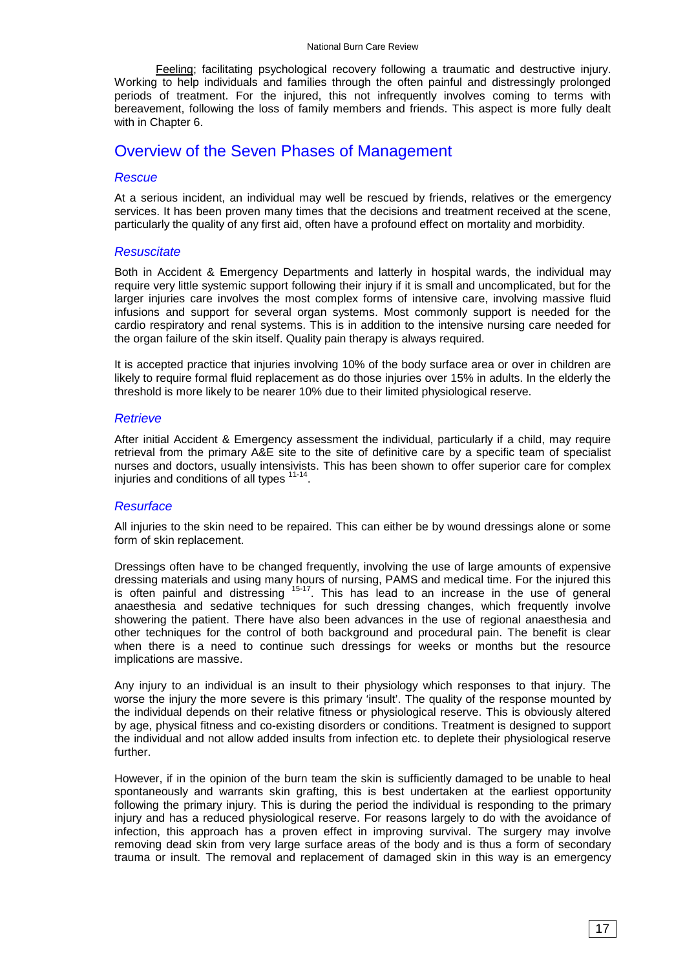Feeling; facilitating psychological recovery following a traumatic and destructive injury. Working to help individuals and families through the often painful and distressingly prolonged periods of treatment. For the injured, this not infrequently involves coming to terms with bereavement, following the loss of family members and friends. This aspect is more fully dealt with in Chapter 6.

### Overview of the Seven Phases of Management

#### *Rescue*

At a serious incident, an individual may well be rescued by friends, relatives or the emergency services. It has been proven many times that the decisions and treatment received at the scene, particularly the quality of any first aid, often have a profound effect on mortality and morbidity.

#### *Resuscitate*

Both in Accident & Emergency Departments and latterly in hospital wards, the individual may require very little systemic support following their injury if it is small and uncomplicated, but for the larger injuries care involves the most complex forms of intensive care, involving massive fluid infusions and support for several organ systems. Most commonly support is needed for the cardio respiratory and renal systems. This is in addition to the intensive nursing care needed for the organ failure of the skin itself. Quality pain therapy is always required.

It is accepted practice that injuries involving 10% of the body surface area or over in children are likely to require formal fluid replacement as do those injuries over 15% in adults. In the elderly the threshold is more likely to be nearer 10% due to their limited physiological reserve.

#### *Retrieve*

After initial Accident & Emergency assessment the individual, particularly if a child, may require retrieval from the primary A&E site to the site of definitive care by a specific team of specialist nurses and doctors, usually intensivists. This has been shown to offer superior care for complex injuries and conditions of all types 11-14.

#### *Resurface*

All injuries to the skin need to be repaired. This can either be by wound dressings alone or some form of skin replacement.

Dressings often have to be changed frequently, involving the use of large amounts of expensive dressing materials and using many hours of nursing, PAMS and medical time. For the injured this is often painful and distressing  $15-17$ . This has lead to an increase in the use of general anaesthesia and sedative techniques for such dressing changes, which frequently involve showering the patient. There have also been advances in the use of regional anaesthesia and other techniques for the control of both background and procedural pain. The benefit is clear when there is a need to continue such dressings for weeks or months but the resource implications are massive.

Any injury to an individual is an insult to their physiology which responses to that injury. The worse the injury the more severe is this primary 'insult'. The quality of the response mounted by the individual depends on their relative fitness or physiological reserve. This is obviously altered by age, physical fitness and co-existing disorders or conditions. Treatment is designed to support the individual and not allow added insults from infection etc. to deplete their physiological reserve further.

However, if in the opinion of the burn team the skin is sufficiently damaged to be unable to heal spontaneously and warrants skin grafting, this is best undertaken at the earliest opportunity following the primary injury. This is during the period the individual is responding to the primary injury and has a reduced physiological reserve. For reasons largely to do with the avoidance of infection, this approach has a proven effect in improving survival. The surgery may involve removing dead skin from very large surface areas of the body and is thus a form of secondary trauma or insult. The removal and replacement of damaged skin in this way is an emergency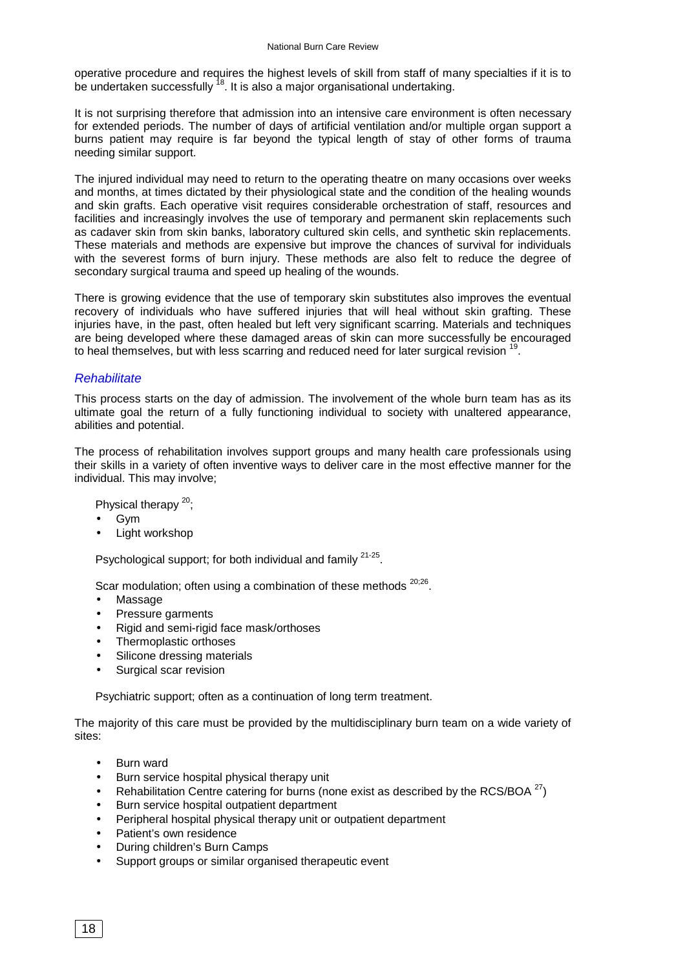operative procedure and requires the highest levels of skill from staff of many specialties if it is to be undertaken successfully <sup>18</sup>. It is also a major organisational undertaking.

It is not surprising therefore that admission into an intensive care environment is often necessary for extended periods. The number of days of artificial ventilation and/or multiple organ support a burns patient may require is far beyond the typical length of stay of other forms of trauma needing similar support.

The injured individual may need to return to the operating theatre on many occasions over weeks and months, at times dictated by their physiological state and the condition of the healing wounds and skin grafts. Each operative visit requires considerable orchestration of staff, resources and facilities and increasingly involves the use of temporary and permanent skin replacements such as cadaver skin from skin banks, laboratory cultured skin cells, and synthetic skin replacements. These materials and methods are expensive but improve the chances of survival for individuals with the severest forms of burn injury. These methods are also felt to reduce the degree of secondary surgical trauma and speed up healing of the wounds.

There is growing evidence that the use of temporary skin substitutes also improves the eventual recovery of individuals who have suffered injuries that will heal without skin grafting. These injuries have, in the past, often healed but left very significant scarring. Materials and techniques are being developed where these damaged areas of skin can more successfully be encouraged to heal themselves, but with less scarring and reduced need for later surgical revision  $19$ .

#### *Rehabilitate*

This process starts on the day of admission. The involvement of the whole burn team has as its ultimate goal the return of a fully functioning individual to society with unaltered appearance, abilities and potential.

The process of rehabilitation involves support groups and many health care professionals using their skills in a variety of often inventive ways to deliver care in the most effective manner for the individual. This may involve;

Physical therapy  $20$ ;

- Gym
- Light workshop

Psychological support; for both individual and family  $21-25$ .

Scar modulation; often using a combination of these methods  $^{20,26}$ .

- **Massage**
- Pressure garments
- Rigid and semi-rigid face mask/orthoses
- Thermoplastic orthoses
- Silicone dressing materials
- Surgical scar revision

Psychiatric support; often as a continuation of long term treatment.

The majority of this care must be provided by the multidisciplinary burn team on a wide variety of sites:

- Burn ward
- Burn service hospital physical therapy unit
- Rehabilitation Centre catering for burns (none exist as described by the RCS/BOA $^{27}$ )
- Burn service hospital outpatient department
- Peripheral hospital physical therapy unit or outpatient department
- Patient's own residence
- During children's Burn Camps
- Support groups or similar organised therapeutic event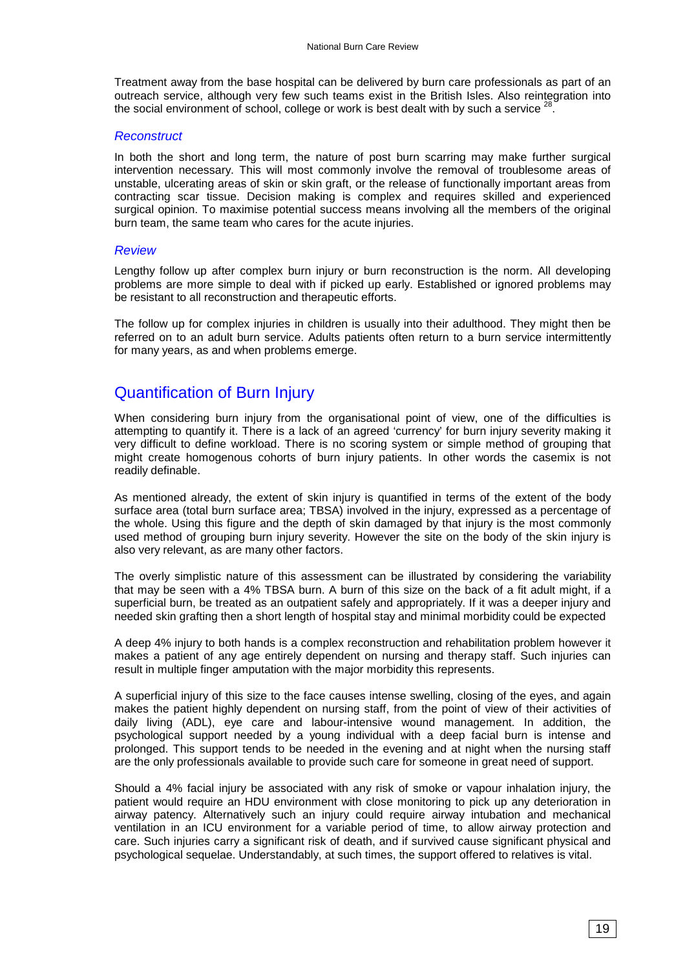Treatment away from the base hospital can be delivered by burn care professionals as part of an outreach service, although very few such teams exist in the British Isles. Also reintegration into the social environment of school, college or work is best dealt with by such a service  $^{28}$ 

#### *Reconstruct*

In both the short and long term, the nature of post burn scarring may make further surgical intervention necessary. This will most commonly involve the removal of troublesome areas of unstable, ulcerating areas of skin or skin graft, or the release of functionally important areas from contracting scar tissue. Decision making is complex and requires skilled and experienced surgical opinion. To maximise potential success means involving all the members of the original burn team, the same team who cares for the acute injuries.

#### *Review*

Lengthy follow up after complex burn injury or burn reconstruction is the norm. All developing problems are more simple to deal with if picked up early. Established or ignored problems may be resistant to all reconstruction and therapeutic efforts.

The follow up for complex injuries in children is usually into their adulthood. They might then be referred on to an adult burn service. Adults patients often return to a burn service intermittently for many years, as and when problems emerge.

### Quantification of Burn Injury

When considering burn injury from the organisational point of view, one of the difficulties is attempting to quantify it. There is a lack of an agreed 'currency' for burn injury severity making it very difficult to define workload. There is no scoring system or simple method of grouping that might create homogenous cohorts of burn injury patients. In other words the casemix is not readily definable.

As mentioned already, the extent of skin injury is quantified in terms of the extent of the body surface area (total burn surface area; TBSA) involved in the injury, expressed as a percentage of the whole. Using this figure and the depth of skin damaged by that injury is the most commonly used method of grouping burn injury severity. However the site on the body of the skin injury is also very relevant, as are many other factors.

The overly simplistic nature of this assessment can be illustrated by considering the variability that may be seen with a 4% TBSA burn. A burn of this size on the back of a fit adult might, if a superficial burn, be treated as an outpatient safely and appropriately. If it was a deeper injury and needed skin grafting then a short length of hospital stay and minimal morbidity could be expected

A deep 4% injury to both hands is a complex reconstruction and rehabilitation problem however it makes a patient of any age entirely dependent on nursing and therapy staff. Such injuries can result in multiple finger amputation with the major morbidity this represents.

A superficial injury of this size to the face causes intense swelling, closing of the eyes, and again makes the patient highly dependent on nursing staff, from the point of view of their activities of daily living (ADL), eye care and labour-intensive wound management. In addition, the psychological support needed by a young individual with a deep facial burn is intense and prolonged. This support tends to be needed in the evening and at night when the nursing staff are the only professionals available to provide such care for someone in great need of support.

Should a 4% facial injury be associated with any risk of smoke or vapour inhalation injury, the patient would require an HDU environment with close monitoring to pick up any deterioration in airway patency. Alternatively such an injury could require airway intubation and mechanical ventilation in an ICU environment for a variable period of time, to allow airway protection and care. Such injuries carry a significant risk of death, and if survived cause significant physical and psychological sequelae. Understandably, at such times, the support offered to relatives is vital.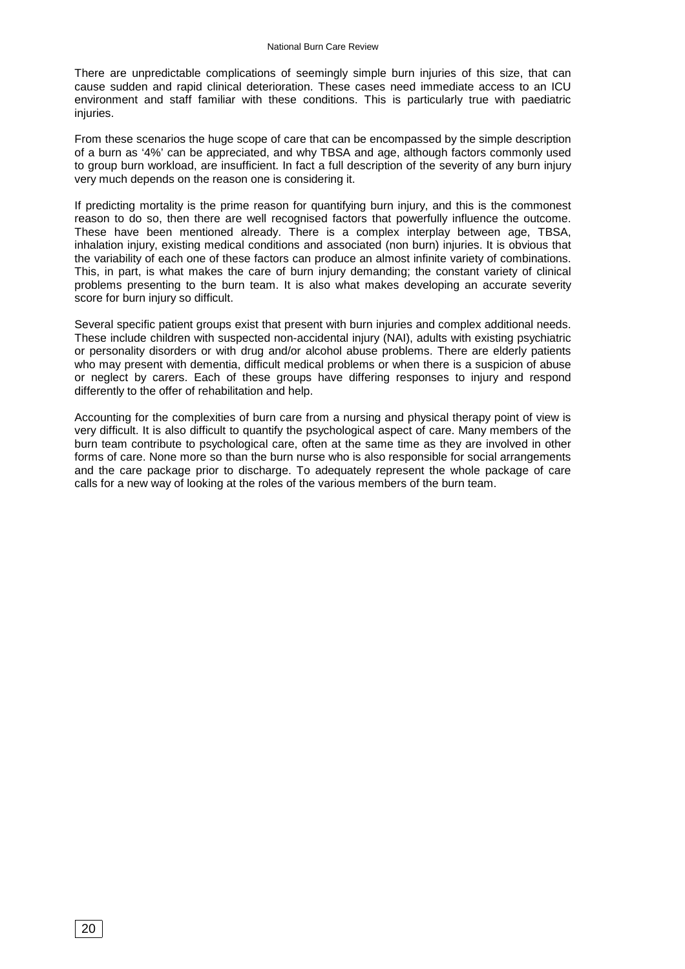There are unpredictable complications of seemingly simple burn injuries of this size, that can cause sudden and rapid clinical deterioration. These cases need immediate access to an ICU environment and staff familiar with these conditions. This is particularly true with paediatric iniuries.

From these scenarios the huge scope of care that can be encompassed by the simple description of a burn as '4%' can be appreciated, and why TBSA and age, although factors commonly used to group burn workload, are insufficient. In fact a full description of the severity of any burn injury very much depends on the reason one is considering it.

If predicting mortality is the prime reason for quantifying burn injury, and this is the commonest reason to do so, then there are well recognised factors that powerfully influence the outcome. These have been mentioned already. There is a complex interplay between age, TBSA, inhalation injury, existing medical conditions and associated (non burn) injuries. It is obvious that the variability of each one of these factors can produce an almost infinite variety of combinations. This, in part, is what makes the care of burn injury demanding; the constant variety of clinical problems presenting to the burn team. It is also what makes developing an accurate severity score for burn injury so difficult.

Several specific patient groups exist that present with burn injuries and complex additional needs. These include children with suspected non-accidental injury (NAI), adults with existing psychiatric or personality disorders or with drug and/or alcohol abuse problems. There are elderly patients who may present with dementia, difficult medical problems or when there is a suspicion of abuse or neglect by carers. Each of these groups have differing responses to injury and respond differently to the offer of rehabilitation and help.

Accounting for the complexities of burn care from a nursing and physical therapy point of view is very difficult. It is also difficult to quantify the psychological aspect of care. Many members of the burn team contribute to psychological care, often at the same time as they are involved in other forms of care. None more so than the burn nurse who is also responsible for social arrangements and the care package prior to discharge. To adequately represent the whole package of care calls for a new way of looking at the roles of the various members of the burn team.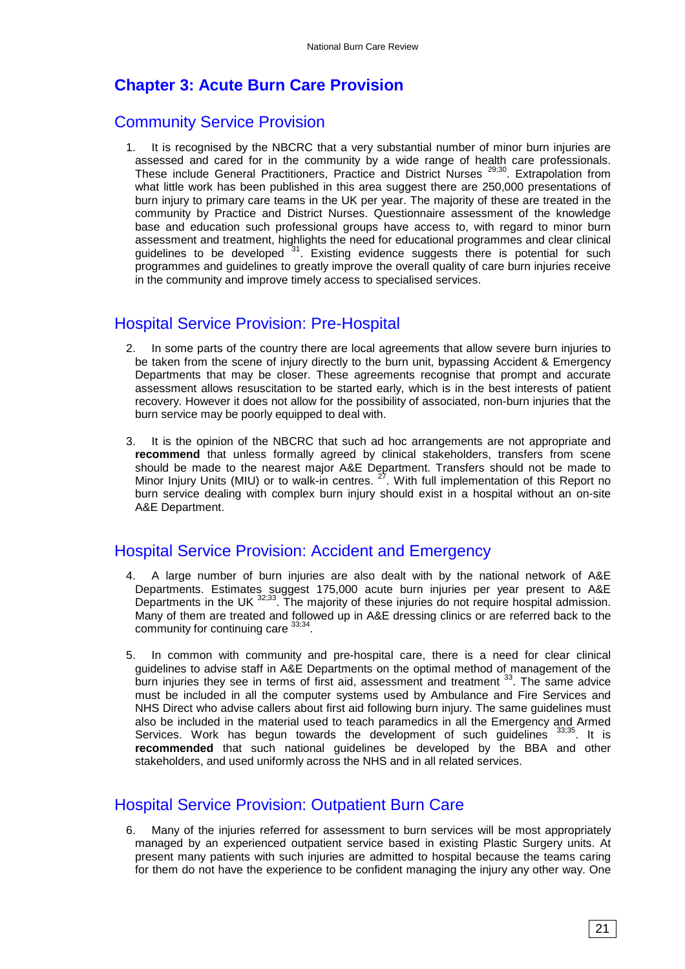# **Chapter 3: Acute Burn Care Provision**

### Community Service Provision

1. It is recognised by the NBCRC that a very substantial number of minor burn injuries are assessed and cared for in the community by a wide range of health care professionals. These include General Practitioners, Practice and District Nurses 29;30. Extrapolation from what little work has been published in this area suggest there are 250,000 presentations of burn injury to primary care teams in the UK per year. The majority of these are treated in the community by Practice and District Nurses. Questionnaire assessment of the knowledge base and education such professional groups have access to, with regard to minor burn assessment and treatment, highlights the need for educational programmes and clear clinical guidelines to be developed <sup>31</sup>. Existing evidence suggests there is potential for such programmes and guidelines to greatly improve the overall quality of care burn injuries receive in the community and improve timely access to specialised services.

### Hospital Service Provision: Pre-Hospital

- 2. In some parts of the country there are local agreements that allow severe burn injuries to be taken from the scene of injury directly to the burn unit, bypassing Accident & Emergency Departments that may be closer. These agreements recognise that prompt and accurate assessment allows resuscitation to be started early, which is in the best interests of patient recovery. However it does not allow for the possibility of associated, non-burn injuries that the burn service may be poorly equipped to deal with.
- 3. It is the opinion of the NBCRC that such ad hoc arrangements are not appropriate and **recommend** that unless formally agreed by clinical stakeholders, transfers from scene should be made to the nearest major A&E Department. Transfers should not be made to Minor Injury Units (MIU) or to walk-in centres.  $^{27}$ . With full implementation of this Report no burn service dealing with complex burn injury should exist in a hospital without an on-site A&E Department.

### Hospital Service Provision: Accident and Emergency

- 4. A large number of burn injuries are also dealt with by the national network of A&E Departments. Estimates suggest 175,000 acute burn injuries per year present to A&E Departments in the UK  $^{32,33}$ . The majority of these injuries do not require hospital admission. Many of them are treated and followed up in A&E dressing clinics or are referred back to the community for continuing care 33;34.
- 5. In common with community and pre-hospital care, there is a need for clear clinical guidelines to advise staff in A&E Departments on the optimal method of management of the burn injuries they see in terms of first aid, assessment and treatment  $33$ . The same advice must be included in all the computer systems used by Ambulance and Fire Services and NHS Direct who advise callers about first aid following burn injury. The same guidelines must also be included in the material used to teach paramedics in all the Emergency and Armed Services. Work has begun towards the development of such guidelines  $33,35$ . It is **recommended** that such national guidelines be developed by the BBA and other stakeholders, and used uniformly across the NHS and in all related services.

# Hospital Service Provision: Outpatient Burn Care

6. Many of the injuries referred for assessment to burn services will be most appropriately managed by an experienced outpatient service based in existing Plastic Surgery units. At present many patients with such injuries are admitted to hospital because the teams caring for them do not have the experience to be confident managing the injury any other way. One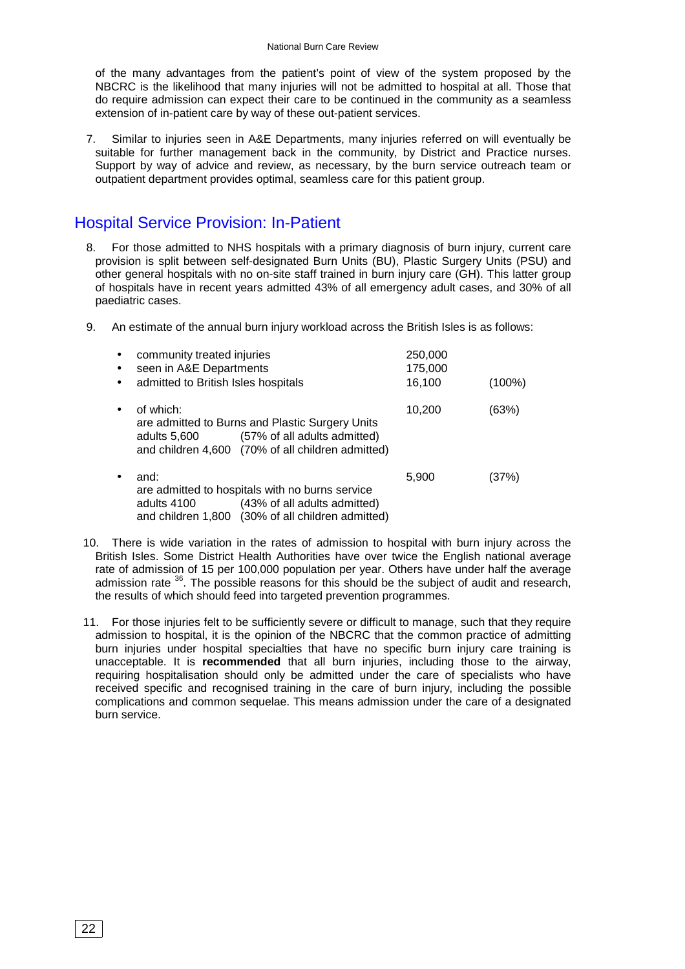of the many advantages from the patient's point of view of the system proposed by the NBCRC is the likelihood that many injuries will not be admitted to hospital at all. Those that do require admission can expect their care to be continued in the community as a seamless extension of in-patient care by way of these out-patient services.

7. Similar to injuries seen in A&E Departments, many injuries referred on will eventually be suitable for further management back in the community, by District and Practice nurses. Support by way of advice and review, as necessary, by the burn service outreach team or outpatient department provides optimal, seamless care for this patient group.

# Hospital Service Provision: In-Patient

- 8. For those admitted to NHS hospitals with a primary diagnosis of burn injury, current care provision is split between self-designated Burn Units (BU), Plastic Surgery Units (PSU) and other general hospitals with no on-site staff trained in burn injury care (GH). This latter group of hospitals have in recent years admitted 43% of all emergency adult cases, and 30% of all paediatric cases.
- 9. An estimate of the annual burn injury workload across the British Isles is as follows:

| $\bullet$<br>$\bullet$<br>$\bullet$ | community treated injuries<br>seen in A&E Departments<br>admitted to British Isles hospitals                                                                      | 250,000<br>175,000<br>16,100 | (100%) |
|-------------------------------------|-------------------------------------------------------------------------------------------------------------------------------------------------------------------|------------------------------|--------|
|                                     | of which:<br>are admitted to Burns and Plastic Surgery Units<br>(57% of all adults admitted)<br>adults 5,600<br>and children 4,600 (70% of all children admitted) | 10,200                       | (63%)  |
|                                     | and:<br>are admitted to hospitals with no burns service<br>(43% of all adults admitted)<br>adults 4100<br>and children 1,800 (30% of all children admitted)       | 5,900                        | (37%)  |

- 10. There is wide variation in the rates of admission to hospital with burn injury across the British Isles. Some District Health Authorities have over twice the English national average rate of admission of 15 per 100,000 population per year. Others have under half the average admission rate  $36$ . The possible reasons for this should be the subject of audit and research, the results of which should feed into targeted prevention programmes.
- 11. For those injuries felt to be sufficiently severe or difficult to manage, such that they require admission to hospital, it is the opinion of the NBCRC that the common practice of admitting burn injuries under hospital specialties that have no specific burn injury care training is unacceptable. It is **recommended** that all burn injuries, including those to the airway, requiring hospitalisation should only be admitted under the care of specialists who have received specific and recognised training in the care of burn injury, including the possible complications and common sequelae. This means admission under the care of a designated burn service.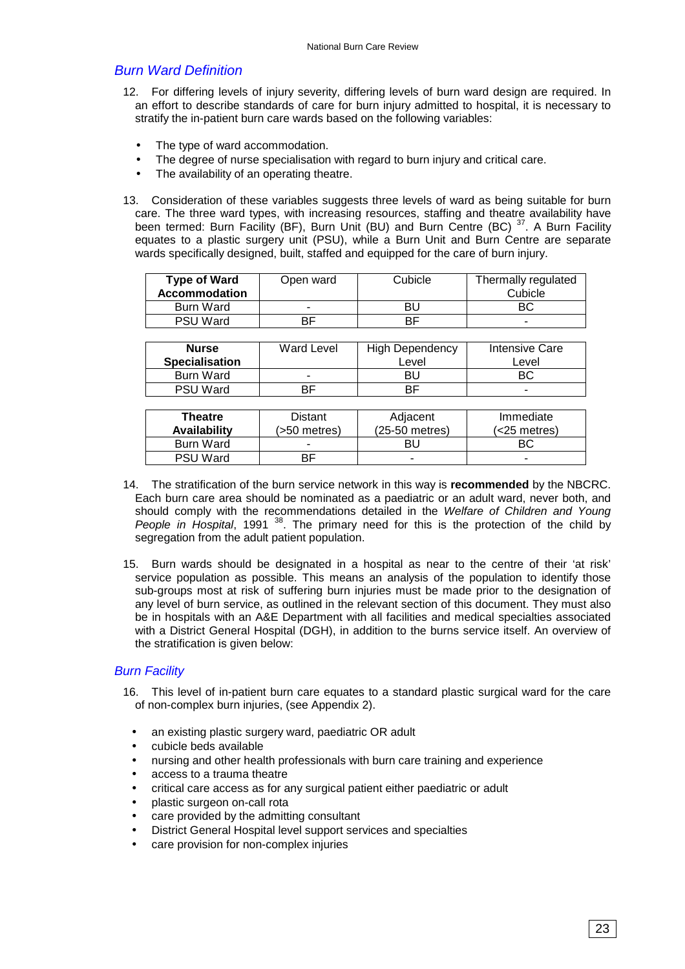### *Burn Ward Definition*

- 12. For differing levels of injury severity, differing levels of burn ward design are required. In an effort to describe standards of care for burn injury admitted to hospital, it is necessary to stratify the in-patient burn care wards based on the following variables:
	- The type of ward accommodation.
	- The degree of nurse specialisation with regard to burn injury and critical care.
	- The availability of an operating theatre.
- 13. Consideration of these variables suggests three levels of ward as being suitable for burn care. The three ward types, with increasing resources, staffing and theatre availability have been termed: Burn Facility (BF), Burn Unit (BU) and Burn Centre (BC) <sup>37</sup>. A Burn Facility equates to a plastic surgery unit (PSU), while a Burn Unit and Burn Centre are separate wards specifically designed, built, staffed and equipped for the care of burn injury.

| <b>Type of Ward</b><br><b>Accommodation</b> | Open ward | Cubicle | Thermally regulated<br>Cubicle |
|---------------------------------------------|-----------|---------|--------------------------------|
| Burn Ward                                   |           | BL      | ВC                             |
| <b>PSU Ward</b>                             |           | RF      |                                |

| <b>Nurse</b><br><b>Specialisation</b> | Ward Level | <b>High Dependency</b><br>Level | Intensive Care<br>Level |
|---------------------------------------|------------|---------------------------------|-------------------------|
| Burn Ward                             | -          | BU.                             | BC                      |
| <b>PSU Ward</b>                       | RF         | ВF                              | $\blacksquare$          |

| <b>Theatre</b><br><b>Availability</b> | Distant<br>$(550$ metres) | Adjacent<br>$(25-50$ metres) | Immediate<br>$(<$ 25 metres) |
|---------------------------------------|---------------------------|------------------------------|------------------------------|
| Burn Ward                             | -                         | BU                           | BC                           |
| <b>PSU Ward</b>                       | RF                        | -                            | ۰                            |

- 14. The stratification of the burn service network in this way is **recommended** by the NBCRC. Each burn care area should be nominated as a paediatric or an adult ward, never both, and should comply with the recommendations detailed in the *Welfare of Children and Young People in Hospital*, 1991<sup>38</sup>. The primary need for this is the protection of the child by segregation from the adult patient population.
- 15. Burn wards should be designated in a hospital as near to the centre of their 'at risk' service population as possible. This means an analysis of the population to identify those sub-groups most at risk of suffering burn injuries must be made prior to the designation of any level of burn service, as outlined in the relevant section of this document. They must also be in hospitals with an A&E Department with all facilities and medical specialties associated with a District General Hospital (DGH), in addition to the burns service itself. An overview of the stratification is given below:

#### *Burn Facility*

- 16. This level of in-patient burn care equates to a standard plastic surgical ward for the care of non-complex burn injuries, (see Appendix 2).
	- an existing plastic surgery ward, paediatric OR adult
	- cubicle beds available
	- nursing and other health professionals with burn care training and experience
	- access to a trauma theatre
	- critical care access as for any surgical patient either paediatric or adult
	- plastic surgeon on-call rota
	- care provided by the admitting consultant
	- District General Hospital level support services and specialties
	- care provision for non-complex injuries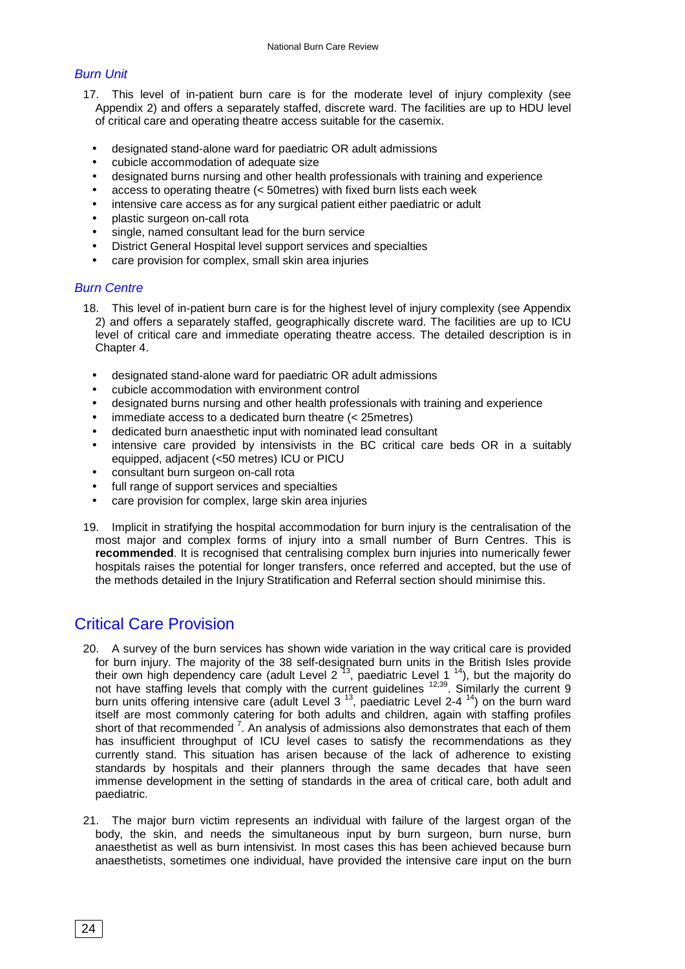### *Burn Unit*

- 17. This level of in-patient burn care is for the moderate level of injury complexity (see Appendix 2) and offers a separately staffed, discrete ward. The facilities are up to HDU level of critical care and operating theatre access suitable for the casemix.
	- designated stand-alone ward for paediatric OR adult admissions
	- cubicle accommodation of adequate size
	- designated burns nursing and other health professionals with training and experience
	- access to operating theatre (< 50metres) with fixed burn lists each week
	- intensive care access as for any surgical patient either paediatric or adult
	- plastic surgeon on-call rota
	- single, named consultant lead for the burn service
	- District General Hospital level support services and specialties
	- care provision for complex, small skin area injuries

#### *Burn Centre*

- 18. This level of in-patient burn care is for the highest level of injury complexity (see Appendix 2) and offers a separately staffed, geographically discrete ward. The facilities are up to ICU level of critical care and immediate operating theatre access. The detailed description is in Chapter 4.
	- designated stand-alone ward for paediatric OR adult admissions
	- cubicle accommodation with environment control
	- designated burns nursing and other health professionals with training and experience
	- immediate access to a dedicated burn theatre  $(< 25$ metres)
	- dedicated burn anaesthetic input with nominated lead consultant
	- intensive care provided by intensivists in the BC critical care beds OR in a suitably equipped, adjacent (<50 metres) ICU or PICU
	- consultant burn surgeon on-call rota
	- full range of support services and specialties
	- care provision for complex, large skin area injuries
- 19. Implicit in stratifying the hospital accommodation for burn injury is the centralisation of the most major and complex forms of injury into a small number of Burn Centres. This is **recommended**. It is recognised that centralising complex burn injuries into numerically fewer hospitals raises the potential for longer transfers, once referred and accepted, but the use of the methods detailed in the Injury Stratification and Referral section should minimise this.

# Critical Care Provision

- 20. A survey of the burn services has shown wide variation in the way critical care is provided for burn injury. The majority of the 38 self-designated burn units in the British Isles provide their own high dependency care (adult Level  $2^{13}$ , paediatric Level 1<sup>14</sup>), but the majority do not have staffing levels that comply with the current guidelines <sup>12;39</sup>. Similarly the current 9 burn units offering intensive care (adult Level 3<sup>13</sup>, paediatric Level 2-4<sup>14</sup>) on the burn ward itself are most commonly catering for both adults and children, again with staffing profiles short of that recommended <sup>7</sup>. An analysis of admissions also demonstrates that each of them has insufficient throughput of ICU level cases to satisfy the recommendations as they currently stand. This situation has arisen because of the lack of adherence to existing standards by hospitals and their planners through the same decades that have seen immense development in the setting of standards in the area of critical care, both adult and paediatric.
- 21. The major burn victim represents an individual with failure of the largest organ of the body, the skin, and needs the simultaneous input by burn surgeon, burn nurse, burn anaesthetist as well as burn intensivist. In most cases this has been achieved because burn anaesthetists, sometimes one individual, have provided the intensive care input on the burn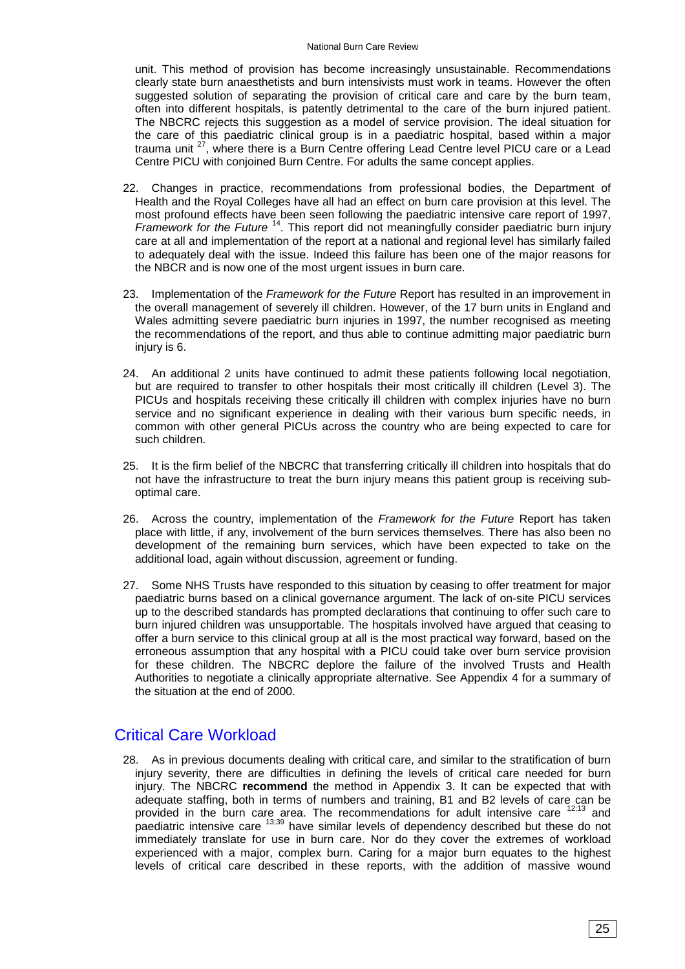#### National Burn Care Review

unit. This method of provision has become increasingly unsustainable. Recommendations clearly state burn anaesthetists and burn intensivists must work in teams. However the often suggested solution of separating the provision of critical care and care by the burn team, often into different hospitals, is patently detrimental to the care of the burn injured patient. The NBCRC rejects this suggestion as a model of service provision. The ideal situation for the care of this paediatric clinical group is in a paediatric hospital, based within a major trauma unit <sup>27</sup>, where there is a Burn Centre offering Lead Centre level PICU care or a Lead Centre PICU with conjoined Burn Centre. For adults the same concept applies.

- 22. Changes in practice, recommendations from professional bodies, the Department of Health and the Royal Colleges have all had an effect on burn care provision at this level. The most profound effects have been seen following the paediatric intensive care report of 1997, *Framework for the Future*<sup>14</sup>. This report did not meaningfully consider paediatric burn injury care at all and implementation of the report at a national and regional level has similarly failed to adequately deal with the issue. Indeed this failure has been one of the major reasons for the NBCR and is now one of the most urgent issues in burn care.
- 23. Implementation of the *Framework for the Future* Report has resulted in an improvement in the overall management of severely ill children. However, of the 17 burn units in England and Wales admitting severe paediatric burn injuries in 1997, the number recognised as meeting the recommendations of the report, and thus able to continue admitting major paediatric burn injury is 6.
- 24. An additional 2 units have continued to admit these patients following local negotiation, but are required to transfer to other hospitals their most critically ill children (Level 3). The PICUs and hospitals receiving these critically ill children with complex injuries have no burn service and no significant experience in dealing with their various burn specific needs, in common with other general PICUs across the country who are being expected to care for such children.
- 25. It is the firm belief of the NBCRC that transferring critically ill children into hospitals that do not have the infrastructure to treat the burn injury means this patient group is receiving suboptimal care.
- 26. Across the country, implementation of the *Framework for the Future* Report has taken place with little, if any, involvement of the burn services themselves. There has also been no development of the remaining burn services, which have been expected to take on the additional load, again without discussion, agreement or funding.
- 27. Some NHS Trusts have responded to this situation by ceasing to offer treatment for major paediatric burns based on a clinical governance argument. The lack of on-site PICU services up to the described standards has prompted declarations that continuing to offer such care to burn injured children was unsupportable. The hospitals involved have argued that ceasing to offer a burn service to this clinical group at all is the most practical way forward, based on the erroneous assumption that any hospital with a PICU could take over burn service provision for these children. The NBCRC deplore the failure of the involved Trusts and Health Authorities to negotiate a clinically appropriate alternative. See Appendix 4 for a summary of the situation at the end of 2000.

# Critical Care Workload

28. As in previous documents dealing with critical care, and similar to the stratification of burn injury severity, there are difficulties in defining the levels of critical care needed for burn injury. The NBCRC **recommend** the method in Appendix 3. It can be expected that with adequate staffing, both in terms of numbers and training, B1 and B2 levels of care can be provided in the burn care area. The recommendations for adult intensive care  $12,13$  and paediatric intensive care <sup>13,39</sup> have similar levels of dependency described but these do not immediately translate for use in burn care. Nor do they cover the extremes of workload experienced with a major, complex burn. Caring for a major burn equates to the highest levels of critical care described in these reports, with the addition of massive wound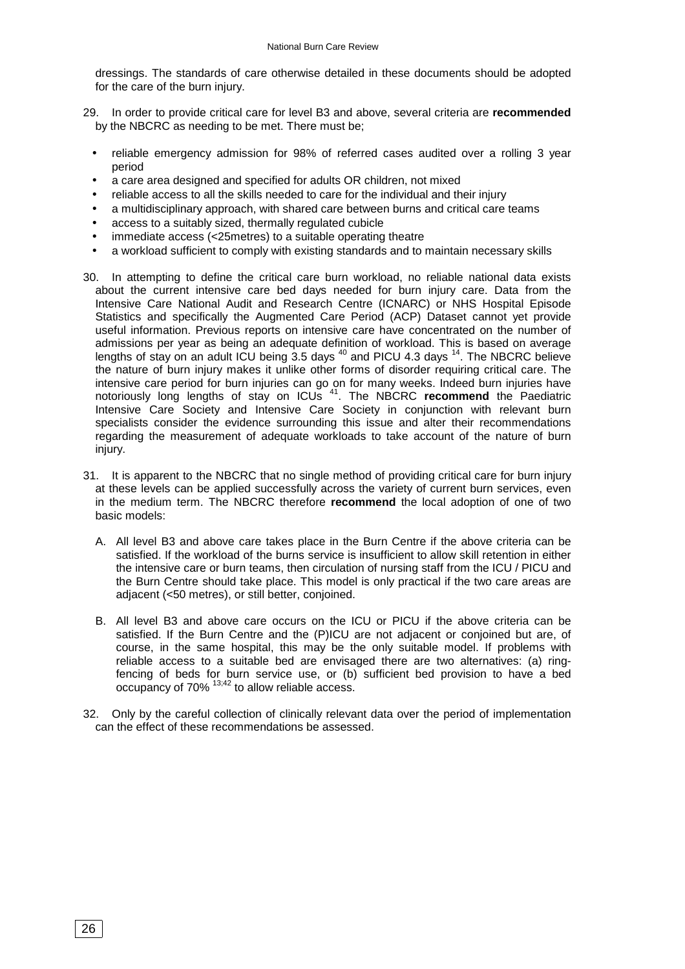dressings. The standards of care otherwise detailed in these documents should be adopted for the care of the burn injury.

- 29. In order to provide critical care for level B3 and above, several criteria are **recommended** by the NBCRC as needing to be met. There must be;
	- reliable emergency admission for 98% of referred cases audited over a rolling 3 year period
	- a care area designed and specified for adults OR children, not mixed
	- reliable access to all the skills needed to care for the individual and their injury
	- a multidisciplinary approach, with shared care between burns and critical care teams
	- access to a suitably sized, thermally regulated cubicle
	- immediate access (<25metres) to a suitable operating theatre
	- a workload sufficient to comply with existing standards and to maintain necessary skills
- 30. In attempting to define the critical care burn workload, no reliable national data exists about the current intensive care bed days needed for burn injury care. Data from the Intensive Care National Audit and Research Centre (ICNARC) or NHS Hospital Episode Statistics and specifically the Augmented Care Period (ACP) Dataset cannot yet provide useful information. Previous reports on intensive care have concentrated on the number of admissions per year as being an adequate definition of workload. This is based on average lengths of stay on an adult ICU being 3.5 days  $^{40}$  and PICU 4.3 days  $^{14}$ . The NBCRC believe the nature of burn injury makes it unlike other forms of disorder requiring critical care. The intensive care period for burn injuries can go on for many weeks. Indeed burn injuries have notoriously long lengths of stay on ICUs 41. The NBCRC **recommend** the Paediatric Intensive Care Society and Intensive Care Society in conjunction with relevant burn specialists consider the evidence surrounding this issue and alter their recommendations regarding the measurement of adequate workloads to take account of the nature of burn injury.
- 31. It is apparent to the NBCRC that no single method of providing critical care for burn injury at these levels can be applied successfully across the variety of current burn services, even in the medium term. The NBCRC therefore **recommend** the local adoption of one of two basic models:
	- A. All level B3 and above care takes place in the Burn Centre if the above criteria can be satisfied. If the workload of the burns service is insufficient to allow skill retention in either the intensive care or burn teams, then circulation of nursing staff from the ICU / PICU and the Burn Centre should take place. This model is only practical if the two care areas are adjacent (<50 metres), or still better, conjoined.
	- B. All level B3 and above care occurs on the ICU or PICU if the above criteria can be satisfied. If the Burn Centre and the (P)ICU are not adjacent or conjoined but are, of course, in the same hospital, this may be the only suitable model. If problems with reliable access to a suitable bed are envisaged there are two alternatives: (a) ringfencing of beds for burn service use, or (b) sufficient bed provision to have a bed occupancy of  $70\%$ <sup> $13,42$ </sup> to allow reliable access.
- 32. Only by the careful collection of clinically relevant data over the period of implementation can the effect of these recommendations be assessed.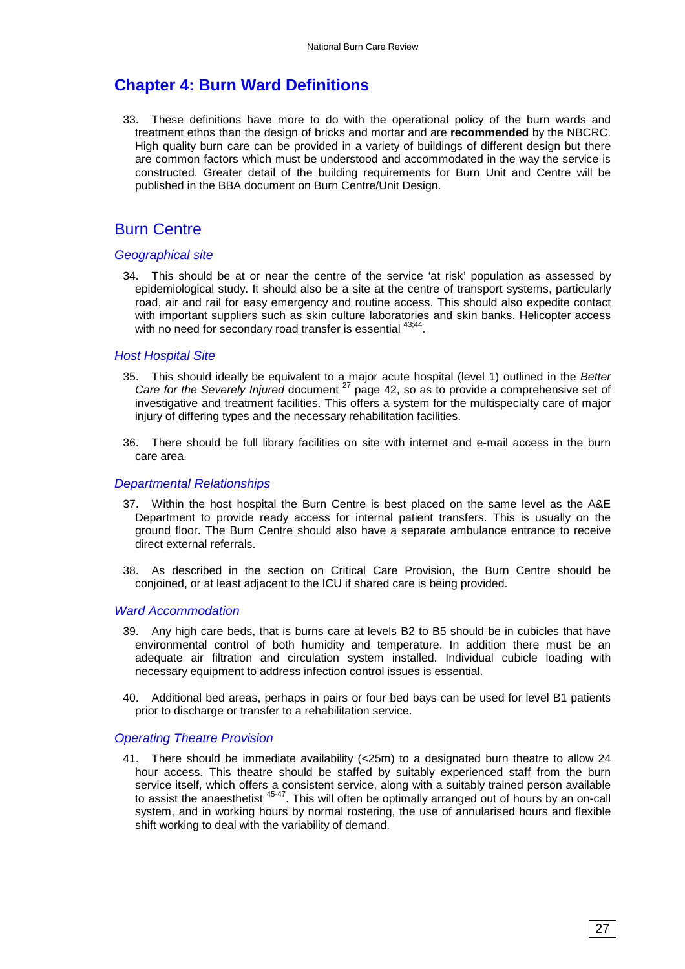## **Chapter 4: Burn Ward Definitions**

33. These definitions have more to do with the operational policy of the burn wards and treatment ethos than the design of bricks and mortar and are **recommended** by the NBCRC. High quality burn care can be provided in a variety of buildings of different design but there are common factors which must be understood and accommodated in the way the service is constructed. Greater detail of the building requirements for Burn Unit and Centre will be published in the BBA document on Burn Centre/Unit Design.

### Burn Centre

#### *Geographical site*

34. This should be at or near the centre of the service 'at risk' population as assessed by epidemiological study. It should also be a site at the centre of transport systems, particularly road, air and rail for easy emergency and routine access. This should also expedite contact with important suppliers such as skin culture laboratories and skin banks. Helicopter access with no need for secondary road transfer is essential  $43;44$ 

#### *Host Hospital Site*

- 35. This should ideally be equivalent to a major acute hospital (level 1) outlined in the *Better Care for the Severely Injured* document <sup>27</sup> page 42, so as to provide a comprehensive set of investigative and treatment facilities. This offers a system for the multispecialty care of major injury of differing types and the necessary rehabilitation facilities.
- 36. There should be full library facilities on site with internet and e-mail access in the burn care area.

#### *Departmental Relationships*

- 37. Within the host hospital the Burn Centre is best placed on the same level as the A&E Department to provide ready access for internal patient transfers. This is usually on the ground floor. The Burn Centre should also have a separate ambulance entrance to receive direct external referrals.
- 38. As described in the section on Critical Care Provision, the Burn Centre should be conjoined, or at least adjacent to the ICU if shared care is being provided.

#### *Ward Accommodation*

- 39. Any high care beds, that is burns care at levels B2 to B5 should be in cubicles that have environmental control of both humidity and temperature. In addition there must be an adequate air filtration and circulation system installed. Individual cubicle loading with necessary equipment to address infection control issues is essential.
- 40. Additional bed areas, perhaps in pairs or four bed bays can be used for level B1 patients prior to discharge or transfer to a rehabilitation service.

#### *Operating Theatre Provision*

41. There should be immediate availability (<25m) to a designated burn theatre to allow 24 hour access. This theatre should be staffed by suitably experienced staff from the burn service itself, which offers a consistent service, along with a suitably trained person available to assist the anaesthetist <sup>45-47</sup>. This will often be optimally arranged out of hours by an on-call system, and in working hours by normal rostering, the use of annularised hours and flexible shift working to deal with the variability of demand.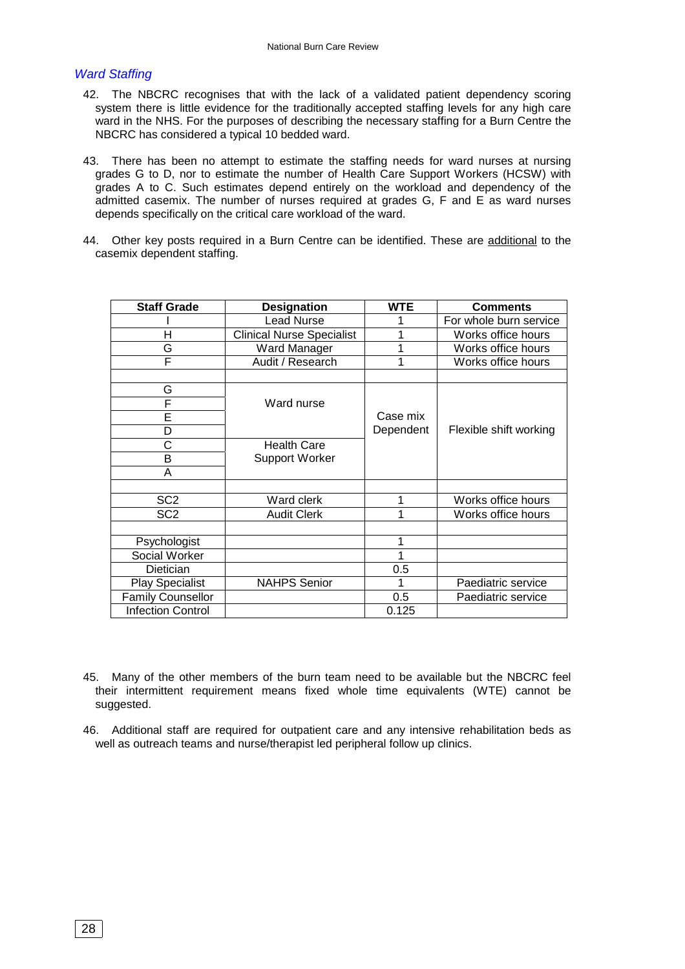#### *Ward Staffing*

- 42. The NBCRC recognises that with the lack of a validated patient dependency scoring system there is little evidence for the traditionally accepted staffing levels for any high care ward in the NHS. For the purposes of describing the necessary staffing for a Burn Centre the NBCRC has considered a typical 10 bedded ward.
- 43. There has been no attempt to estimate the staffing needs for ward nurses at nursing grades G to D, nor to estimate the number of Health Care Support Workers (HCSW) with grades A to C. Such estimates depend entirely on the workload and dependency of the admitted casemix. The number of nurses required at grades G, F and E as ward nurses depends specifically on the critical care workload of the ward.
- 44. Other key posts required in a Burn Centre can be identified. These are additional to the casemix dependent staffing.

| <b>Staff Grade</b>       | <b>Designation</b>               | <b>WTE</b> | <b>Comments</b>        |
|--------------------------|----------------------------------|------------|------------------------|
|                          | <b>Lead Nurse</b>                |            | For whole burn service |
| н                        | <b>Clinical Nurse Specialist</b> |            | Works office hours     |
| G                        | Ward Manager                     |            | Works office hours     |
| F                        | Audit / Research                 |            | Works office hours     |
|                          |                                  |            |                        |
| G                        |                                  |            |                        |
| F                        | Ward nurse                       |            |                        |
| E                        |                                  | Case mix   |                        |
| D                        |                                  | Dependent  | Flexible shift working |
| С                        | <b>Health Care</b>               |            |                        |
| B                        | <b>Support Worker</b>            |            |                        |
| A                        |                                  |            |                        |
|                          |                                  |            |                        |
| SC <sub>2</sub>          | Ward clerk                       |            | Works office hours     |
| SC <sub>2</sub>          | <b>Audit Clerk</b>               |            | Works office hours     |
|                          |                                  |            |                        |
| Psychologist             |                                  |            |                        |
| Social Worker            |                                  |            |                        |
| Dietician                |                                  | 0.5        |                        |
| <b>Play Specialist</b>   | <b>NAHPS Senior</b>              |            | Paediatric service     |
| <b>Family Counsellor</b> |                                  | 0.5        | Paediatric service     |
| <b>Infection Control</b> |                                  | 0.125      |                        |

- 45. Many of the other members of the burn team need to be available but the NBCRC feel their intermittent requirement means fixed whole time equivalents (WTE) cannot be suggested.
- 46. Additional staff are required for outpatient care and any intensive rehabilitation beds as well as outreach teams and nurse/therapist led peripheral follow up clinics.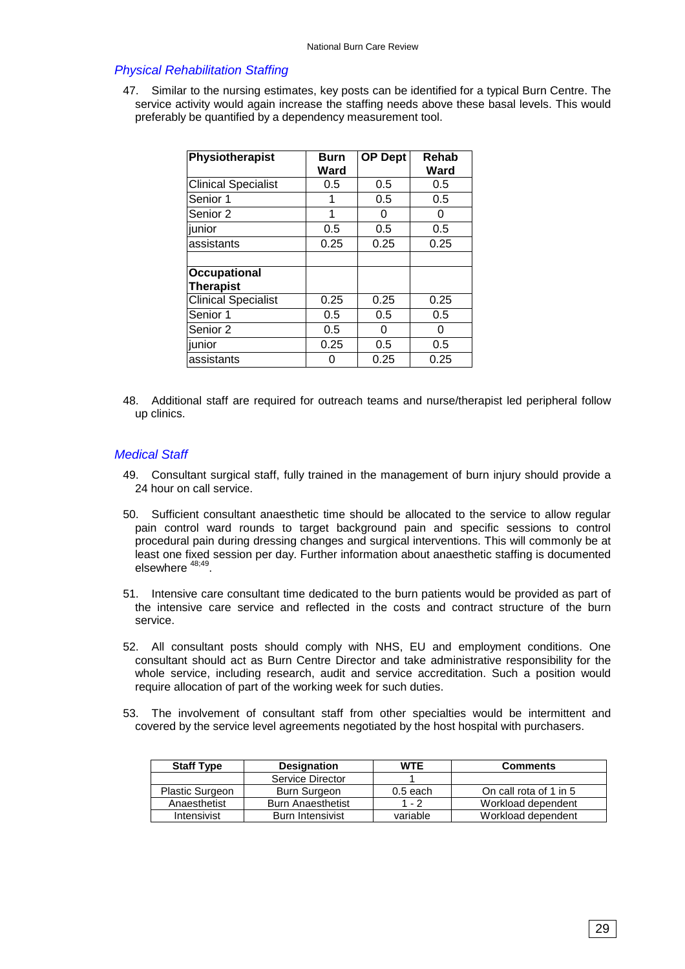#### *Physical Rehabilitation Staffing*

47. Similar to the nursing estimates, key posts can be identified for a typical Burn Centre. The service activity would again increase the staffing needs above these basal levels. This would preferably be quantified by a dependency measurement tool.

| Physiotherapist                         | Burn<br>Ward | <b>OP Dept</b> | Rehab<br>Ward |
|-----------------------------------------|--------------|----------------|---------------|
| <b>Clinical Specialist</b>              | 0.5          | 0.5            | 0.5           |
| Senior 1                                |              | 0.5            | 0.5           |
| Senior 2                                | 1            | O              | O             |
| junior                                  | 0.5          | 0.5            | 0.5           |
| assistants                              | 0.25         | 0.25           | 0.25          |
|                                         |              |                |               |
| <b>Occupational</b><br><b>Therapist</b> |              |                |               |
| <b>Clinical Specialist</b>              | 0.25         | 0.25           | 0.25          |
| Senior 1                                | 0.5          | 0.5            | 0.5           |
| Senior 2                                | 0.5          | O              | ი             |
| junior                                  | 0.25         | 0.5            | 0.5           |
| assistants                              |              | 0.25           | 0.25          |

48. Additional staff are required for outreach teams and nurse/therapist led peripheral follow up clinics.

#### *Medical Staff*

- 49. Consultant surgical staff, fully trained in the management of burn injury should provide a 24 hour on call service.
- 50. Sufficient consultant anaesthetic time should be allocated to the service to allow regular pain control ward rounds to target background pain and specific sessions to control procedural pain during dressing changes and surgical interventions. This will commonly be at least one fixed session per day. Further information about anaesthetic staffing is documented elsewhere  $48;49$ .
- 51. Intensive care consultant time dedicated to the burn patients would be provided as part of the intensive care service and reflected in the costs and contract structure of the burn service.
- 52. All consultant posts should comply with NHS, EU and employment conditions. One consultant should act as Burn Centre Director and take administrative responsibility for the whole service, including research, audit and service accreditation. Such a position would require allocation of part of the working week for such duties.
- 53. The involvement of consultant staff from other specialties would be intermittent and covered by the service level agreements negotiated by the host hospital with purchasers.

| <b>Staff Type</b> | <b>Designation</b>       | <b>WTE</b> | <b>Comments</b>        |
|-------------------|--------------------------|------------|------------------------|
|                   | Service Director         |            |                        |
| Plastic Surgeon   | Burn Surgeon             | $0.5$ each | On call rota of 1 in 5 |
| Anaesthetist      | <b>Burn Anaesthetist</b> | 1 - 2      | Workload dependent     |
| Intensivist       | Burn Intensivist         | variable   | Workload dependent     |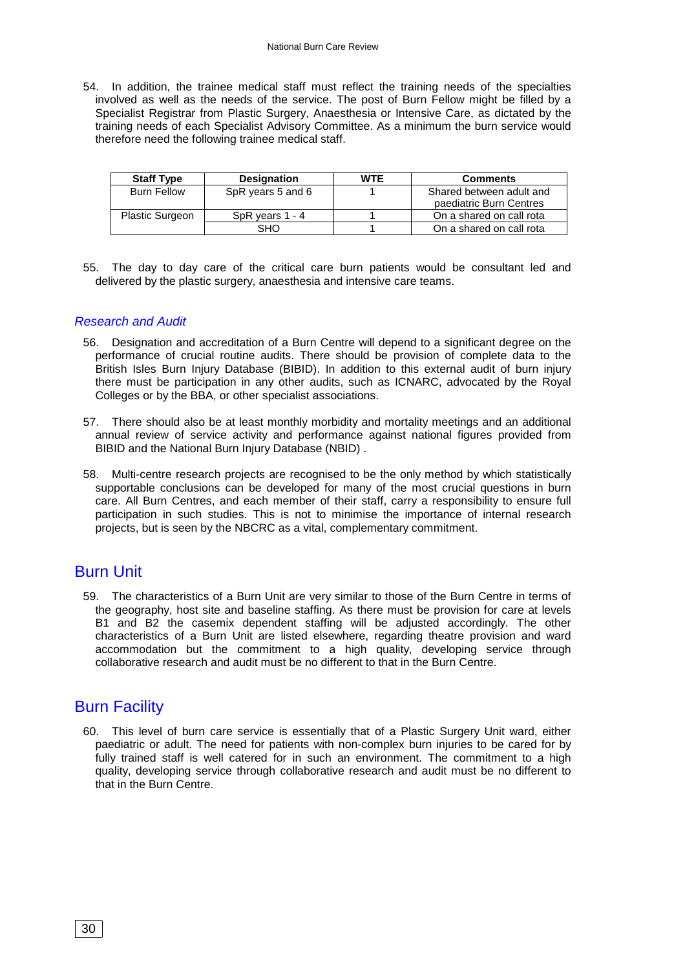54. In addition, the trainee medical staff must reflect the training needs of the specialties involved as well as the needs of the service. The post of Burn Fellow might be filled by a Specialist Registrar from Plastic Surgery, Anaesthesia or Intensive Care, as dictated by the training needs of each Specialist Advisory Committee. As a minimum the burn service would therefore need the following trainee medical staff.

| <b>Staff Type</b>      | <b>Designation</b> | <b>WTE</b> | <b>Comments</b>          |
|------------------------|--------------------|------------|--------------------------|
| Burn Fellow            | SpR years 5 and 6  |            | Shared between adult and |
|                        |                    |            | paediatric Burn Centres  |
| <b>Plastic Surgeon</b> | SpR years 1 - 4    |            | On a shared on call rota |
|                        | <b>SHO</b>         |            | On a shared on call rota |

55. The day to day care of the critical care burn patients would be consultant led and delivered by the plastic surgery, anaesthesia and intensive care teams.

#### *Research and Audit*

- 56. Designation and accreditation of a Burn Centre will depend to a significant degree on the performance of crucial routine audits. There should be provision of complete data to the British Isles Burn Injury Database (BIBID). In addition to this external audit of burn injury there must be participation in any other audits, such as ICNARC, advocated by the Royal Colleges or by the BBA, or other specialist associations.
- 57. There should also be at least monthly morbidity and mortality meetings and an additional annual review of service activity and performance against national figures provided from BIBID and the National Burn Injury Database (NBID) .
- 58. Multi-centre research projects are recognised to be the only method by which statistically supportable conclusions can be developed for many of the most crucial questions in burn care. All Burn Centres, and each member of their staff, carry a responsibility to ensure full participation in such studies. This is not to minimise the importance of internal research projects, but is seen by the NBCRC as a vital, complementary commitment.

### Burn Unit

59. The characteristics of a Burn Unit are very similar to those of the Burn Centre in terms of the geography, host site and baseline staffing. As there must be provision for care at levels B1 and B2 the casemix dependent staffing will be adjusted accordingly. The other characteristics of a Burn Unit are listed elsewhere, regarding theatre provision and ward accommodation but the commitment to a high quality, developing service through collaborative research and audit must be no different to that in the Burn Centre.

### Burn Facility

60. This level of burn care service is essentially that of a Plastic Surgery Unit ward, either paediatric or adult. The need for patients with non-complex burn injuries to be cared for by fully trained staff is well catered for in such an environment. The commitment to a high quality, developing service through collaborative research and audit must be no different to that in the Burn Centre.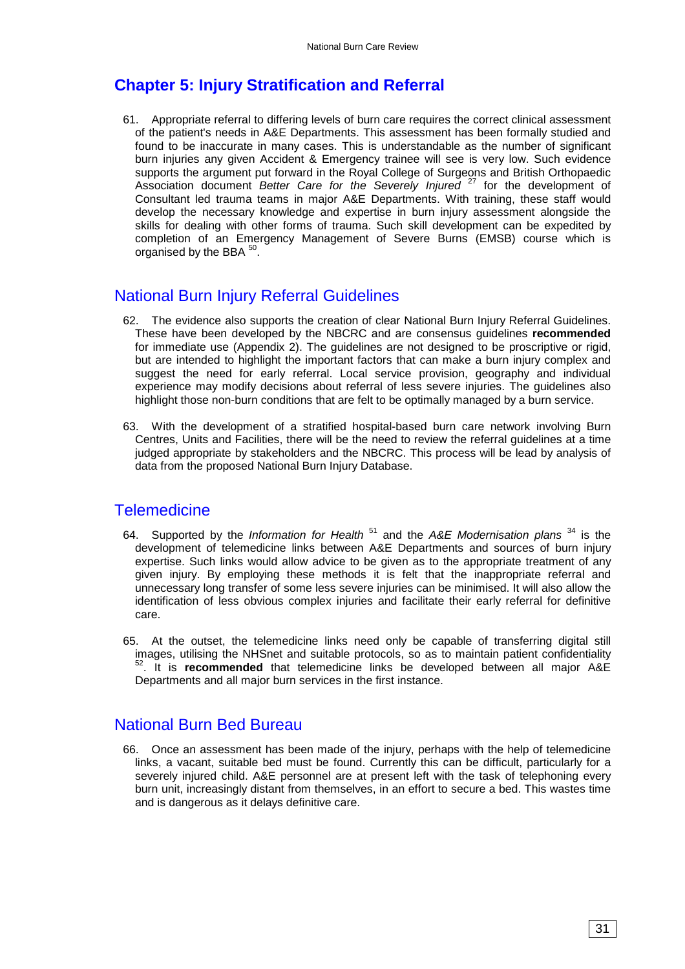# **Chapter 5: Injury Stratification and Referral**

61. Appropriate referral to differing levels of burn care requires the correct clinical assessment of the patient's needs in A&E Departments. This assessment has been formally studied and found to be inaccurate in many cases. This is understandable as the number of significant burn injuries any given Accident & Emergency trainee will see is very low. Such evidence supports the argument put forward in the Royal College of Surgeons and British Orthopaedic Association document *Better Care for the Severely Injured* 27 for the development of Consultant led trauma teams in major A&E Departments. With training, these staff would develop the necessary knowledge and expertise in burn injury assessment alongside the skills for dealing with other forms of trauma. Such skill development can be expedited by completion of an Emergency Management of Severe Burns (EMSB) course which is organised by the BBA <sup>50</sup>.

# National Burn Injury Referral Guidelines

- 62. The evidence also supports the creation of clear National Burn Injury Referral Guidelines. These have been developed by the NBCRC and are consensus guidelines **recommended** for immediate use (Appendix 2). The guidelines are not designed to be proscriptive or rigid, but are intended to highlight the important factors that can make a burn injury complex and suggest the need for early referral. Local service provision, geography and individual experience may modify decisions about referral of less severe injuries. The guidelines also highlight those non-burn conditions that are felt to be optimally managed by a burn service.
- 63. With the development of a stratified hospital-based burn care network involving Burn Centres, Units and Facilities, there will be the need to review the referral guidelines at a time judged appropriate by stakeholders and the NBCRC. This process will be lead by analysis of data from the proposed National Burn Injury Database.

### **Telemedicine**

- 64. Supported by the *Information for Health* 51 and the *A&E Modernisation plans* 34 is the development of telemedicine links between A&E Departments and sources of burn injury expertise. Such links would allow advice to be given as to the appropriate treatment of any given injury. By employing these methods it is felt that the inappropriate referral and unnecessary long transfer of some less severe injuries can be minimised. It will also allow the identification of less obvious complex injuries and facilitate their early referral for definitive care.
- 65. At the outset, the telemedicine links need only be capable of transferring digital still images, utilising the NHSnet and suitable protocols, so as to maintain patient confidentiality 52. It is **recommended** that telemedicine links be developed between all major A&E Departments and all major burn services in the first instance.

### National Burn Bed Bureau

66. Once an assessment has been made of the injury, perhaps with the help of telemedicine links, a vacant, suitable bed must be found. Currently this can be difficult, particularly for a severely injured child. A&E personnel are at present left with the task of telephoning every burn unit, increasingly distant from themselves, in an effort to secure a bed. This wastes time and is dangerous as it delays definitive care.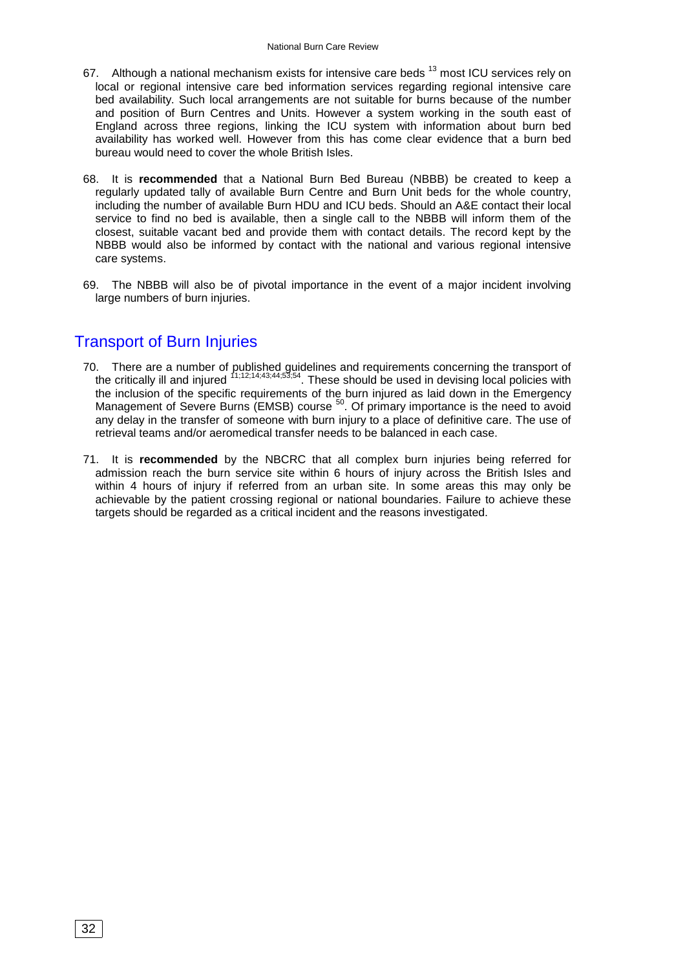- 67. Although a national mechanism exists for intensive care beds  $^{13}$  most ICU services rely on local or regional intensive care bed information services regarding regional intensive care bed availability. Such local arrangements are not suitable for burns because of the number and position of Burn Centres and Units. However a system working in the south east of England across three regions, linking the ICU system with information about burn bed availability has worked well. However from this has come clear evidence that a burn bed bureau would need to cover the whole British Isles.
- 68. It is **recommended** that a National Burn Bed Bureau (NBBB) be created to keep a regularly updated tally of available Burn Centre and Burn Unit beds for the whole country, including the number of available Burn HDU and ICU beds. Should an A&E contact their local service to find no bed is available, then a single call to the NBBB will inform them of the closest, suitable vacant bed and provide them with contact details. The record kept by the NBBB would also be informed by contact with the national and various regional intensive care systems.
- 69. The NBBB will also be of pivotal importance in the event of a major incident involving large numbers of burn injuries.

# Transport of Burn Injuries

- 70. There are a number of published guidelines and requirements concerning the transport of the critically ill and injured  $(1,12,14,43,44,53,54)$ . These should be used in devising local policies with the inclusion of the specific requirements of the burn injured as laid down in the Emergency Management of Severe Burns (EMSB) course <sup>50</sup>. Of primary importance is the need to avoid any delay in the transfer of someone with burn injury to a place of definitive care. The use of retrieval teams and/or aeromedical transfer needs to be balanced in each case.
- 71. It is **recommended** by the NBCRC that all complex burn injuries being referred for admission reach the burn service site within 6 hours of injury across the British Isles and within 4 hours of injury if referred from an urban site. In some areas this may only be achievable by the patient crossing regional or national boundaries. Failure to achieve these targets should be regarded as a critical incident and the reasons investigated.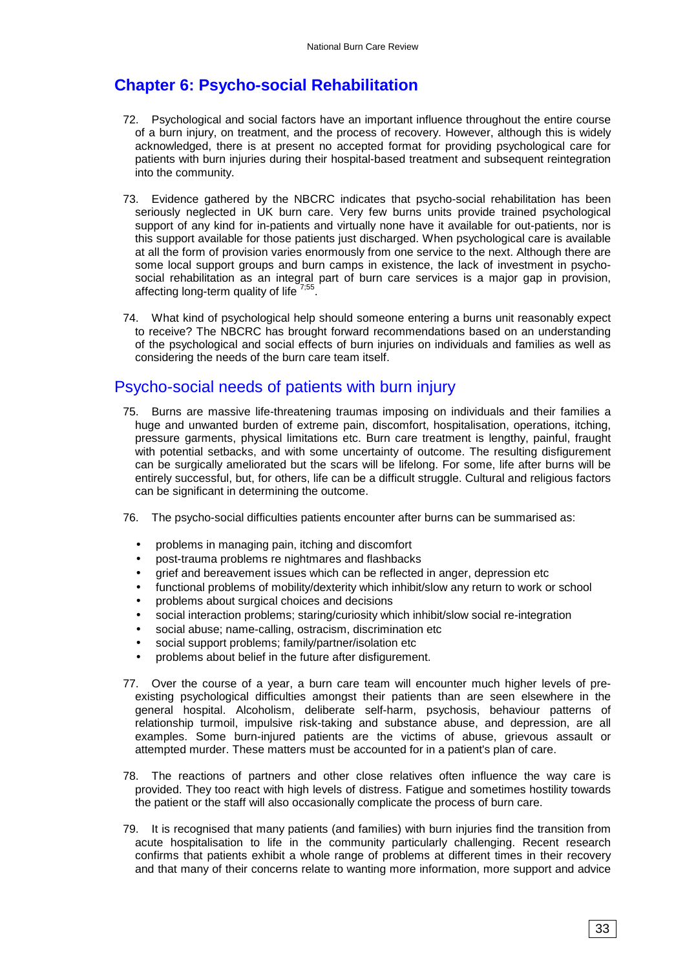# **Chapter 6: Psycho-social Rehabilitation**

- 72. Psychological and social factors have an important influence throughout the entire course of a burn injury, on treatment, and the process of recovery. However, although this is widely acknowledged, there is at present no accepted format for providing psychological care for patients with burn injuries during their hospital-based treatment and subsequent reintegration into the community.
- 73. Evidence gathered by the NBCRC indicates that psycho-social rehabilitation has been seriously neglected in UK burn care. Very few burns units provide trained psychological support of any kind for in-patients and virtually none have it available for out-patients, nor is this support available for those patients just discharged. When psychological care is available at all the form of provision varies enormously from one service to the next. Although there are some local support groups and burn camps in existence, the lack of investment in psychosocial rehabilitation as an integral part of burn care services is a major gap in provision, affecting long-term quality of life<sup>7,55</sup>.
- 74. What kind of psychological help should someone entering a burns unit reasonably expect to receive? The NBCRC has brought forward recommendations based on an understanding of the psychological and social effects of burn injuries on individuals and families as well as considering the needs of the burn care team itself.

### Psycho-social needs of patients with burn injury

- 75. Burns are massive life-threatening traumas imposing on individuals and their families a huge and unwanted burden of extreme pain, discomfort, hospitalisation, operations, itching, pressure garments, physical limitations etc. Burn care treatment is lengthy, painful, fraught with potential setbacks, and with some uncertainty of outcome. The resulting disfigurement can be surgically ameliorated but the scars will be lifelong. For some, life after burns will be entirely successful, but, for others, life can be a difficult struggle. Cultural and religious factors can be significant in determining the outcome.
- 76. The psycho-social difficulties patients encounter after burns can be summarised as:
	- problems in managing pain, itching and discomfort
	- post-trauma problems re nightmares and flashbacks
	- grief and bereavement issues which can be reflected in anger, depression etc
	- functional problems of mobility/dexterity which inhibit/slow any return to work or school
	- problems about surgical choices and decisions
	- social interaction problems; staring/curiosity which inhibit/slow social re-integration
	- social abuse; name-calling, ostracism, discrimination etc
	- social support problems; family/partner/isolation etc
	- problems about belief in the future after disfigurement.
- 77. Over the course of a year, a burn care team will encounter much higher levels of preexisting psychological difficulties amongst their patients than are seen elsewhere in the general hospital. Alcoholism, deliberate self-harm, psychosis, behaviour patterns of relationship turmoil, impulsive risk-taking and substance abuse, and depression, are all examples. Some burn-injured patients are the victims of abuse, grievous assault or attempted murder. These matters must be accounted for in a patient's plan of care.
- 78. The reactions of partners and other close relatives often influence the way care is provided. They too react with high levels of distress. Fatigue and sometimes hostility towards the patient or the staff will also occasionally complicate the process of burn care.
- 79. It is recognised that many patients (and families) with burn injuries find the transition from acute hospitalisation to life in the community particularly challenging. Recent research confirms that patients exhibit a whole range of problems at different times in their recovery and that many of their concerns relate to wanting more information, more support and advice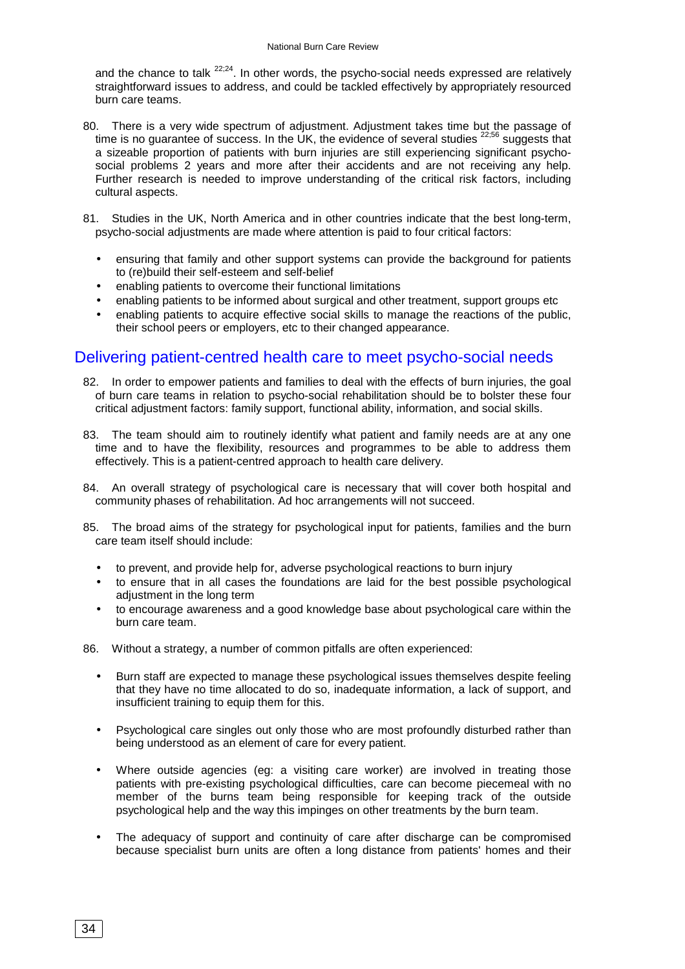and the chance to talk  $22,24$ . In other words, the psycho-social needs expressed are relatively straightforward issues to address, and could be tackled effectively by appropriately resourced burn care teams.

- 80. There is a very wide spectrum of adjustment. Adjustment takes time but the passage of time is no guarantee of success. In the UK, the evidence of several studies  $^{22,56}$  suggests that a sizeable proportion of patients with burn injuries are still experiencing significant psychosocial problems 2 years and more after their accidents and are not receiving any help. Further research is needed to improve understanding of the critical risk factors, including cultural aspects.
- 81. Studies in the UK, North America and in other countries indicate that the best long-term, psycho-social adjustments are made where attention is paid to four critical factors:
	- ensuring that family and other support systems can provide the background for patients to (re)build their self-esteem and self-belief
	- enabling patients to overcome their functional limitations
	- enabling patients to be informed about surgical and other treatment, support groups etc
	- enabling patients to acquire effective social skills to manage the reactions of the public, their school peers or employers, etc to their changed appearance.

# Delivering patient-centred health care to meet psycho-social needs

- 82. In order to empower patients and families to deal with the effects of burn injuries, the goal of burn care teams in relation to psycho-social rehabilitation should be to bolster these four critical adjustment factors: family support, functional ability, information, and social skills.
- 83. The team should aim to routinely identify what patient and family needs are at any one time and to have the flexibility, resources and programmes to be able to address them effectively. This is a patient-centred approach to health care delivery.
- 84. An overall strategy of psychological care is necessary that will cover both hospital and community phases of rehabilitation. Ad hoc arrangements will not succeed.
- 85. The broad aims of the strategy for psychological input for patients, families and the burn care team itself should include:
	- to prevent, and provide help for, adverse psychological reactions to burn injury
	- to ensure that in all cases the foundations are laid for the best possible psychological adjustment in the long term
	- to encourage awareness and a good knowledge base about psychological care within the burn care team.
- 86. Without a strategy, a number of common pitfalls are often experienced:
	- Burn staff are expected to manage these psychological issues themselves despite feeling that they have no time allocated to do so, inadequate information, a lack of support, and insufficient training to equip them for this.
	- Psychological care singles out only those who are most profoundly disturbed rather than being understood as an element of care for every patient.
	- Where outside agencies (eg: a visiting care worker) are involved in treating those patients with pre-existing psychological difficulties, care can become piecemeal with no member of the burns team being responsible for keeping track of the outside psychological help and the way this impinges on other treatments by the burn team.
	- The adequacy of support and continuity of care after discharge can be compromised because specialist burn units are often a long distance from patients' homes and their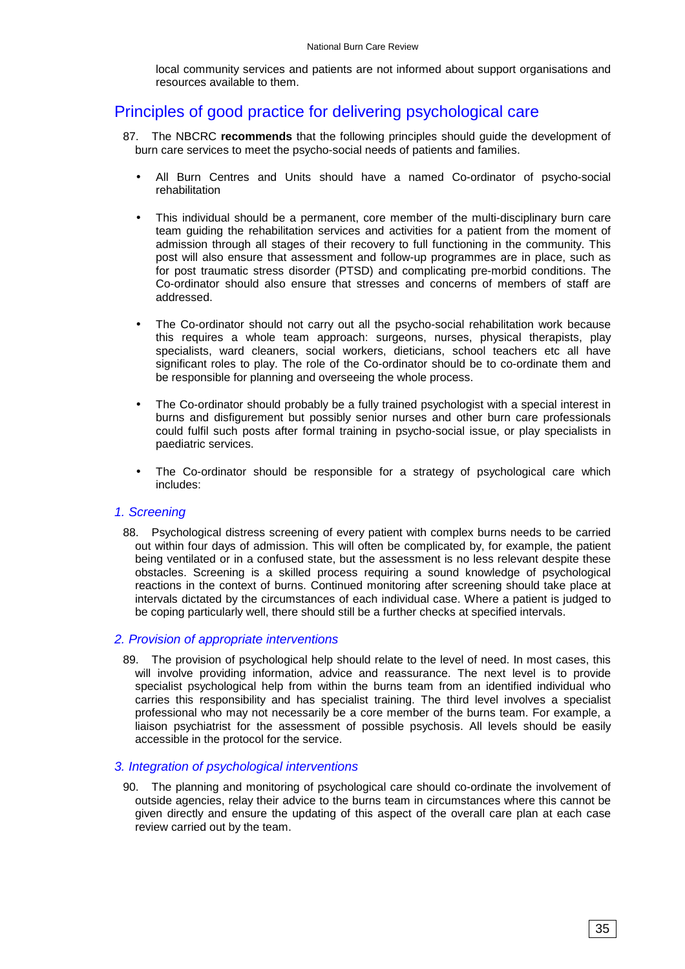local community services and patients are not informed about support organisations and resources available to them.

# Principles of good practice for delivering psychological care

- 87. The NBCRC **recommends** that the following principles should guide the development of burn care services to meet the psycho-social needs of patients and families.
	- All Burn Centres and Units should have a named Co-ordinator of psycho-social rehabilitation
	- This individual should be a permanent, core member of the multi-disciplinary burn care team guiding the rehabilitation services and activities for a patient from the moment of admission through all stages of their recovery to full functioning in the community. This post will also ensure that assessment and follow-up programmes are in place, such as for post traumatic stress disorder (PTSD) and complicating pre-morbid conditions. The Co-ordinator should also ensure that stresses and concerns of members of staff are addressed.
	- The Co-ordinator should not carry out all the psycho-social rehabilitation work because this requires a whole team approach: surgeons, nurses, physical therapists, play specialists, ward cleaners, social workers, dieticians, school teachers etc all have significant roles to play. The role of the Co-ordinator should be to co-ordinate them and be responsible for planning and overseeing the whole process.
	- The Co-ordinator should probably be a fully trained psychologist with a special interest in burns and disfigurement but possibly senior nurses and other burn care professionals could fulfil such posts after formal training in psycho-social issue, or play specialists in paediatric services.
	- The Co-ordinator should be responsible for a strategy of psychological care which includes:

#### *1. Screening*

88. Psychological distress screening of every patient with complex burns needs to be carried out within four days of admission. This will often be complicated by, for example, the patient being ventilated or in a confused state, but the assessment is no less relevant despite these obstacles. Screening is a skilled process requiring a sound knowledge of psychological reactions in the context of burns. Continued monitoring after screening should take place at intervals dictated by the circumstances of each individual case. Where a patient is judged to be coping particularly well, there should still be a further checks at specified intervals.

#### *2. Provision of appropriate interventions*

89. The provision of psychological help should relate to the level of need. In most cases, this will involve providing information, advice and reassurance. The next level is to provide specialist psychological help from within the burns team from an identified individual who carries this responsibility and has specialist training. The third level involves a specialist professional who may not necessarily be a core member of the burns team. For example, a liaison psychiatrist for the assessment of possible psychosis. All levels should be easily accessible in the protocol for the service.

#### *3. Integration of psychological interventions*

90. The planning and monitoring of psychological care should co-ordinate the involvement of outside agencies, relay their advice to the burns team in circumstances where this cannot be given directly and ensure the updating of this aspect of the overall care plan at each case review carried out by the team.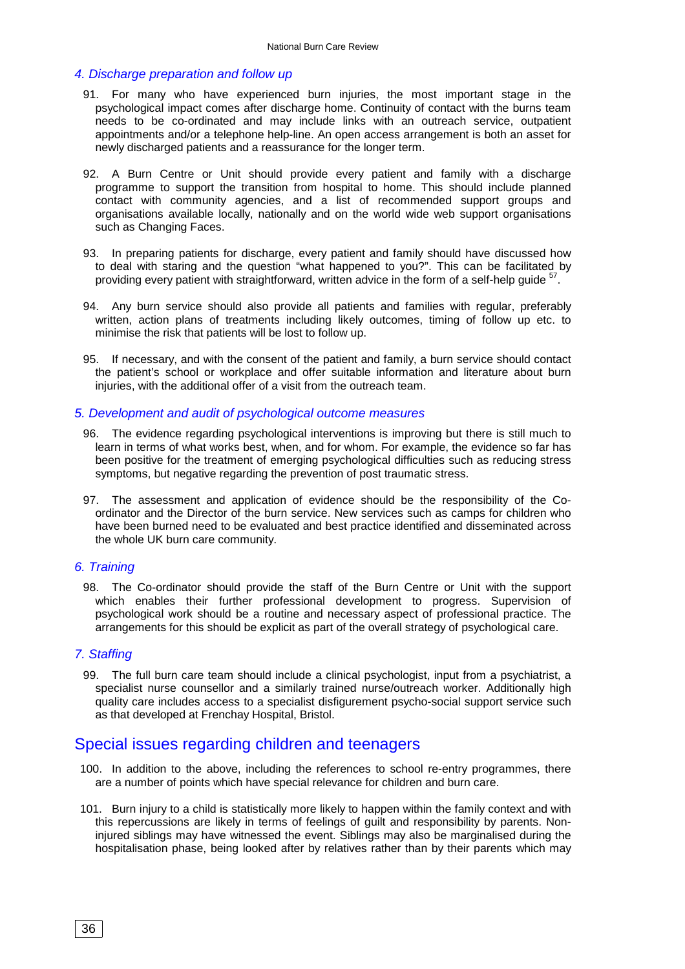#### *4. Discharge preparation and follow up*

- 91. For many who have experienced burn injuries, the most important stage in the psychological impact comes after discharge home. Continuity of contact with the burns team needs to be co-ordinated and may include links with an outreach service, outpatient appointments and/or a telephone help-line. An open access arrangement is both an asset for newly discharged patients and a reassurance for the longer term.
- 92. A Burn Centre or Unit should provide every patient and family with a discharge programme to support the transition from hospital to home. This should include planned contact with community agencies, and a list of recommended support groups and organisations available locally, nationally and on the world wide web support organisations such as Changing Faces.
- 93. In preparing patients for discharge, every patient and family should have discussed how to deal with staring and the question "what happened to you?". This can be facilitated by providing every patient with straightforward, written advice in the form of a self-help guide  $57$ .
- 94. Any burn service should also provide all patients and families with regular, preferably written, action plans of treatments including likely outcomes, timing of follow up etc. to minimise the risk that patients will be lost to follow up.
- 95. If necessary, and with the consent of the patient and family, a burn service should contact the patient's school or workplace and offer suitable information and literature about burn injuries, with the additional offer of a visit from the outreach team.

#### *5. Development and audit of psychological outcome measures*

- 96. The evidence regarding psychological interventions is improving but there is still much to learn in terms of what works best, when, and for whom. For example, the evidence so far has been positive for the treatment of emerging psychological difficulties such as reducing stress symptoms, but negative regarding the prevention of post traumatic stress.
- 97. The assessment and application of evidence should be the responsibility of the Coordinator and the Director of the burn service. New services such as camps for children who have been burned need to be evaluated and best practice identified and disseminated across the whole UK burn care community.

### *6. Training*

98. The Co-ordinator should provide the staff of the Burn Centre or Unit with the support which enables their further professional development to progress. Supervision of psychological work should be a routine and necessary aspect of professional practice. The arrangements for this should be explicit as part of the overall strategy of psychological care.

### *7. Staffing*

99. The full burn care team should include a clinical psychologist, input from a psychiatrist, a specialist nurse counsellor and a similarly trained nurse/outreach worker. Additionally high quality care includes access to a specialist disfigurement psycho-social support service such as that developed at Frenchay Hospital, Bristol.

### Special issues regarding children and teenagers

- 100. In addition to the above, including the references to school re-entry programmes, there are a number of points which have special relevance for children and burn care.
- 101. Burn injury to a child is statistically more likely to happen within the family context and with this repercussions are likely in terms of feelings of guilt and responsibility by parents. Noninjured siblings may have witnessed the event. Siblings may also be marginalised during the hospitalisation phase, being looked after by relatives rather than by their parents which may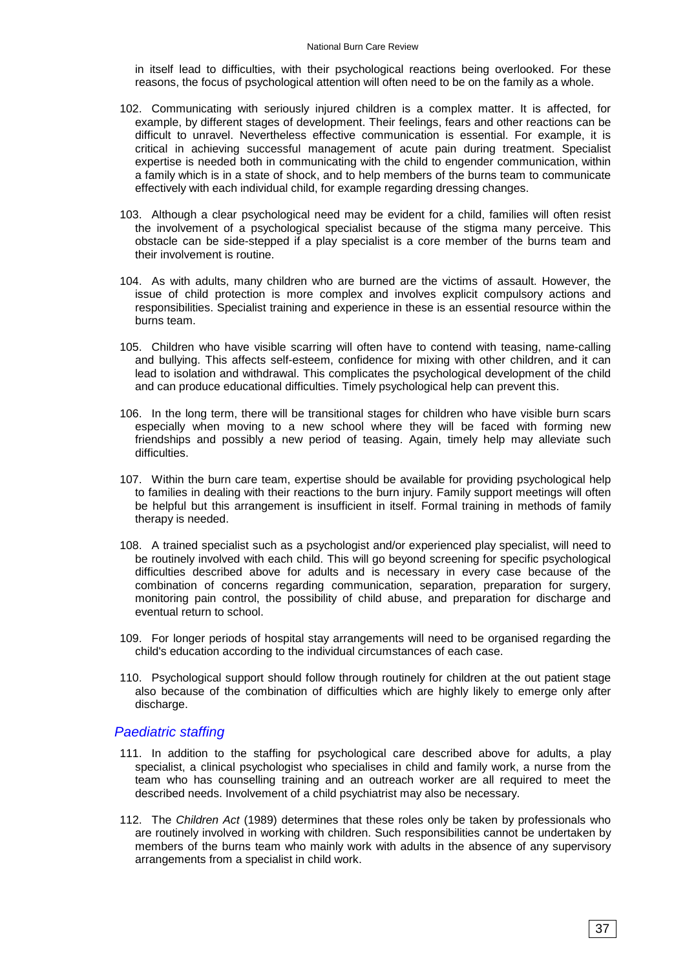#### National Burn Care Review

in itself lead to difficulties, with their psychological reactions being overlooked. For these reasons, the focus of psychological attention will often need to be on the family as a whole.

- 102. Communicating with seriously injured children is a complex matter. It is affected, for example, by different stages of development. Their feelings, fears and other reactions can be difficult to unravel. Nevertheless effective communication is essential. For example, it is critical in achieving successful management of acute pain during treatment. Specialist expertise is needed both in communicating with the child to engender communication, within a family which is in a state of shock, and to help members of the burns team to communicate effectively with each individual child, for example regarding dressing changes.
- 103. Although a clear psychological need may be evident for a child, families will often resist the involvement of a psychological specialist because of the stigma many perceive. This obstacle can be side-stepped if a play specialist is a core member of the burns team and their involvement is routine.
- 104. As with adults, many children who are burned are the victims of assault. However, the issue of child protection is more complex and involves explicit compulsory actions and responsibilities. Specialist training and experience in these is an essential resource within the burns team.
- 105. Children who have visible scarring will often have to contend with teasing, name-calling and bullying. This affects self-esteem, confidence for mixing with other children, and it can lead to isolation and withdrawal. This complicates the psychological development of the child and can produce educational difficulties. Timely psychological help can prevent this.
- 106. In the long term, there will be transitional stages for children who have visible burn scars especially when moving to a new school where they will be faced with forming new friendships and possibly a new period of teasing. Again, timely help may alleviate such difficulties.
- 107. Within the burn care team, expertise should be available for providing psychological help to families in dealing with their reactions to the burn injury. Family support meetings will often be helpful but this arrangement is insufficient in itself. Formal training in methods of family therapy is needed.
- 108. A trained specialist such as a psychologist and/or experienced play specialist, will need to be routinely involved with each child. This will go beyond screening for specific psychological difficulties described above for adults and is necessary in every case because of the combination of concerns regarding communication, separation, preparation for surgery, monitoring pain control, the possibility of child abuse, and preparation for discharge and eventual return to school.
- 109. For longer periods of hospital stay arrangements will need to be organised regarding the child's education according to the individual circumstances of each case.
- 110. Psychological support should follow through routinely for children at the out patient stage also because of the combination of difficulties which are highly likely to emerge only after discharge.

#### *Paediatric staffing*

- 111. In addition to the staffing for psychological care described above for adults, a play specialist, a clinical psychologist who specialises in child and family work, a nurse from the team who has counselling training and an outreach worker are all required to meet the described needs. Involvement of a child psychiatrist may also be necessary.
- 112. The *Children Act* (1989) determines that these roles only be taken by professionals who are routinely involved in working with children. Such responsibilities cannot be undertaken by members of the burns team who mainly work with adults in the absence of any supervisory arrangements from a specialist in child work.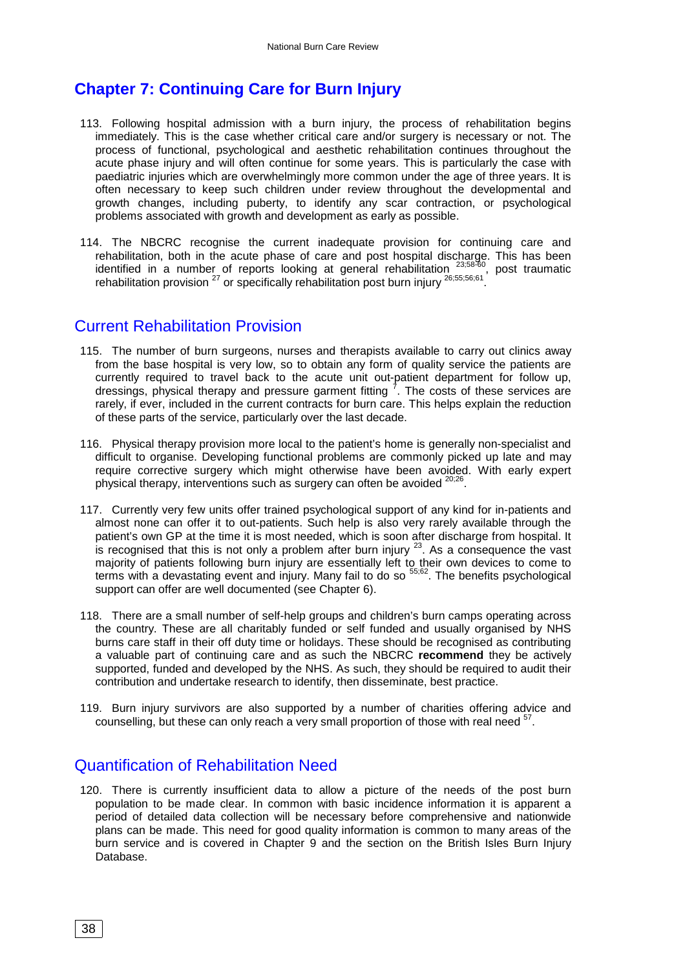# **Chapter 7: Continuing Care for Burn Injury**

- 113. Following hospital admission with a burn injury, the process of rehabilitation begins immediately. This is the case whether critical care and/or surgery is necessary or not. The process of functional, psychological and aesthetic rehabilitation continues throughout the acute phase injury and will often continue for some years. This is particularly the case with paediatric injuries which are overwhelmingly more common under the age of three years. It is often necessary to keep such children under review throughout the developmental and growth changes, including puberty, to identify any scar contraction, or psychological problems associated with growth and development as early as possible.
- 114. The NBCRC recognise the current inadequate provision for continuing care and rehabilitation, both in the acute phase of care and post hospital discharge. This has been identified in a number of reports looking at general rehabilitation  $23,58,560$ , post traumatic identified in a number of reports looking at general rehabilitation  $^{23,58\cdot80}$ , post traumatic rehabilitation provision  $^{27}$  or specifically rehabilitation post burn injury  $^{26,55,56,61}$ .

# Current Rehabilitation Provision

- 115. The number of burn surgeons, nurses and therapists available to carry out clinics away from the base hospital is very low, so to obtain any form of quality service the patients are currently required to travel back to the acute unit out-patient department for follow up, dressings, physical therapy and pressure garment fitting  $\frac{7}{1}$ . The costs of these services are rarely, if ever, included in the current contracts for burn care. This helps explain the reduction of these parts of the service, particularly over the last decade.
- 116. Physical therapy provision more local to the patient's home is generally non-specialist and difficult to organise. Developing functional problems are commonly picked up late and may require corrective surgery which might otherwise have been avoided. With early expert physical therapy, interventions such as surgery can often be avoided <sup>20;26</sup>.
- 117. Currently very few units offer trained psychological support of any kind for in-patients and almost none can offer it to out-patients. Such help is also very rarely available through the patient's own GP at the time it is most needed, which is soon after discharge from hospital. It patient b complete that this is not only a problem after burn injury <sup>23</sup>. As a consequence the vast majority of patients following burn injury are essentially left to their own devices to come to terms with a devastating event and injury. Many fail to do so <sup>55,62</sup>. The benefits psychological support can offer are well documented (see Chapter 6).
- 118. There are a small number of self-help groups and children's burn camps operating across the country. These are all charitably funded or self funded and usually organised by NHS burns care staff in their off duty time or holidays. These should be recognised as contributing a valuable part of continuing care and as such the NBCRC **recommend** they be actively supported, funded and developed by the NHS. As such, they should be required to audit their contribution and undertake research to identify, then disseminate, best practice.
- 119. Burn injury survivors are also supported by a number of charities offering advice and counselling, but these can only reach a very small proportion of those with real need  $5^\prime$ .

# Quantification of Rehabilitation Need

120. There is currently insufficient data to allow a picture of the needs of the post burn population to be made clear. In common with basic incidence information it is apparent a period of detailed data collection will be necessary before comprehensive and nationwide plans can be made. This need for good quality information is common to many areas of the burn service and is covered in Chapter 9 and the section on the British Isles Burn Injury Database.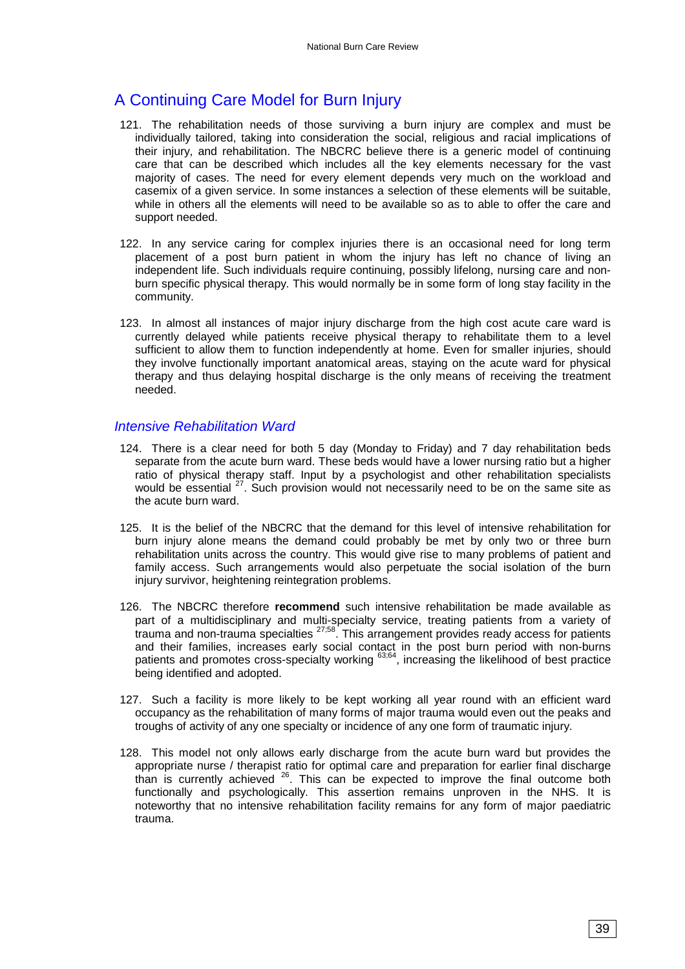# A Continuing Care Model for Burn Injury

- 121. The rehabilitation needs of those surviving a burn injury are complex and must be individually tailored, taking into consideration the social, religious and racial implications of their injury, and rehabilitation. The NBCRC believe there is a generic model of continuing care that can be described which includes all the key elements necessary for the vast majority of cases. The need for every element depends very much on the workload and casemix of a given service. In some instances a selection of these elements will be suitable, while in others all the elements will need to be available so as to able to offer the care and support needed.
- 122. In any service caring for complex injuries there is an occasional need for long term placement of a post burn patient in whom the injury has left no chance of living an independent life. Such individuals require continuing, possibly lifelong, nursing care and nonburn specific physical therapy. This would normally be in some form of long stay facility in the community.
- 123. In almost all instances of major injury discharge from the high cost acute care ward is currently delayed while patients receive physical therapy to rehabilitate them to a level sufficient to allow them to function independently at home. Even for smaller injuries, should they involve functionally important anatomical areas, staying on the acute ward for physical therapy and thus delaying hospital discharge is the only means of receiving the treatment needed.

#### *Intensive Rehabilitation Ward*

- 124. There is a clear need for both 5 day (Monday to Friday) and 7 day rehabilitation beds separate from the acute burn ward. These beds would have a lower nursing ratio but a higher ratio of physical therapy staff. Input by a psychologist and other rehabilitation specialists would be essential  $27$ . Such provision would not necessarily need to be on the same site as the acute burn ward.
- 125. It is the belief of the NBCRC that the demand for this level of intensive rehabilitation for burn injury alone means the demand could probably be met by only two or three burn rehabilitation units across the country. This would give rise to many problems of patient and family access. Such arrangements would also perpetuate the social isolation of the burn injury survivor, heightening reintegration problems.
- 126. The NBCRC therefore **recommend** such intensive rehabilitation be made available as part of a multidisciplinary and multi-specialty service, treating patients from a variety of trauma and non-trauma specialties 27;58. This arrangement provides ready access for patients and their families, increases early social contact in the post burn period with non-burns patients and promotes cross-specialty working <sup>63;64</sup>, increasing the likelihood of best practice being identified and adopted.
- 127. Such a facility is more likely to be kept working all year round with an efficient ward occupancy as the rehabilitation of many forms of major trauma would even out the peaks and troughs of activity of any one specialty or incidence of any one form of traumatic injury.
- 128. This model not only allows early discharge from the acute burn ward but provides the appropriate nurse / therapist ratio for optimal care and preparation for earlier final discharge than is currently achieved <sup>26</sup>. This can be expected to improve the final outcome both functionally and psychologically. This assertion remains unproven in the NHS. It is noteworthy that no intensive rehabilitation facility remains for any form of major paediatric trauma.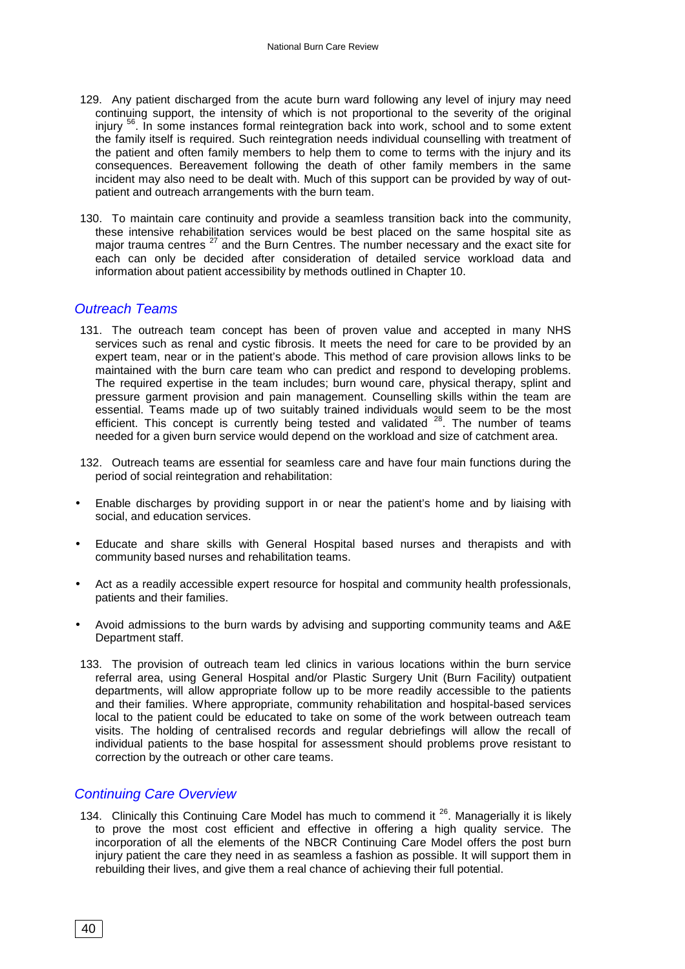- 129. Any patient discharged from the acute burn ward following any level of injury may need continuing support, the intensity of which is not proportional to the severity of the original injury <sup>56</sup>. In some instances formal reintegration back into work, school and to some extent the family itself is required. Such reintegration needs individual counselling with treatment of the patient and often family members to help them to come to terms with the injury and its consequences. Bereavement following the death of other family members in the same incident may also need to be dealt with. Much of this support can be provided by way of outpatient and outreach arrangements with the burn team.
- 130. To maintain care continuity and provide a seamless transition back into the community, these intensive rehabilitation services would be best placed on the same hospital site as major trauma centres <sup>27</sup> and the Burn Centres. The number necessary and the exact site for each can only be decided after consideration of detailed service workload data and information about patient accessibility by methods outlined in Chapter 10.

### *Outreach Teams*

- 131. The outreach team concept has been of proven value and accepted in many NHS services such as renal and cystic fibrosis. It meets the need for care to be provided by an expert team, near or in the patient's abode. This method of care provision allows links to be maintained with the burn care team who can predict and respond to developing problems. The required expertise in the team includes; burn wound care, physical therapy, splint and pressure garment provision and pain management. Counselling skills within the team are essential. Teams made up of two suitably trained individuals would seem to be the most efficient. This concept is currently being tested and validated  $28$ . The number of teams needed for a given burn service would depend on the workload and size of catchment area.
- 132. Outreach teams are essential for seamless care and have four main functions during the period of social reintegration and rehabilitation:
- Enable discharges by providing support in or near the patient's home and by liaising with social, and education services.
- Educate and share skills with General Hospital based nurses and therapists and with community based nurses and rehabilitation teams.
- Act as a readily accessible expert resource for hospital and community health professionals, patients and their families.
- Avoid admissions to the burn wards by advising and supporting community teams and A&E Department staff.
- 133. The provision of outreach team led clinics in various locations within the burn service referral area, using General Hospital and/or Plastic Surgery Unit (Burn Facility) outpatient departments, will allow appropriate follow up to be more readily accessible to the patients and their families. Where appropriate, community rehabilitation and hospital-based services local to the patient could be educated to take on some of the work between outreach team visits. The holding of centralised records and regular debriefings will allow the recall of individual patients to the base hospital for assessment should problems prove resistant to correction by the outreach or other care teams.

### *Continuing Care Overview*

134. Clinically this Continuing Care Model has much to commend it  $26$ . Managerially it is likely to prove the most cost efficient and effective in offering a high quality service. The incorporation of all the elements of the NBCR Continuing Care Model offers the post burn injury patient the care they need in as seamless a fashion as possible. It will support them in rebuilding their lives, and give them a real chance of achieving their full potential.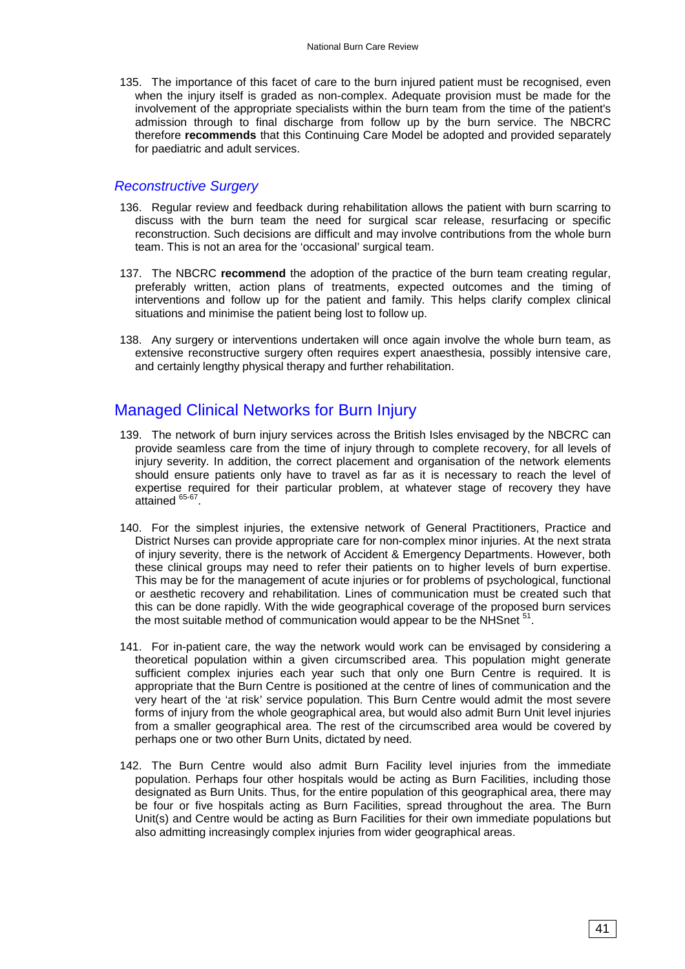135. The importance of this facet of care to the burn injured patient must be recognised, even when the injury itself is graded as non-complex. Adequate provision must be made for the involvement of the appropriate specialists within the burn team from the time of the patient's admission through to final discharge from follow up by the burn service. The NBCRC therefore **recommends** that this Continuing Care Model be adopted and provided separately for paediatric and adult services.

#### *Reconstructive Surgery*

- 136. Regular review and feedback during rehabilitation allows the patient with burn scarring to discuss with the burn team the need for surgical scar release, resurfacing or specific reconstruction. Such decisions are difficult and may involve contributions from the whole burn team. This is not an area for the 'occasional' surgical team.
- 137. The NBCRC **recommend** the adoption of the practice of the burn team creating regular, preferably written, action plans of treatments, expected outcomes and the timing of interventions and follow up for the patient and family. This helps clarify complex clinical situations and minimise the patient being lost to follow up.
- 138. Any surgery or interventions undertaken will once again involve the whole burn team, as extensive reconstructive surgery often requires expert anaesthesia, possibly intensive care, and certainly lengthy physical therapy and further rehabilitation.

### Managed Clinical Networks for Burn Injury

- 139. The network of burn injury services across the British Isles envisaged by the NBCRC can provide seamless care from the time of injury through to complete recovery, for all levels of injury severity. In addition, the correct placement and organisation of the network elements should ensure patients only have to travel as far as it is necessary to reach the level of expertise required for their particular problem, at whatever stage of recovery they have attained 65-67
- 140. For the simplest injuries, the extensive network of General Practitioners, Practice and District Nurses can provide appropriate care for non-complex minor injuries. At the next strata of injury severity, there is the network of Accident & Emergency Departments. However, both these clinical groups may need to refer their patients on to higher levels of burn expertise. This may be for the management of acute injuries or for problems of psychological, functional or aesthetic recovery and rehabilitation. Lines of communication must be created such that this can be done rapidly. With the wide geographical coverage of the proposed burn services the most suitable method of communication would appear to be the NHSnet  $51$ .
- 141. For in-patient care, the way the network would work can be envisaged by considering a theoretical population within a given circumscribed area. This population might generate sufficient complex injuries each year such that only one Burn Centre is required. It is appropriate that the Burn Centre is positioned at the centre of lines of communication and the very heart of the 'at risk' service population. This Burn Centre would admit the most severe forms of injury from the whole geographical area, but would also admit Burn Unit level injuries from a smaller geographical area. The rest of the circumscribed area would be covered by perhaps one or two other Burn Units, dictated by need.
- 142. The Burn Centre would also admit Burn Facility level injuries from the immediate population. Perhaps four other hospitals would be acting as Burn Facilities, including those designated as Burn Units. Thus, for the entire population of this geographical area, there may be four or five hospitals acting as Burn Facilities, spread throughout the area. The Burn Unit(s) and Centre would be acting as Burn Facilities for their own immediate populations but also admitting increasingly complex injuries from wider geographical areas.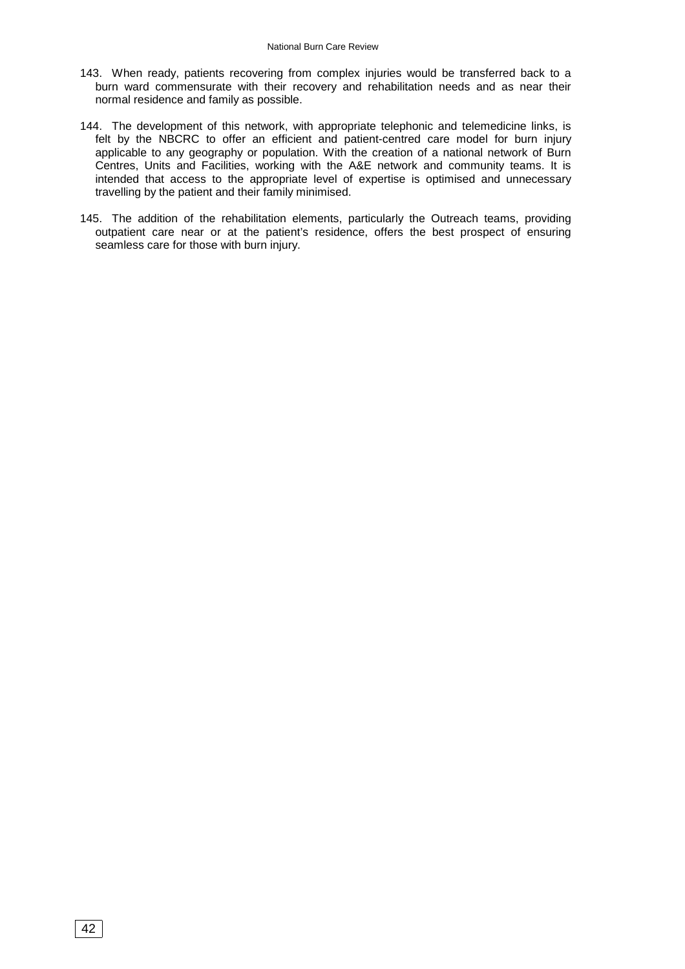- 143. When ready, patients recovering from complex injuries would be transferred back to a burn ward commensurate with their recovery and rehabilitation needs and as near their normal residence and family as possible.
- 144. The development of this network, with appropriate telephonic and telemedicine links, is felt by the NBCRC to offer an efficient and patient-centred care model for burn injury applicable to any geography or population. With the creation of a national network of Burn Centres, Units and Facilities, working with the A&E network and community teams. It is intended that access to the appropriate level of expertise is optimised and unnecessary travelling by the patient and their family minimised.
- 145. The addition of the rehabilitation elements, particularly the Outreach teams, providing outpatient care near or at the patient's residence, offers the best prospect of ensuring seamless care for those with burn injury.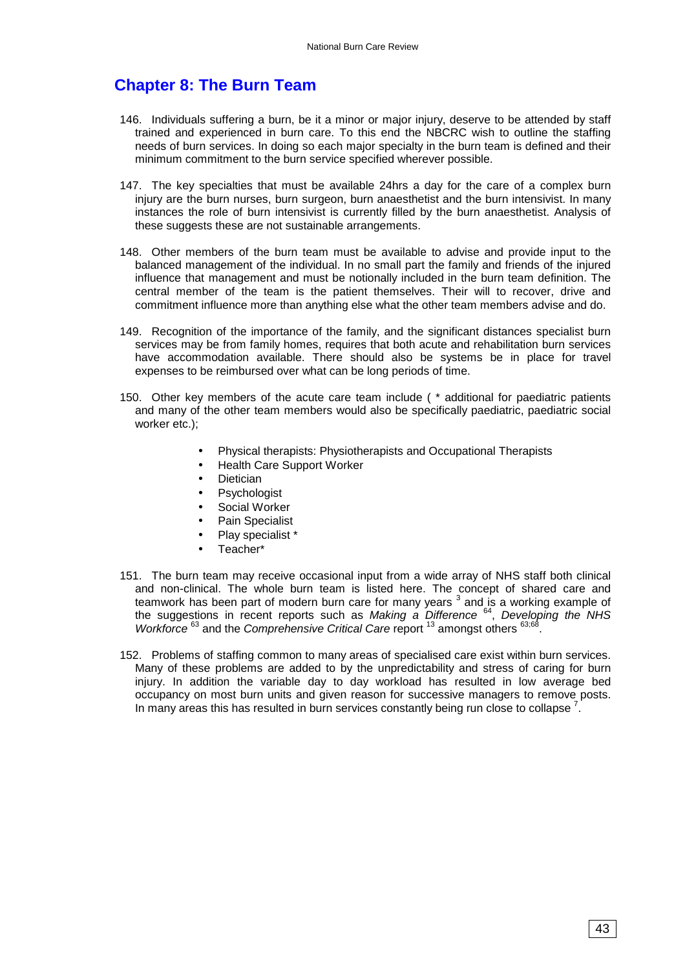# **Chapter 8: The Burn Team**

- 146. Individuals suffering a burn, be it a minor or major injury, deserve to be attended by staff trained and experienced in burn care. To this end the NBCRC wish to outline the staffing needs of burn services. In doing so each major specialty in the burn team is defined and their minimum commitment to the burn service specified wherever possible.
- 147. The key specialties that must be available 24hrs a day for the care of a complex burn injury are the burn nurses, burn surgeon, burn anaesthetist and the burn intensivist. In many instances the role of burn intensivist is currently filled by the burn anaesthetist. Analysis of these suggests these are not sustainable arrangements.
- 148. Other members of the burn team must be available to advise and provide input to the balanced management of the individual. In no small part the family and friends of the injured influence that management and must be notionally included in the burn team definition. The central member of the team is the patient themselves. Their will to recover, drive and commitment influence more than anything else what the other team members advise and do.
- 149. Recognition of the importance of the family, and the significant distances specialist burn services may be from family homes, requires that both acute and rehabilitation burn services have accommodation available. There should also be systems be in place for travel expenses to be reimbursed over what can be long periods of time.
- 150. Other key members of the acute care team include ( \* additional for paediatric patients and many of the other team members would also be specifically paediatric, paediatric social worker etc.);
	- Physical therapists: Physiotherapists and Occupational Therapists
	- Health Care Support Worker
	- **Dietician**
	- **Psychologist**
	- Social Worker
	- Pain Specialist
	- Play specialist \*
	- Teacher\*
- 151. The burn team may receive occasional input from a wide array of NHS staff both clinical and non-clinical. The whole burn team is listed here. The concept of shared care and teamwork has been part of modern burn care for many years  $^3$  and is a working example of the suggestions in recent reports such as *Making a Difference* 64, *Developing the NHS Workforce*<sup>63</sup> and the *Comprehensive Critical Care* report<sup>13</sup> amongst others<sup>63,68</sup>.
- 152. Problems of staffing common to many areas of specialised care exist within burn services. Many of these problems are added to by the unpredictability and stress of caring for burn injury. In addition the variable day to day workload has resulted in low average bed occupancy on most burn units and given reason for successive managers to remove posts. In many areas this has resulted in burn services constantly being run close to collapse  $\frac{7}{1}$ .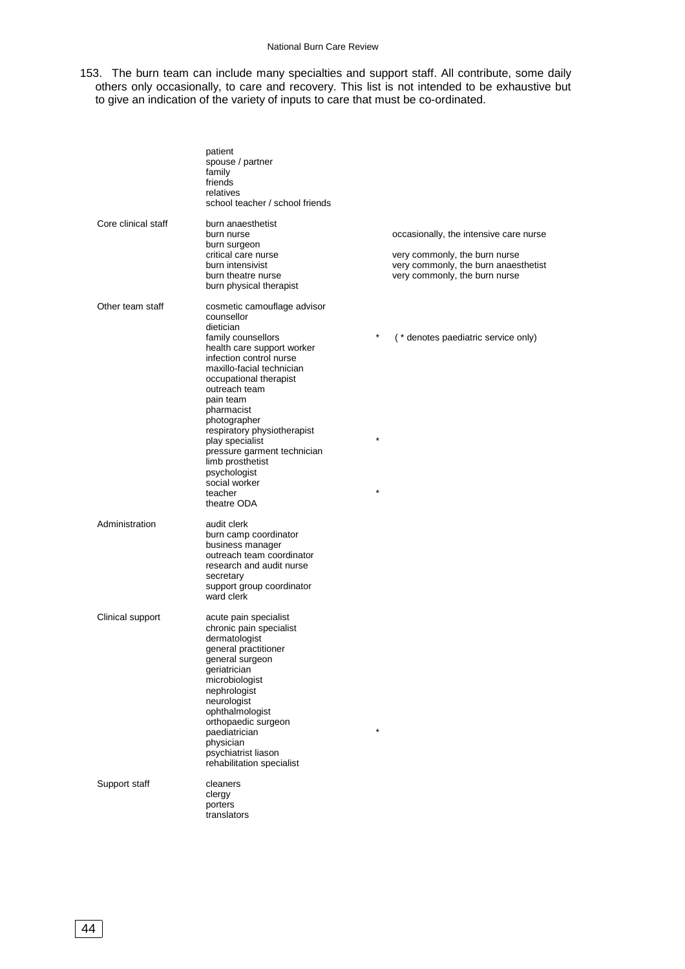#### National Burn Care Review

153. The burn team can include many specialties and support staff. All contribute, some daily others only occasionally, to care and recovery. This list is not intended to be exhaustive but to give an indication of the variety of inputs to care that must be co-ordinated.

|                     | patient<br>spouse / partner<br>family<br>friends<br>relatives<br>school teacher / school friends                                                                                                                                                                                                                                                                                                                         |                                                                                                                                                  |
|---------------------|--------------------------------------------------------------------------------------------------------------------------------------------------------------------------------------------------------------------------------------------------------------------------------------------------------------------------------------------------------------------------------------------------------------------------|--------------------------------------------------------------------------------------------------------------------------------------------------|
| Core clinical staff | burn anaesthetist<br>burn nurse<br>burn surgeon<br>critical care nurse<br>burn intensivist<br>burn theatre nurse<br>burn physical therapist                                                                                                                                                                                                                                                                              | occasionally, the intensive care nurse<br>very commonly, the burn nurse<br>very commonly, the burn anaesthetist<br>very commonly, the burn nurse |
| Other team staff    | cosmetic camouflage advisor<br>counsellor<br>dietician<br>family counsellors<br>health care support worker<br>infection control nurse<br>maxillo-facial technician<br>occupational therapist<br>outreach team<br>pain team<br>pharmacist<br>photographer<br>respiratory physiotherapist<br>play specialist<br>pressure garment technician<br>limb prosthetist<br>psychologist<br>social worker<br>teacher<br>theatre ODA | $^\star$<br>(* denotes paediatric service only)<br>$\star$<br>$\star$                                                                            |
| Administration      | audit clerk<br>burn camp coordinator<br>business manager<br>outreach team coordinator<br>research and audit nurse<br>secretary<br>support group coordinator<br>ward clerk                                                                                                                                                                                                                                                |                                                                                                                                                  |
| Clinical support    | acute pain specialist<br>chronic pain specialist<br>dermatologist<br>general practitioner<br>general surgeon<br>geriatrician<br>microbiologist<br>nephrologist<br>neurologist<br>ophthalmologist<br>orthopaedic surgeon<br>paediatrician<br>physician<br>psychiatrist liason<br>rehabilitation specialist                                                                                                                |                                                                                                                                                  |
| Support staff       | cleaners<br>clergy<br>porters<br>translators                                                                                                                                                                                                                                                                                                                                                                             |                                                                                                                                                  |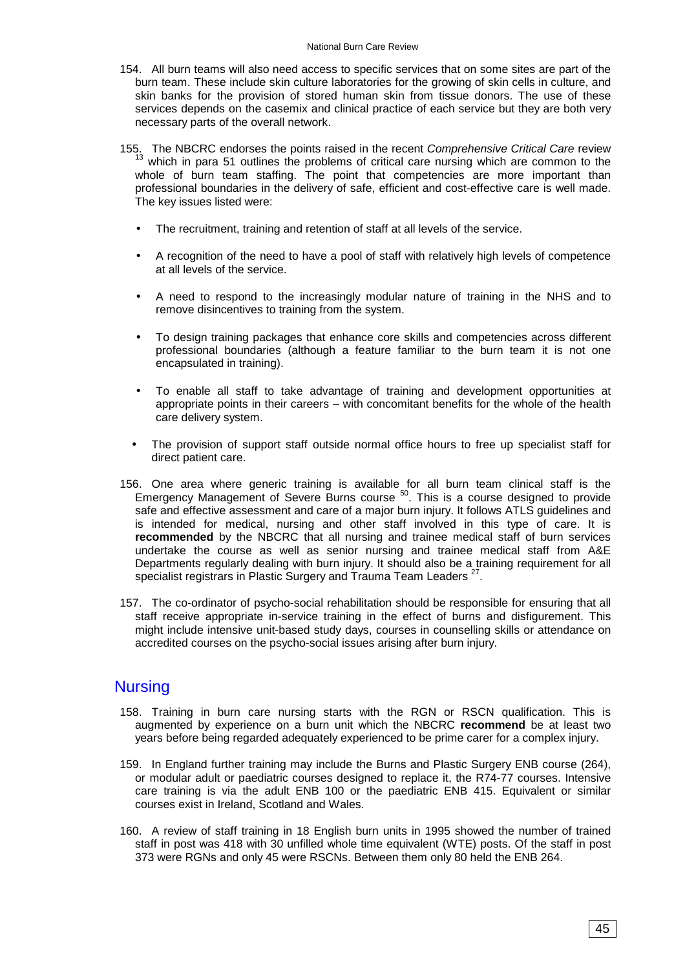- 154. All burn teams will also need access to specific services that on some sites are part of the burn team. These include skin culture laboratories for the growing of skin cells in culture, and skin banks for the provision of stored human skin from tissue donors. The use of these services depends on the casemix and clinical practice of each service but they are both very necessary parts of the overall network.
- 155. The NBCRC endorses the points raised in the recent *Comprehensive Critical Care* review  $13$  which in para 51 outlines the problems of critical care nursing which are common to the whole of burn team staffing. The point that competencies are more important than professional boundaries in the delivery of safe, efficient and cost-effective care is well made. The key issues listed were:
	- The recruitment, training and retention of staff at all levels of the service.
	- A recognition of the need to have a pool of staff with relatively high levels of competence at all levels of the service.
	- A need to respond to the increasingly modular nature of training in the NHS and to remove disincentives to training from the system.
	- To design training packages that enhance core skills and competencies across different professional boundaries (although a feature familiar to the burn team it is not one encapsulated in training).
	- To enable all staff to take advantage of training and development opportunities at appropriate points in their careers – with concomitant benefits for the whole of the health care delivery system.
	- The provision of support staff outside normal office hours to free up specialist staff for direct patient care.
- 156. One area where generic training is available for all burn team clinical staff is the Emergency Management of Severe Burns course <sup>50</sup>. This is a course designed to provide safe and effective assessment and care of a major burn injury. It follows ATLS guidelines and is intended for medical, nursing and other staff involved in this type of care. It is **recommended** by the NBCRC that all nursing and trainee medical staff of burn services undertake the course as well as senior nursing and trainee medical staff from A&E Departments regularly dealing with burn injury. It should also be a training requirement for all specialist registrars in Plastic Surgery and Trauma Team Leaders<sup>27</sup>.
- 157. The co-ordinator of psycho-social rehabilitation should be responsible for ensuring that all staff receive appropriate in-service training in the effect of burns and disfigurement. This might include intensive unit-based study days, courses in counselling skills or attendance on accredited courses on the psycho-social issues arising after burn injury.

# **Nursing**

- 158. Training in burn care nursing starts with the RGN or RSCN qualification. This is augmented by experience on a burn unit which the NBCRC **recommend** be at least two years before being regarded adequately experienced to be prime carer for a complex injury.
- 159. In England further training may include the Burns and Plastic Surgery ENB course (264), or modular adult or paediatric courses designed to replace it, the R74-77 courses. Intensive care training is via the adult ENB 100 or the paediatric ENB 415. Equivalent or similar courses exist in Ireland, Scotland and Wales.
- 160. A review of staff training in 18 English burn units in 1995 showed the number of trained staff in post was 418 with 30 unfilled whole time equivalent (WTE) posts. Of the staff in post 373 were RGNs and only 45 were RSCNs. Between them only 80 held the ENB 264.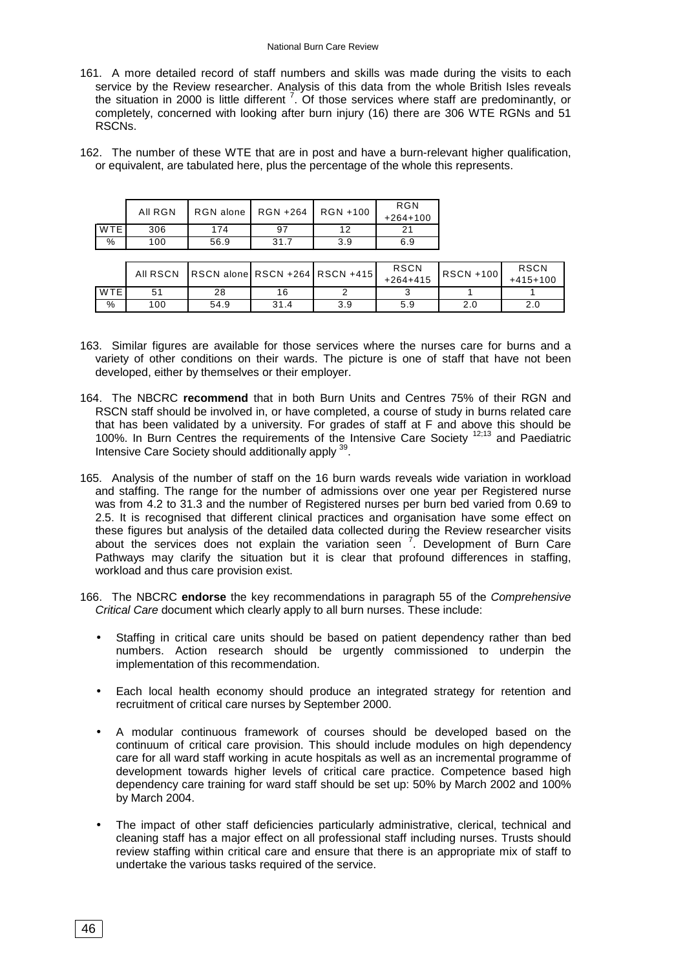161. A more detailed record of staff numbers and skills was made during the visits to each service by the Review researcher. Analysis of this data from the whole British Isles reveals the situation in 2000 is little different  $7.$  Of those services where staff are predominantly, or completely, concerned with looking after burn injury (16) there are 306 WTE RGNs and 51 RSCNs.

|      | All RGN |      |      | RGN alone   RGN +264   RGN +100 | <b>RGN</b><br>$+264+100$           |
|------|---------|------|------|---------------------------------|------------------------------------|
| WTE. | 306     | 174  | 97   | 12                              |                                    |
| $\%$ | 100     | 56.9 | 31.7 | 3.9                             | 6.9                                |
|      |         |      |      |                                 |                                    |
|      |         |      |      |                                 | $\sim$ $\sim$ $\sim$ $\sim$ $\sim$ |

| 162. The number of these WTE that are in post and have a burn-relevant higher qualification, |
|----------------------------------------------------------------------------------------------|
| or equivalent, are tabulated here, plus the percentage of the whole this represents.         |

|               | AII RSCN |      |      | RSCN alone RSCN +264 RSCN +415 | <b>RSCN</b><br>$+264+415$ | <b>RSCN +100</b> | <b>RSCN</b><br>$+415+100$ |
|---------------|----------|------|------|--------------------------------|---------------------------|------------------|---------------------------|
| WTEI          |          | 28   | 16   |                                |                           |                  |                           |
| $\frac{0}{0}$ | 00       | 54.9 | 31.4 | 3.9                            | 5.9                       | z.u              | 2.0                       |
|               |          |      |      |                                |                           |                  |                           |

- 163. Similar figures are available for those services where the nurses care for burns and a variety of other conditions on their wards. The picture is one of staff that have not been developed, either by themselves or their employer.
- 164. The NBCRC **recommend** that in both Burn Units and Centres 75% of their RGN and RSCN staff should be involved in, or have completed, a course of study in burns related care that has been validated by a university. For grades of staff at F and above this should be 100%. In Burn Centres the requirements of the Intensive Care Society 12;13 and Paediatric Intensive Care Society should additionally apply  $39$ .
- 165. Analysis of the number of staff on the 16 burn wards reveals wide variation in workload and staffing. The range for the number of admissions over one year per Registered nurse was from 4.2 to 31.3 and the number of Registered nurses per burn bed varied from 0.69 to 2.5. It is recognised that different clinical practices and organisation have some effect on these figures but analysis of the detailed data collected during the Review researcher visits about the services does not explain the variation seen  $7$ . Development of Burn Care Pathways may clarify the situation but it is clear that profound differences in staffing, workload and thus care provision exist.
- 166. The NBCRC **endorse** the key recommendations in paragraph 55 of the *Comprehensive Critical Care* document which clearly apply to all burn nurses. These include:
	- Staffing in critical care units should be based on patient dependency rather than bed numbers. Action research should be urgently commissioned to underpin the implementation of this recommendation.
	- Each local health economy should produce an integrated strategy for retention and recruitment of critical care nurses by September 2000.
	- A modular continuous framework of courses should be developed based on the continuum of critical care provision. This should include modules on high dependency care for all ward staff working in acute hospitals as well as an incremental programme of development towards higher levels of critical care practice. Competence based high dependency care training for ward staff should be set up: 50% by March 2002 and 100% by March 2004.
	- The impact of other staff deficiencies particularly administrative, clerical, technical and cleaning staff has a major effect on all professional staff including nurses. Trusts should review staffing within critical care and ensure that there is an appropriate mix of staff to undertake the various tasks required of the service.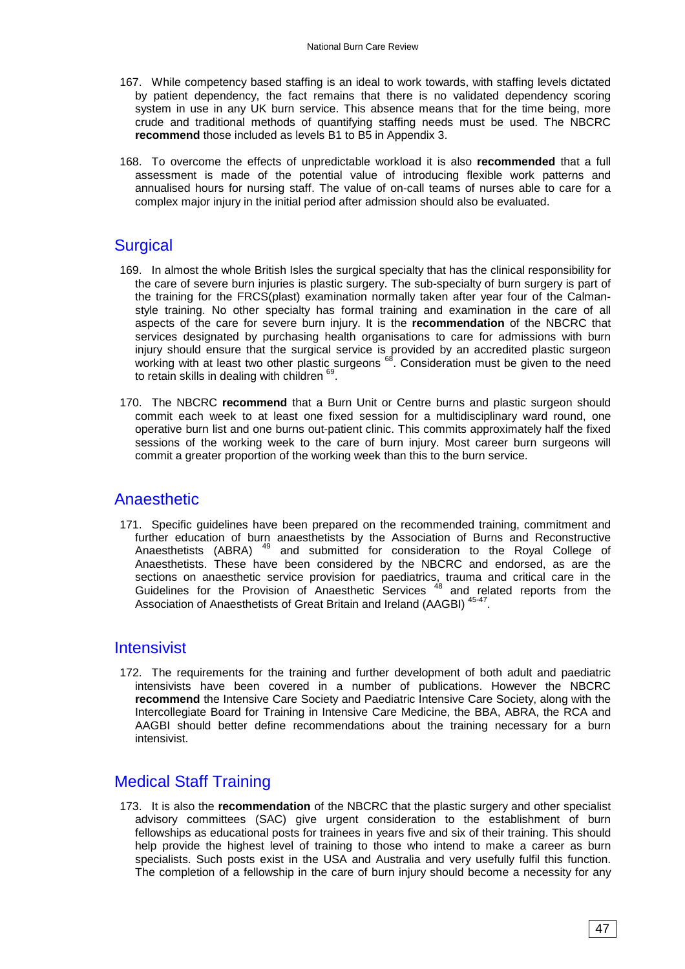- 167. While competency based staffing is an ideal to work towards, with staffing levels dictated by patient dependency, the fact remains that there is no validated dependency scoring system in use in any UK burn service. This absence means that for the time being, more crude and traditional methods of quantifying staffing needs must be used. The NBCRC **recommend** those included as levels B1 to B5 in Appendix 3.
- 168. To overcome the effects of unpredictable workload it is also **recommended** that a full assessment is made of the potential value of introducing flexible work patterns and annualised hours for nursing staff. The value of on-call teams of nurses able to care for a complex major injury in the initial period after admission should also be evaluated.

# **Surgical**

- 169. In almost the whole British Isles the surgical specialty that has the clinical responsibility for the care of severe burn injuries is plastic surgery. The sub-specialty of burn surgery is part of the training for the FRCS(plast) examination normally taken after year four of the Calmanstyle training. No other specialty has formal training and examination in the care of all aspects of the care for severe burn injury. It is the **recommendation** of the NBCRC that services designated by purchasing health organisations to care for admissions with burn injury should ensure that the surgical service is provided by an accredited plastic surgeon working with at least two other plastic surgeons <sup>68</sup>. Consideration must be given to the need to retain skills in dealing with children <sup>69</sup>.
- 170. The NBCRC **recommend** that a Burn Unit or Centre burns and plastic surgeon should commit each week to at least one fixed session for a multidisciplinary ward round, one operative burn list and one burns out-patient clinic. This commits approximately half the fixed sessions of the working week to the care of burn injury. Most career burn surgeons will commit a greater proportion of the working week than this to the burn service.

# **Anaesthetic**

171. Specific guidelines have been prepared on the recommended training, commitment and further education of burn anaesthetists by the Association of Burns and Reconstructive<br>Anaesthetists (ABRA) <sup>49</sup> and submitted for consideration to the Royal College of and submitted for consideration to the Royal College of Anaesthetists. These have been considered by the NBCRC and endorsed, as are the sections on anaesthetic service provision for paediatrics, trauma and critical care in the Guidelines for the Provision of Anaesthetic Services <sup>48</sup> and related reports from the Association of Anaesthetists of Great Britain and Ireland (AAGBI) <sup>45-47</sup>.

### **Intensivist**

172. The requirements for the training and further development of both adult and paediatric intensivists have been covered in a number of publications. However the NBCRC **recommend** the Intensive Care Society and Paediatric Intensive Care Society, along with the Intercollegiate Board for Training in Intensive Care Medicine, the BBA, ABRA, the RCA and AAGBI should better define recommendations about the training necessary for a burn intensivist.

# Medical Staff Training

173. It is also the **recommendation** of the NBCRC that the plastic surgery and other specialist advisory committees (SAC) give urgent consideration to the establishment of burn fellowships as educational posts for trainees in years five and six of their training. This should help provide the highest level of training to those who intend to make a career as burn specialists. Such posts exist in the USA and Australia and very usefully fulfil this function. The completion of a fellowship in the care of burn injury should become a necessity for any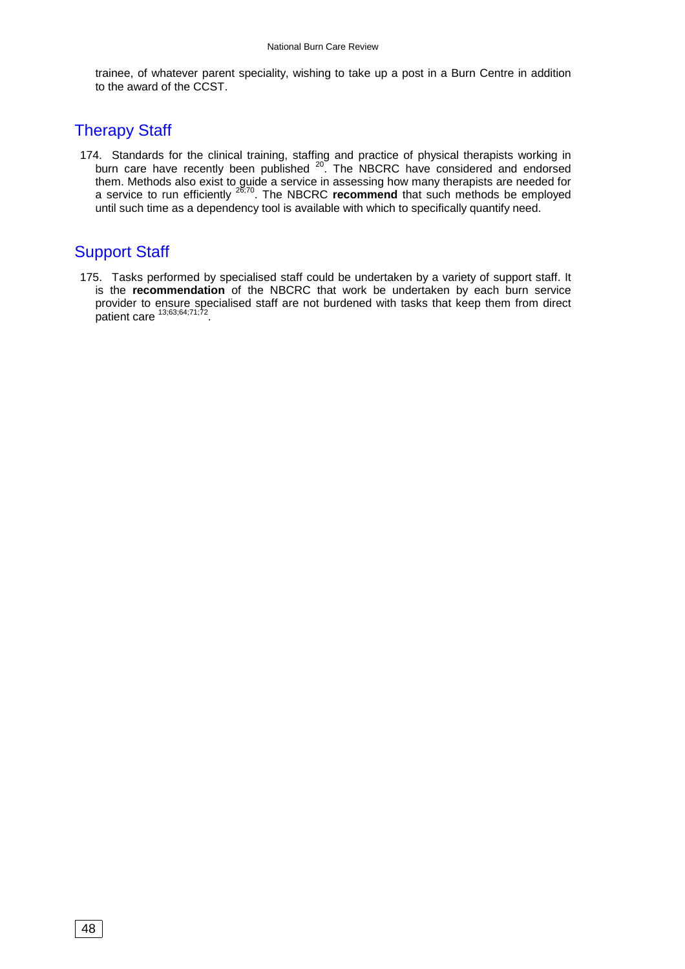trainee, of whatever parent speciality, wishing to take up a post in a Burn Centre in addition to the award of the CCST.

# Therapy Staff

174. Standards for the clinical training, staffing and practice of physical therapists working in burn care have recently been published  $20$ . The NBCRC have considered and endorsed them. Methods also exist to guide a service in assessing how many therapists are needed for a service to run efficiently 26;70. The NBCRC **recommend** that such methods be employed until such time as a dependency tool is available with which to specifically quantify need.

# Support Staff

175. Tasks performed by specialised staff could be undertaken by a variety of support staff. It is the **recommendation** of the NBCRC that work be undertaken by each burn service provider to ensure specialised staff are not burdened with tasks that keep them from direct patient care  $13,63,64,71,72$ .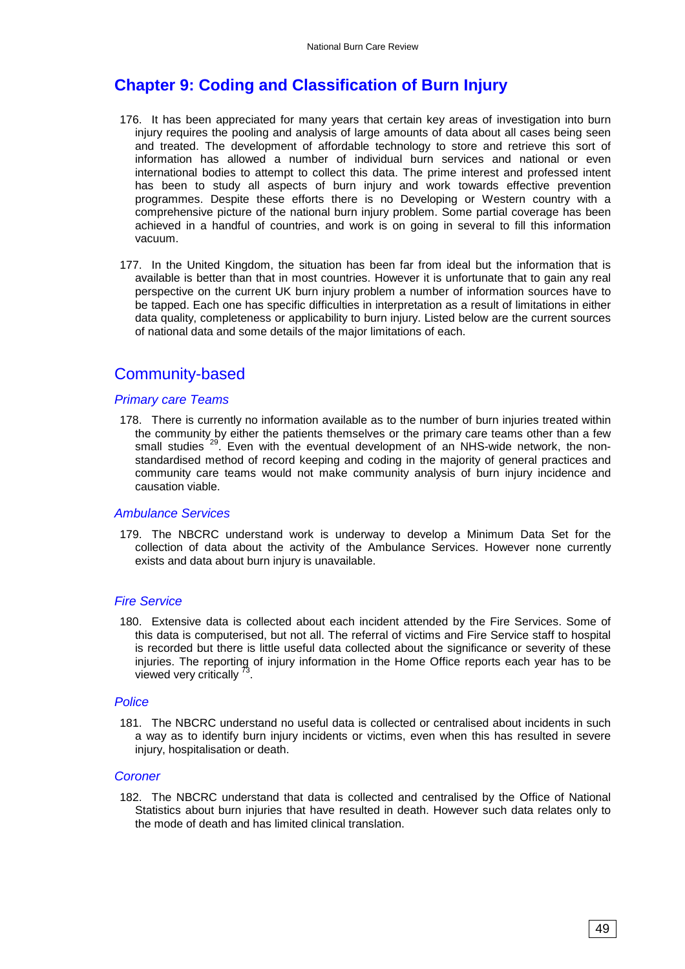# **Chapter 9: Coding and Classification of Burn Injury**

- 176. It has been appreciated for many years that certain key areas of investigation into burn injury requires the pooling and analysis of large amounts of data about all cases being seen and treated. The development of affordable technology to store and retrieve this sort of information has allowed a number of individual burn services and national or even international bodies to attempt to collect this data. The prime interest and professed intent has been to study all aspects of burn injury and work towards effective prevention programmes. Despite these efforts there is no Developing or Western country with a comprehensive picture of the national burn injury problem. Some partial coverage has been achieved in a handful of countries, and work is on going in several to fill this information vacuum.
- 177. In the United Kingdom, the situation has been far from ideal but the information that is available is better than that in most countries. However it is unfortunate that to gain any real perspective on the current UK burn injury problem a number of information sources have to be tapped. Each one has specific difficulties in interpretation as a result of limitations in either data quality, completeness or applicability to burn injury. Listed below are the current sources of national data and some details of the major limitations of each.

# Community-based

### *Primary care Teams*

178. There is currently no information available as to the number of burn injuries treated within the community by either the patients themselves or the primary care teams other than a few small studies<sup>29</sup>. Even with the eventual development of an NHS-wide network, the nonstandardised method of record keeping and coding in the majority of general practices and community care teams would not make community analysis of burn injury incidence and causation viable.

### *Ambulance Services*

179. The NBCRC understand work is underway to develop a Minimum Data Set for the collection of data about the activity of the Ambulance Services. However none currently exists and data about burn injury is unavailable.

#### *Fire Service*

180. Extensive data is collected about each incident attended by the Fire Services. Some of this data is computerised, but not all. The referral of victims and Fire Service staff to hospital is recorded but there is little useful data collected about the significance or severity of these injuries. The reporting of injury information in the Home Office reports each year has to be viewed very critically <sup>73</sup>.

#### *Police*

181. The NBCRC understand no useful data is collected or centralised about incidents in such a way as to identify burn injury incidents or victims, even when this has resulted in severe injury, hospitalisation or death.

#### *Coroner*

182. The NBCRC understand that data is collected and centralised by the Office of National Statistics about burn injuries that have resulted in death. However such data relates only to the mode of death and has limited clinical translation.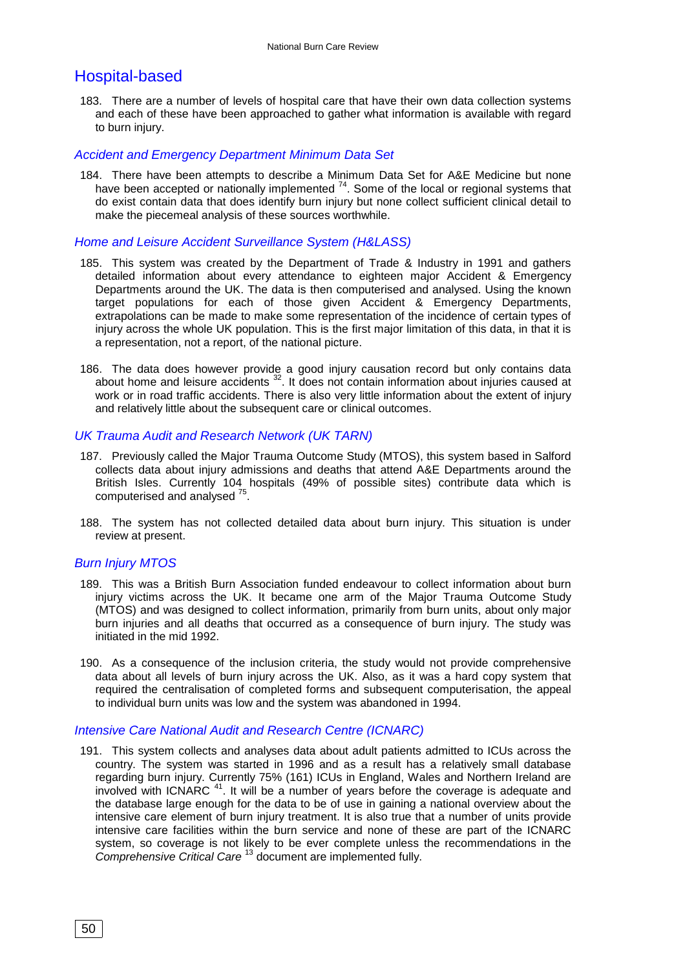# Hospital-based

183. There are a number of levels of hospital care that have their own data collection systems and each of these have been approached to gather what information is available with regard to burn injury.

### *Accident and Emergency Department Minimum Data Set*

184. There have been attempts to describe a Minimum Data Set for A&E Medicine but none have been accepted or nationally implemented  $^{74}$ . Some of the local or regional systems that do exist contain data that does identify burn injury but none collect sufficient clinical detail to make the piecemeal analysis of these sources worthwhile.

### *Home and Leisure Accident Surveillance System (H&LASS)*

- 185. This system was created by the Department of Trade & Industry in 1991 and gathers detailed information about every attendance to eighteen major Accident & Emergency Departments around the UK. The data is then computerised and analysed. Using the known target populations for each of those given Accident & Emergency Departments, extrapolations can be made to make some representation of the incidence of certain types of injury across the whole UK population. This is the first major limitation of this data, in that it is a representation, not a report, of the national picture.
- 186. The data does however provide a good injury causation record but only contains data about home and leisure accidents<sup>32</sup>. It does not contain information about injuries caused at work or in road traffic accidents. There is also very little information about the extent of injury and relatively little about the subsequent care or clinical outcomes.

### *UK Trauma Audit and Research Network (UK TARN)*

- 187. Previously called the Major Trauma Outcome Study (MTOS), this system based in Salford collects data about injury admissions and deaths that attend A&E Departments around the British Isles. Currently 104 hospitals (49% of possible sites) contribute data which is computerised and analysed 75.
- 188. The system has not collected detailed data about burn injury. This situation is under review at present.

### *Burn Injury MTOS*

- 189. This was a British Burn Association funded endeavour to collect information about burn injury victims across the UK. It became one arm of the Major Trauma Outcome Study (MTOS) and was designed to collect information, primarily from burn units, about only major burn injuries and all deaths that occurred as a consequence of burn injury. The study was initiated in the mid 1992.
- 190. As a consequence of the inclusion criteria, the study would not provide comprehensive data about all levels of burn injury across the UK. Also, as it was a hard copy system that required the centralisation of completed forms and subsequent computerisation, the appeal to individual burn units was low and the system was abandoned in 1994.

### *Intensive Care National Audit and Research Centre (ICNARC)*

191. This system collects and analyses data about adult patients admitted to ICUs across the country. The system was started in 1996 and as a result has a relatively small database regarding burn injury. Currently 75% (161) ICUs in England, Wales and Northern Ireland are involved with ICNARC<sup>41</sup>. It will be a number of years before the coverage is adequate and the database large enough for the data to be of use in gaining a national overview about the intensive care element of burn injury treatment. It is also true that a number of units provide intensive care facilities within the burn service and none of these are part of the ICNARC system, so coverage is not likely to be ever complete unless the recommendations in the *Comprehensive Critical Care* 13 document are implemented fully.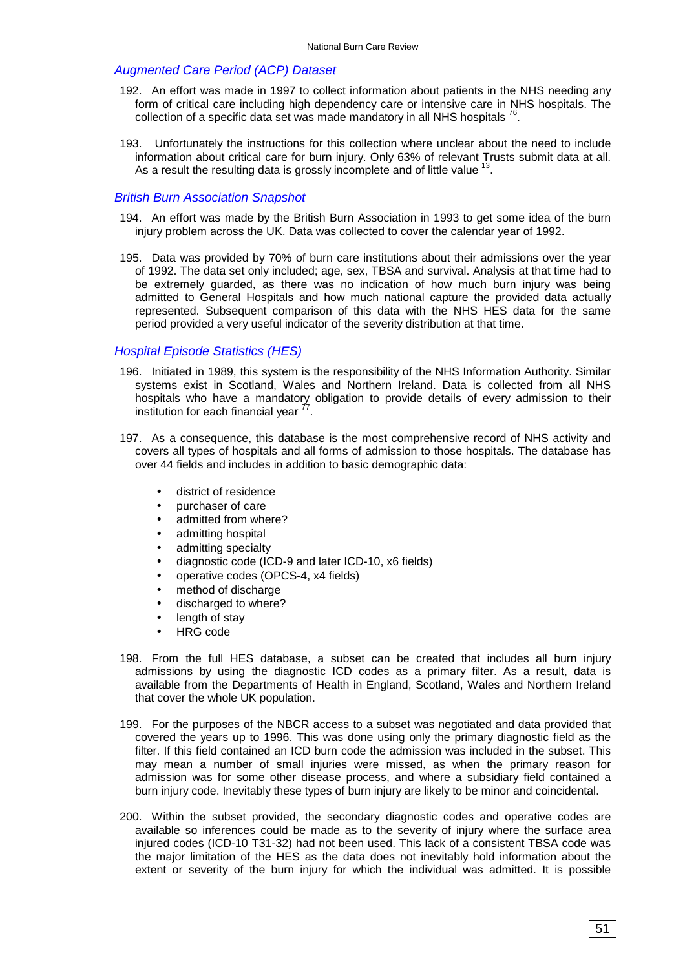### *Augmented Care Period (ACP) Dataset*

- 192. An effort was made in 1997 to collect information about patients in the NHS needing any form of critical care including high dependency care or intensive care in NHS hospitals. The collection of a specific data set was made mandatory in all NHS hospitals  $^{76}$ .
- 193. Unfortunately the instructions for this collection where unclear about the need to include information about critical care for burn injury. Only 63% of relevant Trusts submit data at all. As a result the resulting data is grossly incomplete and of little value <sup>13</sup>.

#### *British Burn Association Snapshot*

- 194. An effort was made by the British Burn Association in 1993 to get some idea of the burn injury problem across the UK. Data was collected to cover the calendar year of 1992.
- 195. Data was provided by 70% of burn care institutions about their admissions over the year of 1992. The data set only included; age, sex, TBSA and survival. Analysis at that time had to be extremely guarded, as there was no indication of how much burn injury was being admitted to General Hospitals and how much national capture the provided data actually represented. Subsequent comparison of this data with the NHS HES data for the same period provided a very useful indicator of the severity distribution at that time.

#### *Hospital Episode Statistics (HES)*

- 196. Initiated in 1989, this system is the responsibility of the NHS Information Authority. Similar systems exist in Scotland, Wales and Northern Ireland. Data is collected from all NHS hospitals who have a mandatory obligation to provide details of every admission to their institution for each financial year  $^{77}$
- 197. As a consequence, this database is the most comprehensive record of NHS activity and covers all types of hospitals and all forms of admission to those hospitals. The database has over 44 fields and includes in addition to basic demographic data:
	- district of residence
	- purchaser of care
	- admitted from where?
	- admitting hospital
	- admitting specialty
	- diagnostic code (ICD-9 and later ICD-10, x6 fields)
	- operative codes (OPCS-4, x4 fields)
	- method of discharge
	- discharged to where?
	- length of stay
	- HRG code
- 198. From the full HES database, a subset can be created that includes all burn injury admissions by using the diagnostic ICD codes as a primary filter. As a result, data is available from the Departments of Health in England, Scotland, Wales and Northern Ireland that cover the whole UK population.
- 199. For the purposes of the NBCR access to a subset was negotiated and data provided that covered the years up to 1996. This was done using only the primary diagnostic field as the filter. If this field contained an ICD burn code the admission was included in the subset. This may mean a number of small injuries were missed, as when the primary reason for admission was for some other disease process, and where a subsidiary field contained a burn injury code. Inevitably these types of burn injury are likely to be minor and coincidental.
- 200. Within the subset provided, the secondary diagnostic codes and operative codes are available so inferences could be made as to the severity of injury where the surface area injured codes (ICD-10 T31-32) had not been used. This lack of a consistent TBSA code was the major limitation of the HES as the data does not inevitably hold information about the extent or severity of the burn injury for which the individual was admitted. It is possible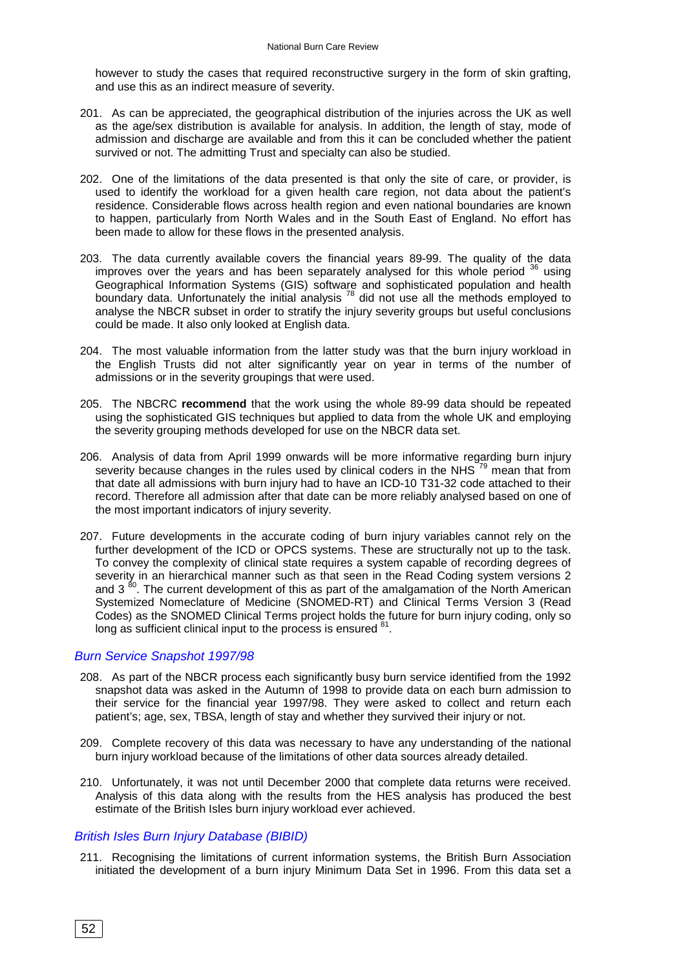however to study the cases that required reconstructive surgery in the form of skin grafting, and use this as an indirect measure of severity.

- 201. As can be appreciated, the geographical distribution of the injuries across the UK as well as the age/sex distribution is available for analysis. In addition, the length of stay, mode of admission and discharge are available and from this it can be concluded whether the patient survived or not. The admitting Trust and specialty can also be studied.
- 202. One of the limitations of the data presented is that only the site of care, or provider, is used to identify the workload for a given health care region, not data about the patient's residence. Considerable flows across health region and even national boundaries are known to happen, particularly from North Wales and in the South East of England. No effort has been made to allow for these flows in the presented analysis.
- 203. The data currently available covers the financial years 89-99. The quality of the data improves over the years and has been separately analysed for this whole period  $36$  using Geographical Information Systems (GIS) software and sophisticated population and health boundary data. Unfortunately the initial analysis <sup>78</sup> did not use all the methods employed to analyse the NBCR subset in order to stratify the injury severity groups but useful conclusions could be made. It also only looked at English data.
- 204. The most valuable information from the latter study was that the burn injury workload in the English Trusts did not alter significantly year on year in terms of the number of admissions or in the severity groupings that were used.
- 205. The NBCRC **recommend** that the work using the whole 89-99 data should be repeated using the sophisticated GIS techniques but applied to data from the whole UK and employing the severity grouping methods developed for use on the NBCR data set.
- 206. Analysis of data from April 1999 onwards will be more informative regarding burn injury severity because changes in the rules used by clinical coders in the NHS<sup>79</sup> mean that from that date all admissions with burn injury had to have an ICD-10 T31-32 code attached to their record. Therefore all admission after that date can be more reliably analysed based on one of the most important indicators of injury severity.
- 207. Future developments in the accurate coding of burn injury variables cannot rely on the further development of the ICD or OPCS systems. These are structurally not up to the task. To convey the complexity of clinical state requires a system capable of recording degrees of severity in an hierarchical manner such as that seen in the Read Coding system versions 2 and  $3^{80}$ . The current development of this as part of the amalgamation of the North American Systemized Nomeclature of Medicine (SNOMED-RT) and Clinical Terms Version 3 (Read Codes) as the SNOMED Clinical Terms project holds the future for burn injury coding, only so long as sufficient clinical input to the process is ensured <sup>81</sup>.

### *Burn Service Snapshot 1997/98*

- 208. As part of the NBCR process each significantly busy burn service identified from the 1992 snapshot data was asked in the Autumn of 1998 to provide data on each burn admission to their service for the financial year 1997/98. They were asked to collect and return each patient's; age, sex, TBSA, length of stay and whether they survived their injury or not.
- 209. Complete recovery of this data was necessary to have any understanding of the national burn injury workload because of the limitations of other data sources already detailed.
- 210. Unfortunately, it was not until December 2000 that complete data returns were received. Analysis of this data along with the results from the HES analysis has produced the best estimate of the British Isles burn injury workload ever achieved.

### *British Isles Burn Injury Database (BIBID)*

211. Recognising the limitations of current information systems, the British Burn Association initiated the development of a burn injury Minimum Data Set in 1996. From this data set a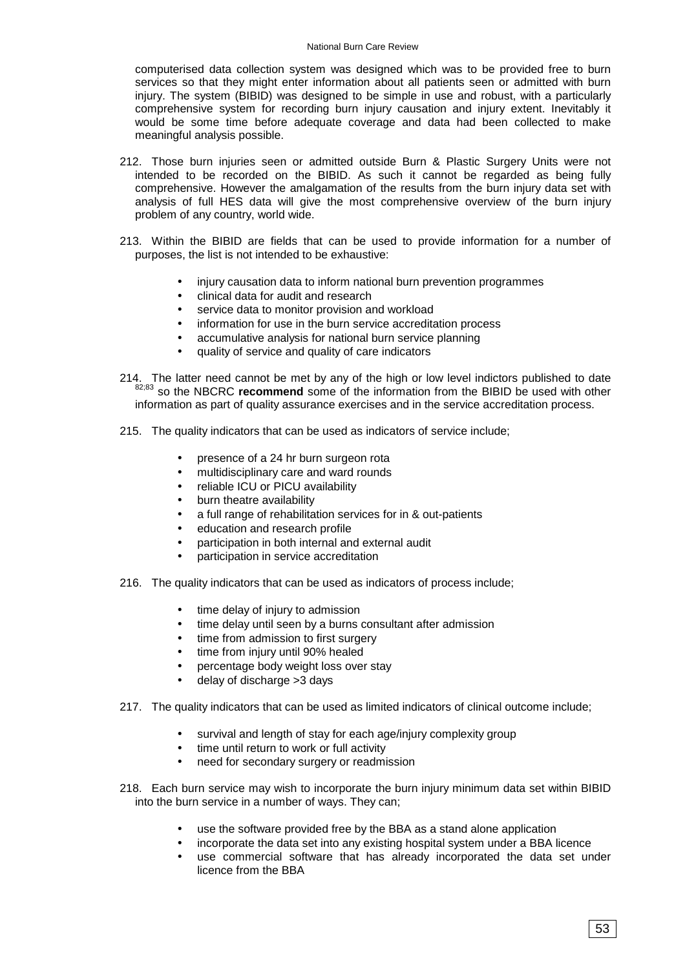computerised data collection system was designed which was to be provided free to burn services so that they might enter information about all patients seen or admitted with burn injury. The system (BIBID) was designed to be simple in use and robust, with a particularly comprehensive system for recording burn injury causation and injury extent. Inevitably it would be some time before adequate coverage and data had been collected to make meaningful analysis possible.

- 212. Those burn injuries seen or admitted outside Burn & Plastic Surgery Units were not intended to be recorded on the BIBID. As such it cannot be regarded as being fully comprehensive. However the amalgamation of the results from the burn injury data set with analysis of full HES data will give the most comprehensive overview of the burn injury problem of any country, world wide.
- 213. Within the BIBID are fields that can be used to provide information for a number of purposes, the list is not intended to be exhaustive:
	- injury causation data to inform national burn prevention programmes
	- clinical data for audit and research
	- service data to monitor provision and workload
	- information for use in the burn service accreditation process
	- accumulative analysis for national burn service planning
	- quality of service and quality of care indicators
- 214. The latter need cannot be met by any of the high or low level indictors published to date 82;83 so the NBCRC **recommend** some of the information from the BIBID be used with other information as part of quality assurance exercises and in the service accreditation process.
- 215. The quality indicators that can be used as indicators of service include;
	- presence of a 24 hr burn surgeon rota
	- multidisciplinary care and ward rounds
	- reliable ICU or PICU availability
	- burn theatre availability
	- a full range of rehabilitation services for in & out-patients
	- education and research profile
	- participation in both internal and external audit
	- participation in service accreditation
- 216. The quality indicators that can be used as indicators of process include;
	- time delay of injury to admission
	- time delay until seen by a burns consultant after admission
	- time from admission to first surgery
	- time from injury until 90% healed
	- percentage body weight loss over stay
	- delay of discharge >3 days
- 217. The quality indicators that can be used as limited indicators of clinical outcome include;
	- survival and length of stay for each age/injury complexity group
	- time until return to work or full activity
	- need for secondary surgery or readmission
- 218. Each burn service may wish to incorporate the burn injury minimum data set within BIBID into the burn service in a number of ways. They can;
	- use the software provided free by the BBA as a stand alone application
	- incorporate the data set into any existing hospital system under a BBA licence
	- use commercial software that has already incorporated the data set under licence from the BBA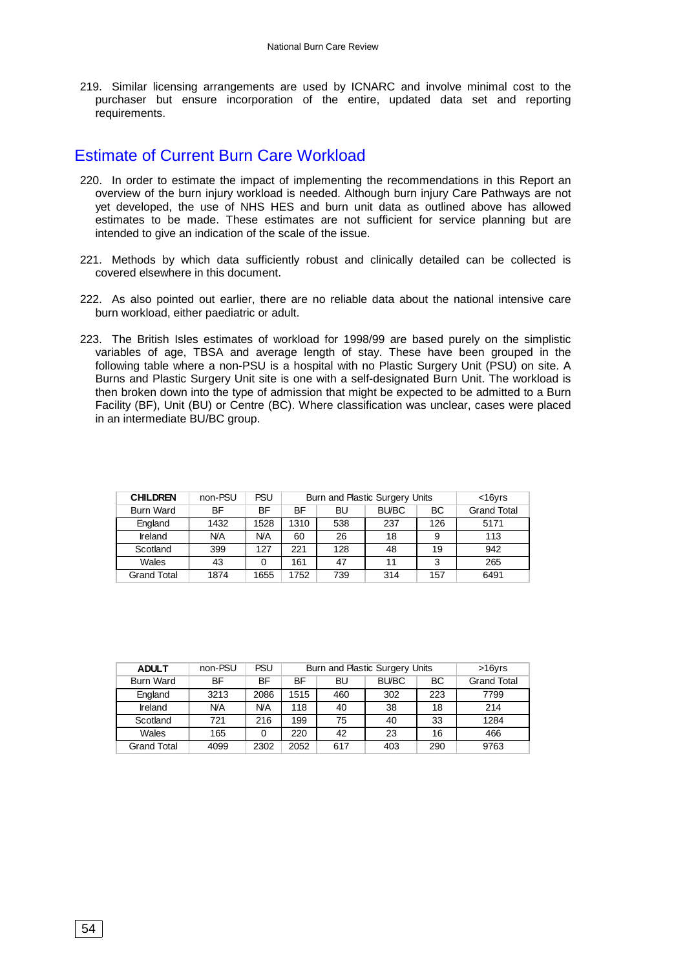219. Similar licensing arrangements are used by ICNARC and involve minimal cost to the purchaser but ensure incorporation of the entire, updated data set and reporting requirements.

# Estimate of Current Burn Care Workload

- 220. In order to estimate the impact of implementing the recommendations in this Report an overview of the burn injury workload is needed. Although burn injury Care Pathways are not yet developed, the use of NHS HES and burn unit data as outlined above has allowed estimates to be made. These estimates are not sufficient for service planning but are intended to give an indication of the scale of the issue.
- 221. Methods by which data sufficiently robust and clinically detailed can be collected is covered elsewhere in this document.
- 222. As also pointed out earlier, there are no reliable data about the national intensive care burn workload, either paediatric or adult.
- 223. The British Isles estimates of workload for 1998/99 are based purely on the simplistic variables of age, TBSA and average length of stay. These have been grouped in the following table where a non-PSU is a hospital with no Plastic Surgery Unit (PSU) on site. A Burns and Plastic Surgery Unit site is one with a self-designated Burn Unit. The workload is then broken down into the type of admission that might be expected to be admitted to a Burn Facility (BF), Unit (BU) or Centre (BC). Where classification was unclear, cases were placed in an intermediate BU/BC group.

| <b>CHILDREN</b>    | non-PSU    | <b>PSU</b> |      |     | Burn and Plastic Surgery Units |     | <16yrs             |
|--------------------|------------|------------|------|-----|--------------------------------|-----|--------------------|
| <b>Burn Ward</b>   | ВF         | ВF         | ВF   | BU  | <b>BU/BC</b>                   | BС  | <b>Grand Total</b> |
| England            | 1432       | 1528       | 1310 | 538 | 237                            | 126 | 5171               |
| Ireland            | <b>N/A</b> | <b>N/A</b> | 60   | 26  | 18                             | 9   | 113                |
| Scotland           | 399        | 127        | 221  | 128 | 48                             | 19  | 942                |
| Wales              | 43         |            | 161  | 47  |                                | 3   | 265                |
| <b>Grand Total</b> | 1874       | 1655       | 1752 | 739 | 314                            | 157 | 6491               |

| <b>ADULT</b>       | non-PSU | <b>PSU</b> |      | Burn and Plastic Surgery Units |              |     | >16yrs             |
|--------------------|---------|------------|------|--------------------------------|--------------|-----|--------------------|
| <b>Burn Ward</b>   | ВF      | ВF         | ВF   | BU                             | <b>BU/BC</b> | BС  | <b>Grand Total</b> |
| England            | 3213    | 2086       | 1515 | 460                            | 302          | 223 | 7799               |
| Ireland            | N/A     | <b>N/A</b> | 118  | 40                             | 38           | 18  | 214                |
| Scotland           | 721     | 216        | 199  | 75                             | 40           | 33  | 1284               |
| Wales              | 165     | 0          | 220  | 42                             | 23           | 16  | 466                |
| <b>Grand Total</b> | 4099    | 2302       | 2052 | 617                            | 403          | 290 | 9763               |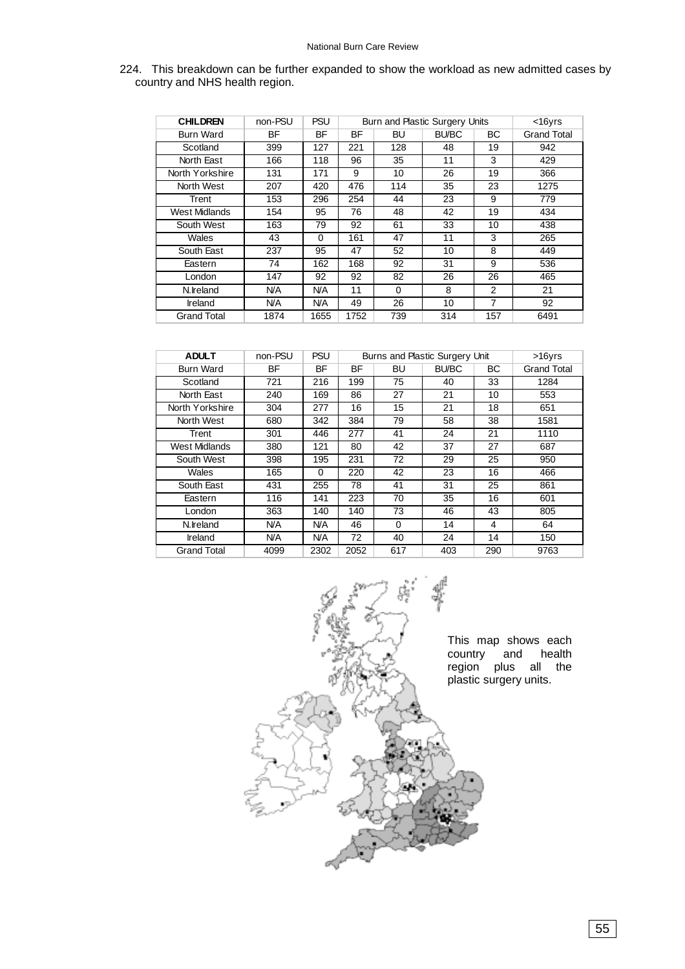#### National Burn Care Review

224. This breakdown can be further expanded to show the workload as new admitted cases by country and NHS health region.

| <b>CHILDREN</b>    | non-PSU    | <b>PSU</b> |      | Burn and Plastic Surgery Units<br>$<$ 16 $y$ rs |              |                |                    |
|--------------------|------------|------------|------|-------------------------------------------------|--------------|----------------|--------------------|
| <b>Burn Ward</b>   | ВF         | BF         | BF   | BU                                              | <b>BU/BC</b> | BC.            | <b>Grand Total</b> |
| Scotland           | 399        | 127        | 221  | 128                                             | 48           | 19             | 942                |
| North East         | 166        | 118        | 96   | 35                                              | 11           | 3              | 429                |
| North Yorkshire    | 131        | 171        | 9    | 10                                              | 26           | 19             | 366                |
| North West         | 207        | 420        | 476  | 114                                             | 35           | 23             | 1275               |
| Trent              | 153        | 296        | 254  | 44                                              | 23           | 9              | 779                |
| West Midlands      | 154        | 95         | 76   | 48                                              | 42           | 19             | 434                |
| South West         | 163        | 79         | 92   | 61                                              | 33           | 10             | 438                |
| Wales              | 43         | $\Omega$   | 161  | 47                                              | 11           | 3              | 265                |
| South East         | 237        | 95         | 47   | 52                                              | 10           | 8              | 449                |
| Eastern            | 74         | 162        | 168  | 92                                              | 31           | 9              | 536                |
| London             | 147        | 92         | 92   | 82                                              | 26           | 26             | 465                |
| N. Ireland         | <b>N/A</b> | <b>N/A</b> | 11   | $\Omega$                                        | 8            | $\overline{c}$ | 21                 |
| Ireland            | <b>N/A</b> | <b>N/A</b> | 49   | 26                                              | 10           | 7              | 92                 |
| <b>Grand Total</b> | 1874       | 1655       | 1752 | 739                                             | 314          | 157            | 6491               |

| <b>ADULT</b>       | non-PSU    | <b>PSU</b> |      | Burns and Plastic Surgery Unit<br>>16yrs |              |     |                    |
|--------------------|------------|------------|------|------------------------------------------|--------------|-----|--------------------|
| <b>Burn Ward</b>   | BF         | ВF         | ΒF   | BU                                       | <b>BU/BC</b> | BС  | <b>Grand Total</b> |
| Scotland           | 721        | 216        | 199  | 75                                       | 40           | 33  | 1284               |
| North East         | 240        | 169        | 86   | 27                                       | 21           | 10  | 553                |
| North Yorkshire    | 304        | 277        | 16   | 15                                       | 21           | 18  | 651                |
| North West         | 680        | 342        | 384  | 79                                       | 58           | 38  | 1581               |
| Trent              | 301        | 446        | 277  | 41                                       | 24           | 21  | 1110               |
| West Midlands      | 380        | 121        | 80   | 42                                       | 37           | 27  | 687                |
| South West         | 398        | 195        | 231  | 72                                       | 29           | 25  | 950                |
| Wales              | 165        | $\Omega$   | 220  | 42                                       | 23           | 16  | 466                |
| South East         | 431        | 255        | 78   | 41                                       | 31           | 25  | 861                |
| Eastern            | 116        | 141        | 223  | 70                                       | 35           | 16  | 601                |
| London             | 363        | 140        | 140  | 73                                       | 46           | 43  | 805                |
| N. Ireland         | <b>N/A</b> | <b>N/A</b> | 46   | $\Omega$                                 | 14           | 4   | 64                 |
| Ireland            | <b>N/A</b> | N/A        | 72   | 40                                       | 24           | 14  | 150                |
| <b>Grand Total</b> | 4099       | 2302       | 2052 | 617                                      | 403          | 290 | 9763               |



This map shows each<br>country and health and health region plus all the plastic surgery units.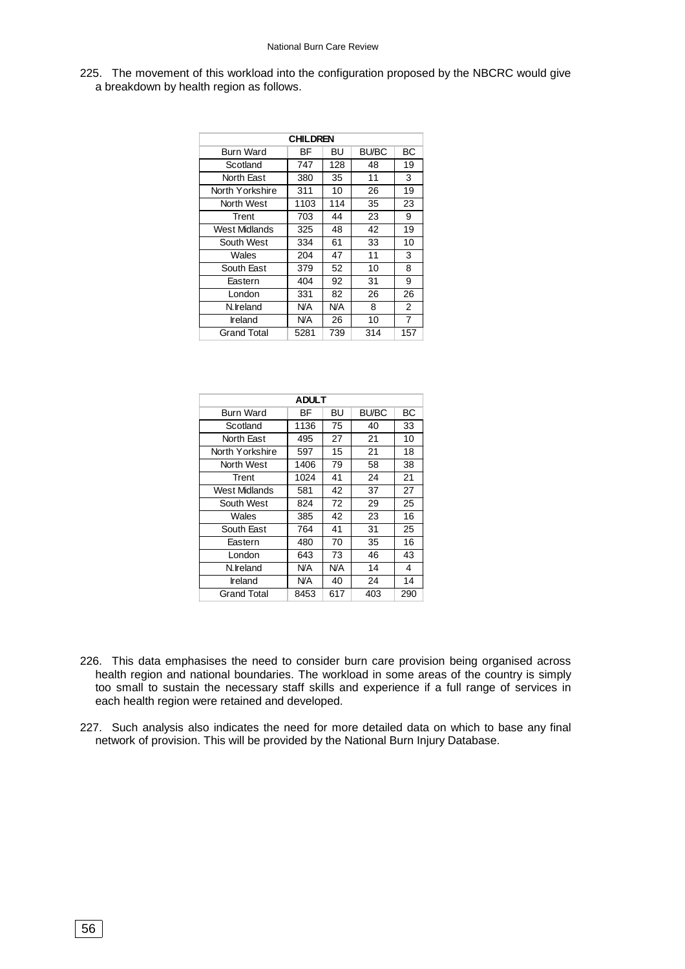#### National Burn Care Review

225. The movement of this workload into the configuration proposed by the NBCRC would give a breakdown by health region as follows.

|                      | CHILDREN   |     |              |     |  |
|----------------------|------------|-----|--------------|-----|--|
| <b>Burn Ward</b>     | ВF         | BU  | <b>BU/BC</b> | ВC  |  |
| Scotland             | 747        | 128 | 48           | 19  |  |
| North East           | 380        | 35  | 11           | 3   |  |
| North Yorkshire      | 311        | 10  | 26           | 19  |  |
| North West           | 1103       | 114 | 35           | 23  |  |
| Trent                | 703        | 44  | 23           | 9   |  |
| <b>West Midlands</b> | 325        | 48  | 42           | 19  |  |
| South West           | 334        | 61  | 33           | 10  |  |
| Wales                | 204        | 47  | 11           | 3   |  |
| South East           | 379        | 52  | 10           | 8   |  |
| Eastern              | 404        | 92  | 31           | 9   |  |
| London               | 331        | 82  | 26           | 26  |  |
| N. Ireland           | <b>N/A</b> | N/A | 8            | 2   |  |
| Ireland              | <b>N/A</b> | 26  | 10           | 7   |  |
| Grand Total          | 5281       | 739 | 314          | 157 |  |

|                    | <b>ADULT</b> |            |              |     |
|--------------------|--------------|------------|--------------|-----|
| <b>Burn Ward</b>   | ВF           | BU         | <b>BU/BC</b> | ВC  |
| Scotland           | 1136         | 75         | 40           | 33  |
| North East         | 495          | 27         | 21           | 10  |
| North Yorkshire    | 597          | 15         | 21           | 18  |
| North West         | 1406         | 79         | 58           | 38  |
| Trent              | 1024         | 41         | 24           | 21  |
| West Midlands      | 581          | 42         | 37           | 27  |
| South West         | 824          | 72         | 29           | 25  |
| Wales              | 385          | 42         | 23           | 16  |
| South East         | 764          | 41         | 31           | 25  |
| Eastern            | 480          | 70         | 35           | 16  |
| London             | 643          | 73         | 46           | 43  |
| N.Ireland          | N/A          | <b>N/A</b> | 14           | 4   |
| Ireland            | N/A          | 40         | 24           | 14  |
| <b>Grand Total</b> | 8453         | 617        | 403          | 290 |

- 226. This data emphasises the need to consider burn care provision being organised across health region and national boundaries. The workload in some areas of the country is simply too small to sustain the necessary staff skills and experience if a full range of services in each health region were retained and developed.
- 227. Such analysis also indicates the need for more detailed data on which to base any final network of provision. This will be provided by the National Burn Injury Database.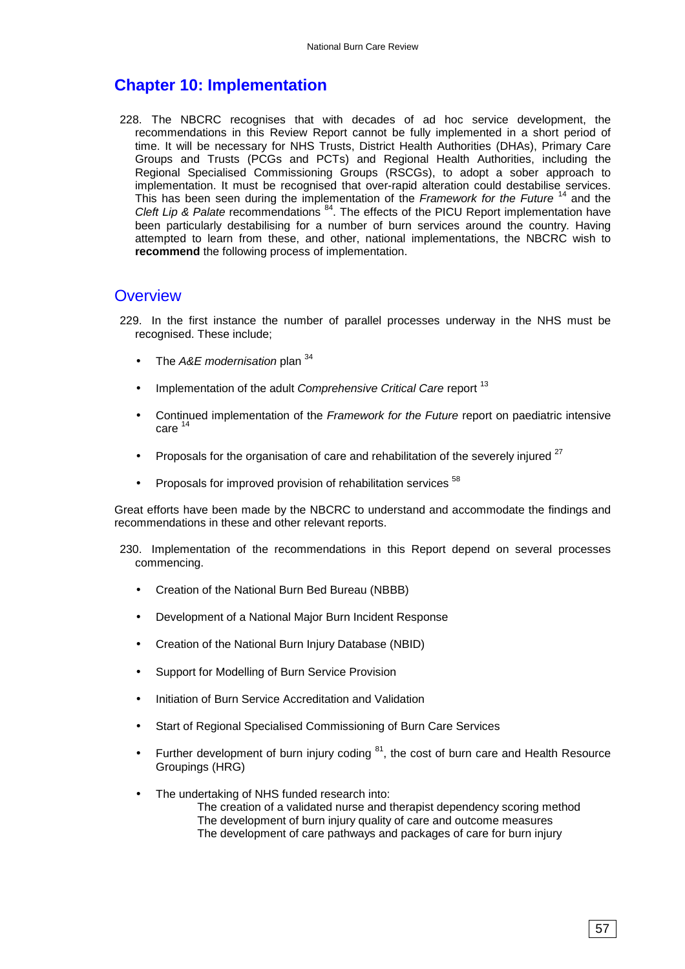# **Chapter 10: Implementation**

228. The NBCRC recognises that with decades of ad hoc service development, the recommendations in this Review Report cannot be fully implemented in a short period of time. It will be necessary for NHS Trusts, District Health Authorities (DHAs), Primary Care Groups and Trusts (PCGs and PCTs) and Regional Health Authorities, including the Regional Specialised Commissioning Groups (RSCGs), to adopt a sober approach to implementation. It must be recognised that over-rapid alteration could destabilise services. This has been seen during the implementation of the *Framework for the Future* 14 and the *Cleft Lip & Palate* recommendations <sup>84</sup>. The effects of the PICU Report implementation have been particularly destabilising for a number of burn services around the country. Having attempted to learn from these, and other, national implementations, the NBCRC wish to **recommend** the following process of implementation.

### **Overview**

- 229. In the first instance the number of parallel processes underway in the NHS must be recognised. These include;
	- The *A&E modernisation* plan 34
	- Implementation of the adult *Comprehensive Critical Care* report<sup>13</sup>
	- Continued implementation of the *Framework for the Future* report on paediatric intensive care 14
	- Proposals for the organisation of care and rehabilitation of the severely injured  $27$
	- Proposals for improved provision of rehabilitation services<sup>58</sup>

Great efforts have been made by the NBCRC to understand and accommodate the findings and recommendations in these and other relevant reports.

- 230. Implementation of the recommendations in this Report depend on several processes commencing.
	- Creation of the National Burn Bed Bureau (NBBB)
	- Development of a National Major Burn Incident Response
	- Creation of the National Burn Injury Database (NBID)
	- Support for Modelling of Burn Service Provision
	- Initiation of Burn Service Accreditation and Validation
	- Start of Regional Specialised Commissioning of Burn Care Services
	- Further development of burn injury coding  $81$ , the cost of burn care and Health Resource Groupings (HRG)
	- The undertaking of NHS funded research into:
		- The creation of a validated nurse and therapist dependency scoring method The development of burn injury quality of care and outcome measures The development of care pathways and packages of care for burn injury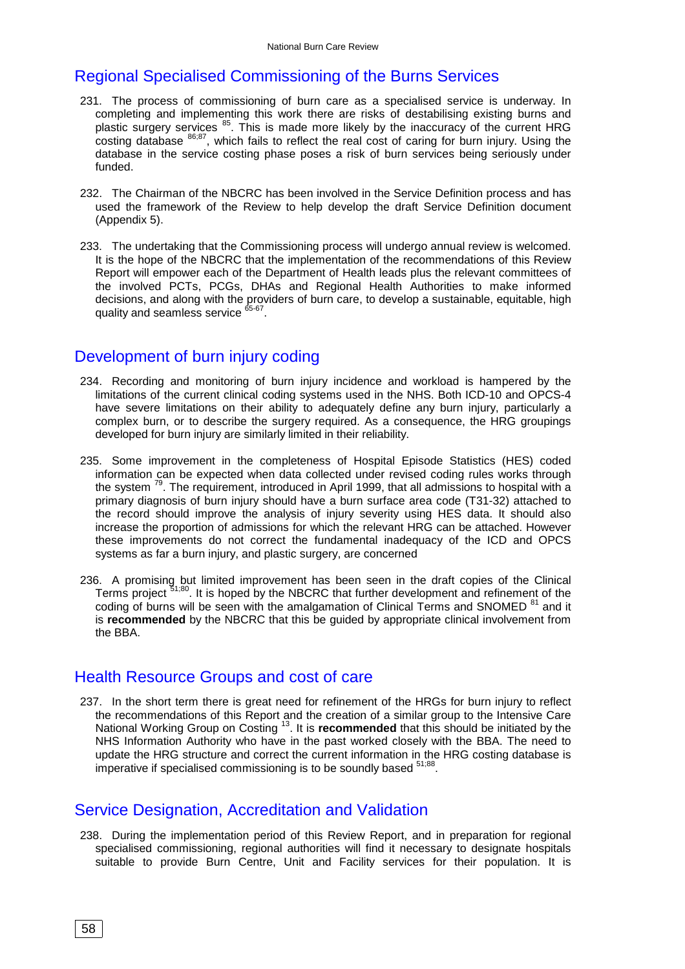# Regional Specialised Commissioning of the Burns Services

- 231. The process of commissioning of burn care as a specialised service is underway. In completing and implementing this work there are risks of destabilising existing burns and plastic surgery services <sup>85</sup>. This is made more likely by the inaccuracy of the current HRG costing database <sup>86;87</sup>, which fails to reflect the real cost of caring for burn injury. Using the database in the service costing phase poses a risk of burn services being seriously under funded.
- 232. The Chairman of the NBCRC has been involved in the Service Definition process and has used the framework of the Review to help develop the draft Service Definition document (Appendix 5).
- 233. The undertaking that the Commissioning process will undergo annual review is welcomed. It is the hope of the NBCRC that the implementation of the recommendations of this Review Report will empower each of the Department of Health leads plus the relevant committees of the involved PCTs, PCGs, DHAs and Regional Health Authorities to make informed decisions, and along with the providers of burn care, to develop a sustainable, equitable, high quality and seamless service 65-6

# Development of burn injury coding

- 234. Recording and monitoring of burn injury incidence and workload is hampered by the limitations of the current clinical coding systems used in the NHS. Both ICD-10 and OPCS-4 have severe limitations on their ability to adequately define any burn injury, particularly a complex burn, or to describe the surgery required. As a consequence, the HRG groupings developed for burn injury are similarly limited in their reliability.
- 235. Some improvement in the completeness of Hospital Episode Statistics (HES) coded information can be expected when data collected under revised coding rules works through the system<sup>79</sup>. The requirement, introduced in April 1999, that all admissions to hospital with a primary diagnosis of burn injury should have a burn surface area code (T31-32) attached to the record should improve the analysis of injury severity using HES data. It should also increase the proportion of admissions for which the relevant HRG can be attached. However these improvements do not correct the fundamental inadequacy of the ICD and OPCS systems as far a burn injury, and plastic surgery, are concerned
- 236. A promising but limited improvement has been seen in the draft copies of the Clinical Terms project  $51;80$ . It is hoped by the NBCRC that further development and refinement of the coding of burns will be seen with the amalgamation of Clinical Terms and SNOMED<sup>81</sup> and it is **recommended** by the NBCRC that this be guided by appropriate clinical involvement from the BBA.

# Health Resource Groups and cost of care

237. In the short term there is great need for refinement of the HRGs for burn injury to reflect the recommendations of this Report and the creation of a similar group to the Intensive Care National Working Group on Costing 13. It is **recommended** that this should be initiated by the NHS Information Authority who have in the past worked closely with the BBA. The need to update the HRG structure and correct the current information in the HRG costing database is imperative if specialised commissioning is to be soundly based  $51;88$ .

# Service Designation, Accreditation and Validation

238. During the implementation period of this Review Report, and in preparation for regional specialised commissioning, regional authorities will find it necessary to designate hospitals suitable to provide Burn Centre, Unit and Facility services for their population. It is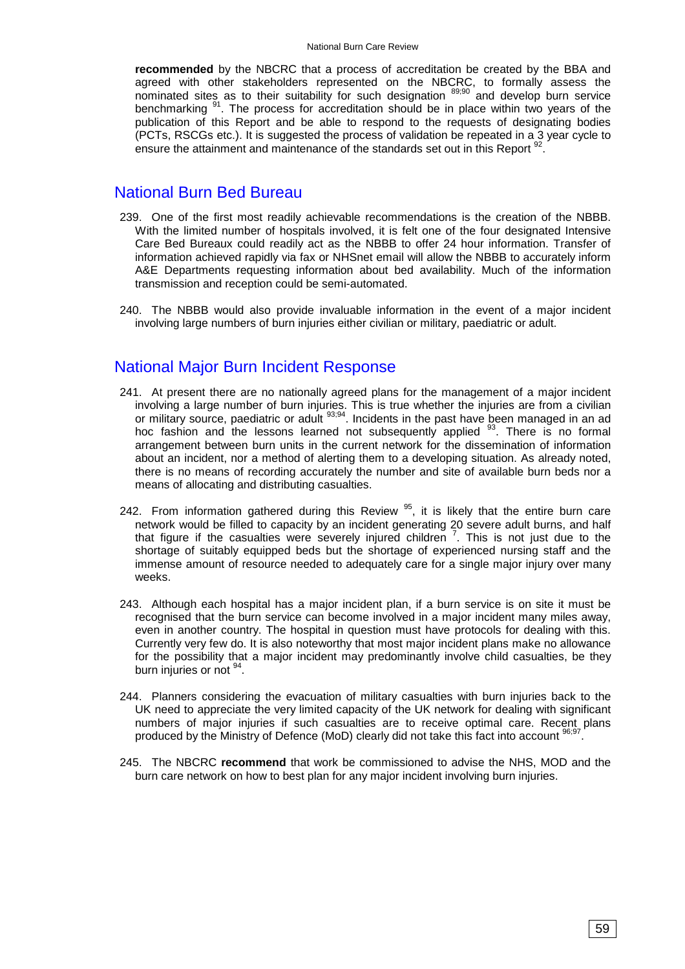**recommended** by the NBCRC that a process of accreditation be created by the BBA and agreed with other stakeholders represented on the NBCRC, to formally assess the nominated sites as to their suitability for such designation  $89,90$  and develop burn service benchmarking <sup>91</sup>. The process for accreditation should be in place within two years of the publication of this Report and be able to respond to the requests of designating bodies (PCTs, RSCGs etc.). It is suggested the process of validation be repeated in a 3 year cycle to ensure the attainment and maintenance of the standards set out in this Report<sup>92</sup>.

# National Burn Bed Bureau

- 239. One of the first most readily achievable recommendations is the creation of the NBBB. With the limited number of hospitals involved, it is felt one of the four designated Intensive Care Bed Bureaux could readily act as the NBBB to offer 24 hour information. Transfer of information achieved rapidly via fax or NHSnet email will allow the NBBB to accurately inform A&E Departments requesting information about bed availability. Much of the information transmission and reception could be semi-automated.
- 240. The NBBB would also provide invaluable information in the event of a major incident involving large numbers of burn injuries either civilian or military, paediatric or adult.

# National Major Burn Incident Response

- 241. At present there are no nationally agreed plans for the management of a major incident involving a large number of burn injuries. This is true whether the injuries are from a civilian or military source, paediatric or adult <sup>93;94</sup>. Incidents in the past have been managed in an ad hoc fashion and the lessons learned not subsequently applied <sup>93</sup>. There is no formal arrangement between burn units in the current network for the dissemination of information about an incident, nor a method of alerting them to a developing situation. As already noted, there is no means of recording accurately the number and site of available burn beds nor a means of allocating and distributing casualties.
- 242. From information gathered during this Review  $95$ , it is likely that the entire burn care network would be filled to capacity by an incident generating 20 severe adult burns, and half that figure if the casualties were severely injured children  $\frac{7}{1}$ . This is not just due to the shortage of suitably equipped beds but the shortage of experienced nursing staff and the immense amount of resource needed to adequately care for a single major injury over many weeks.
- 243. Although each hospital has a major incident plan, if a burn service is on site it must be recognised that the burn service can become involved in a major incident many miles away, even in another country. The hospital in question must have protocols for dealing with this. Currently very few do. It is also noteworthy that most major incident plans make no allowance for the possibility that a major incident may predominantly involve child casualties, be they burn injuries or not <sup>94</sup>.
- 244. Planners considering the evacuation of military casualties with burn injuries back to the UK need to appreciate the very limited capacity of the UK network for dealing with significant numbers of major injuries if such casualties are to receive optimal care. Recent plans produced by the Ministry of Defence (MoD) clearly did not take this fact into account 96;97
- 245. The NBCRC **recommend** that work be commissioned to advise the NHS, MOD and the burn care network on how to best plan for any major incident involving burn injuries.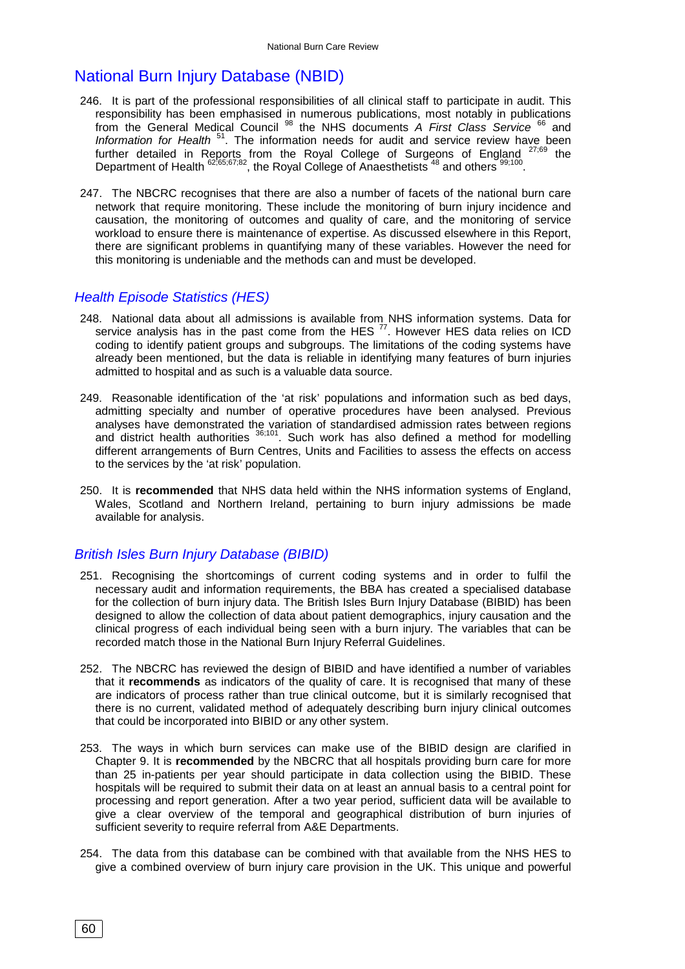# National Burn Injury Database (NBID)

- 246. It is part of the professional responsibilities of all clinical staff to participate in audit. This responsibility has been emphasised in numerous publications, most notably in publications from the General Medical Council 98 the NHS documents *A First Class Service* 66 and *Information for Health* 51. The information needs for audit and service review have been further detailed in Reports from the Royal College of Surgeons of England  $27,69$  the Department of Health <sup>62;65;67;82</sup>, the Royal College of Anaesthetists <sup>48</sup> and others <sup>99;100</sup>.
- 247. The NBCRC recognises that there are also a number of facets of the national burn care network that require monitoring. These include the monitoring of burn injury incidence and causation, the monitoring of outcomes and quality of care, and the monitoring of service workload to ensure there is maintenance of expertise. As discussed elsewhere in this Report, there are significant problems in quantifying many of these variables. However the need for this monitoring is undeniable and the methods can and must be developed.

### *Health Episode Statistics (HES)*

- 248. National data about all admissions is available from NHS information systems. Data for service analysis has in the past come from the HES  $<sup>77</sup>$ . However HES data relies on ICD</sup> coding to identify patient groups and subgroups. The limitations of the coding systems have already been mentioned, but the data is reliable in identifying many features of burn injuries admitted to hospital and as such is a valuable data source.
- 249. Reasonable identification of the 'at risk' populations and information such as bed days, admitting specialty and number of operative procedures have been analysed. Previous analyses have demonstrated the variation of standardised admission rates between regions and district health authorities  $36,101$ . Such work has also defined a method for modelling different arrangements of Burn Centres, Units and Facilities to assess the effects on access to the services by the 'at risk' population.
- 250. It is **recommended** that NHS data held within the NHS information systems of England, Wales, Scotland and Northern Ireland, pertaining to burn injury admissions be made available for analysis.

### *British Isles Burn Injury Database (BIBID)*

- 251. Recognising the shortcomings of current coding systems and in order to fulfil the necessary audit and information requirements, the BBA has created a specialised database for the collection of burn injury data. The British Isles Burn Injury Database (BIBID) has been designed to allow the collection of data about patient demographics, injury causation and the clinical progress of each individual being seen with a burn injury. The variables that can be recorded match those in the National Burn Injury Referral Guidelines.
- 252. The NBCRC has reviewed the design of BIBID and have identified a number of variables that it **recommends** as indicators of the quality of care. It is recognised that many of these are indicators of process rather than true clinical outcome, but it is similarly recognised that there is no current, validated method of adequately describing burn injury clinical outcomes that could be incorporated into BIBID or any other system.
- 253. The ways in which burn services can make use of the BIBID design are clarified in Chapter 9. It is **recommended** by the NBCRC that all hospitals providing burn care for more than 25 in-patients per year should participate in data collection using the BIBID. These hospitals will be required to submit their data on at least an annual basis to a central point for processing and report generation. After a two year period, sufficient data will be available to give a clear overview of the temporal and geographical distribution of burn injuries of sufficient severity to require referral from A&E Departments.
- 254. The data from this database can be combined with that available from the NHS HES to give a combined overview of burn injury care provision in the UK. This unique and powerful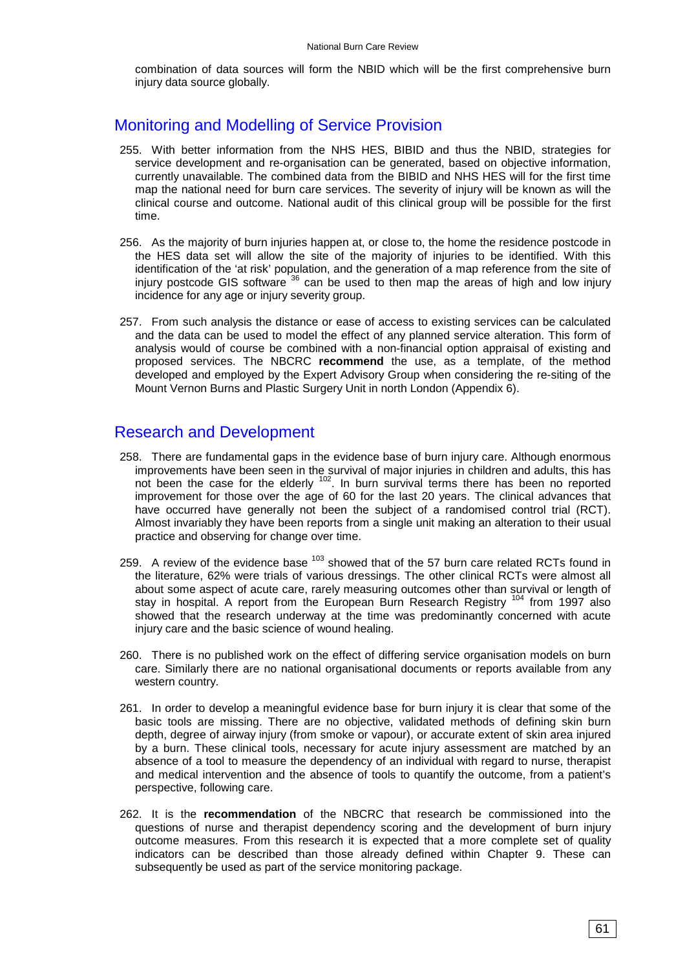combination of data sources will form the NBID which will be the first comprehensive burn injury data source globally.

# Monitoring and Modelling of Service Provision

- 255. With better information from the NHS HES, BIBID and thus the NBID, strategies for service development and re-organisation can be generated, based on objective information, currently unavailable. The combined data from the BIBID and NHS HES will for the first time map the national need for burn care services. The severity of injury will be known as will the clinical course and outcome. National audit of this clinical group will be possible for the first time.
- 256. As the majority of burn injuries happen at, or close to, the home the residence postcode in the HES data set will allow the site of the majority of injuries to be identified. With this identification of the 'at risk' population, and the generation of a map reference from the site of injury postcode GIS software <sup>36</sup> can be used to then map the areas of high and low injury incidence for any age or injury severity group.
- 257. From such analysis the distance or ease of access to existing services can be calculated and the data can be used to model the effect of any planned service alteration. This form of analysis would of course be combined with a non-financial option appraisal of existing and proposed services. The NBCRC **recommend** the use, as a template, of the method developed and employed by the Expert Advisory Group when considering the re-siting of the Mount Vernon Burns and Plastic Surgery Unit in north London (Appendix 6).

### Research and Development

- 258. There are fundamental gaps in the evidence base of burn injury care. Although enormous improvements have been seen in the survival of major injuries in children and adults, this has not been the case for the elderly  $102$ . In burn survival terms there has been no reported improvement for those over the age of 60 for the last 20 years. The clinical advances that have occurred have generally not been the subject of a randomised control trial (RCT). Almost invariably they have been reports from a single unit making an alteration to their usual practice and observing for change over time.
- 259. A review of the evidence base  $103$  showed that of the 57 burn care related RCTs found in the literature, 62% were trials of various dressings. The other clinical RCTs were almost all about some aspect of acute care, rarely measuring outcomes other than survival or length of stay in hospital. A report from the European Burn Research Registry<sup>104</sup> from 1997 also showed that the research underway at the time was predominantly concerned with acute injury care and the basic science of wound healing.
- 260. There is no published work on the effect of differing service organisation models on burn care. Similarly there are no national organisational documents or reports available from any western country.
- 261. In order to develop a meaningful evidence base for burn injury it is clear that some of the basic tools are missing. There are no objective, validated methods of defining skin burn depth, degree of airway injury (from smoke or vapour), or accurate extent of skin area injured by a burn. These clinical tools, necessary for acute injury assessment are matched by an absence of a tool to measure the dependency of an individual with regard to nurse, therapist and medical intervention and the absence of tools to quantify the outcome, from a patient's perspective, following care.
- 262. It is the **recommendation** of the NBCRC that research be commissioned into the questions of nurse and therapist dependency scoring and the development of burn injury outcome measures. From this research it is expected that a more complete set of quality indicators can be described than those already defined within Chapter 9. These can subsequently be used as part of the service monitoring package.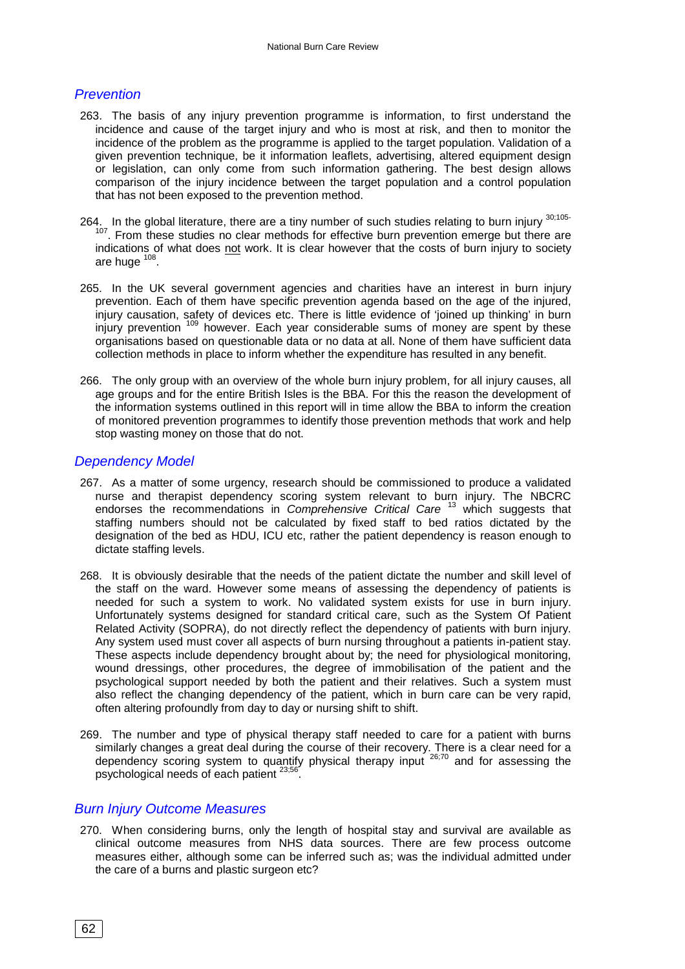### *Prevention*

- 263. The basis of any injury prevention programme is information, to first understand the incidence and cause of the target injury and who is most at risk, and then to monitor the incidence of the problem as the programme is applied to the target population. Validation of a given prevention technique, be it information leaflets, advertising, altered equipment design or legislation, can only come from such information gathering. The best design allows comparison of the injury incidence between the target population and a control population that has not been exposed to the prevention method.
- 264. In the global literature, there are a tiny number of such studies relating to burn injury  $30;105-$ <sup>107</sup>. From these studies no clear methods for effective burn prevention emerge but there are indications of what does not work. It is clear however that the costs of burn injury to society are huge 108
- 265. In the UK several government agencies and charities have an interest in burn injury prevention. Each of them have specific prevention agenda based on the age of the injured, injury causation, safety of devices etc. There is little evidence of 'joined up thinking' in burn injury prevention <sup>109</sup> however. Each year considerable sums of money are spent by these organisations based on questionable data or no data at all. None of them have sufficient data collection methods in place to inform whether the expenditure has resulted in any benefit.
- 266. The only group with an overview of the whole burn injury problem, for all injury causes, all age groups and for the entire British Isles is the BBA. For this the reason the development of the information systems outlined in this report will in time allow the BBA to inform the creation of monitored prevention programmes to identify those prevention methods that work and help stop wasting money on those that do not.

### *Dependency Model*

- 267. As a matter of some urgency, research should be commissioned to produce a validated nurse and therapist dependency scoring system relevant to burn injury. The NBCRC endorses the recommendations in *Comprehensive Critical Care* 13 which suggests that staffing numbers should not be calculated by fixed staff to bed ratios dictated by the designation of the bed as HDU, ICU etc, rather the patient dependency is reason enough to dictate staffing levels.
- 268. It is obviously desirable that the needs of the patient dictate the number and skill level of the staff on the ward. However some means of assessing the dependency of patients is needed for such a system to work. No validated system exists for use in burn injury. Unfortunately systems designed for standard critical care, such as the System Of Patient Related Activity (SOPRA), do not directly reflect the dependency of patients with burn injury. Any system used must cover all aspects of burn nursing throughout a patients in-patient stay. These aspects include dependency brought about by; the need for physiological monitoring, wound dressings, other procedures, the degree of immobilisation of the patient and the psychological support needed by both the patient and their relatives. Such a system must also reflect the changing dependency of the patient, which in burn care can be very rapid, often altering profoundly from day to day or nursing shift to shift.
- 269. The number and type of physical therapy staff needed to care for a patient with burns similarly changes a great deal during the course of their recovery. There is a clear need for a dependency scoring system to quantify physical therapy input  $26,70$  and for assessing the psychological needs of each patient <sup>23,56</sup>.

### *Burn Injury Outcome Measures*

270. When considering burns, only the length of hospital stay and survival are available as clinical outcome measures from NHS data sources. There are few process outcome measures either, although some can be inferred such as; was the individual admitted under the care of a burns and plastic surgeon etc?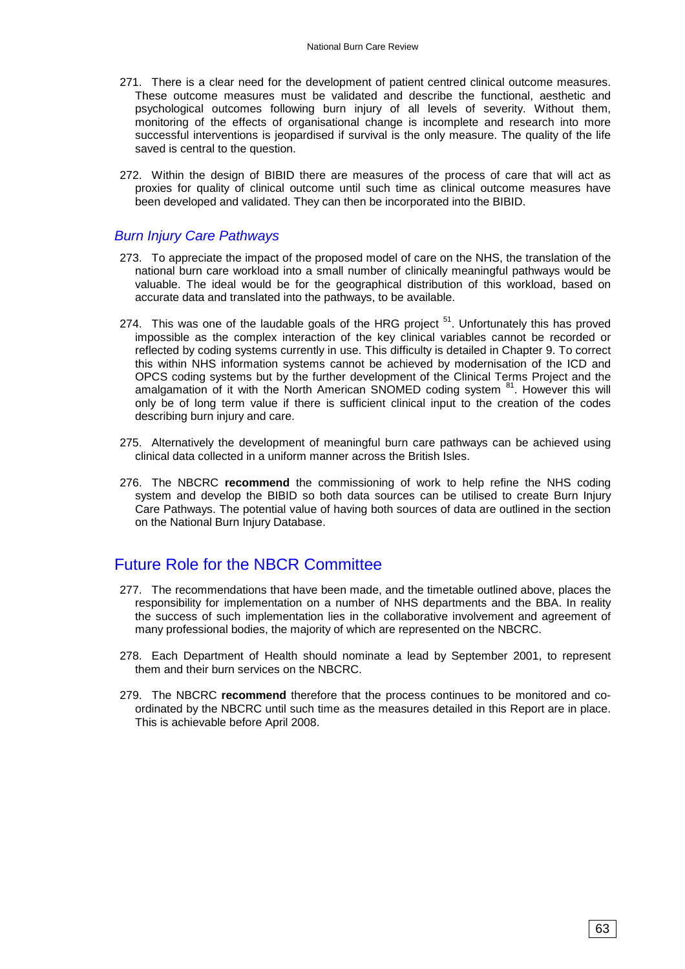- 271. There is a clear need for the development of patient centred clinical outcome measures. These outcome measures must be validated and describe the functional, aesthetic and psychological outcomes following burn injury of all levels of severity. Without them, monitoring of the effects of organisational change is incomplete and research into more successful interventions is jeopardised if survival is the only measure. The quality of the life saved is central to the question.
- 272. Within the design of BIBID there are measures of the process of care that will act as proxies for quality of clinical outcome until such time as clinical outcome measures have been developed and validated. They can then be incorporated into the BIBID.

### *Burn Injury Care Pathways*

- 273. To appreciate the impact of the proposed model of care on the NHS, the translation of the national burn care workload into a small number of clinically meaningful pathways would be valuable. The ideal would be for the geographical distribution of this workload, based on accurate data and translated into the pathways, to be available.
- 274. This was one of the laudable goals of the HRG project  $51$ . Unfortunately this has proved impossible as the complex interaction of the key clinical variables cannot be recorded or reflected by coding systems currently in use. This difficulty is detailed in Chapter 9. To correct this within NHS information systems cannot be achieved by modernisation of the ICD and OPCS coding systems but by the further development of the Clinical Terms Project and the amalgamation of it with the North American SNOMED coding system <sup>81</sup>. However this will only be of long term value if there is sufficient clinical input to the creation of the codes describing burn injury and care.
- 275. Alternatively the development of meaningful burn care pathways can be achieved using clinical data collected in a uniform manner across the British Isles.
- 276. The NBCRC **recommend** the commissioning of work to help refine the NHS coding system and develop the BIBID so both data sources can be utilised to create Burn Injury Care Pathways. The potential value of having both sources of data are outlined in the section on the National Burn Injury Database.

# Future Role for the NBCR Committee

- 277. The recommendations that have been made, and the timetable outlined above, places the responsibility for implementation on a number of NHS departments and the BBA. In reality the success of such implementation lies in the collaborative involvement and agreement of many professional bodies, the majority of which are represented on the NBCRC.
- 278. Each Department of Health should nominate a lead by September 2001, to represent them and their burn services on the NBCRC.
- 279. The NBCRC **recommend** therefore that the process continues to be monitored and coordinated by the NBCRC until such time as the measures detailed in this Report are in place. This is achievable before April 2008.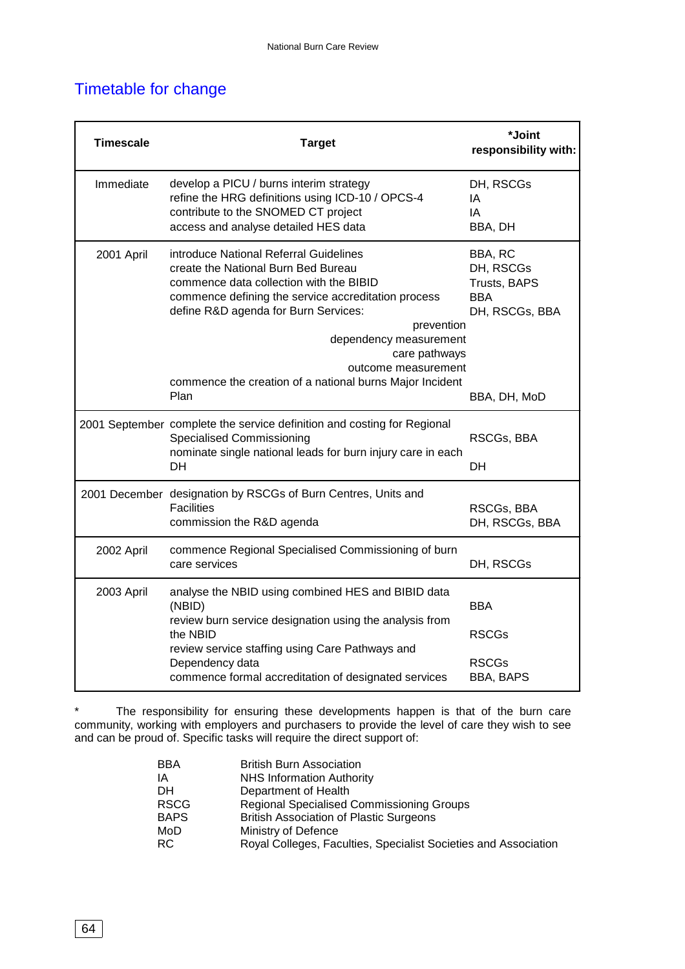# Timetable for change

| <b>Timescale</b> | <b>Target</b>                                                                                                                                                                                                                                                                                                                                                       | *Joint<br>responsibility with:                                       |
|------------------|---------------------------------------------------------------------------------------------------------------------------------------------------------------------------------------------------------------------------------------------------------------------------------------------------------------------------------------------------------------------|----------------------------------------------------------------------|
| Immediate        | develop a PICU / burns interim strategy<br>refine the HRG definitions using ICD-10 / OPCS-4<br>contribute to the SNOMED CT project<br>access and analyse detailed HES data                                                                                                                                                                                          | DH, RSCGs<br>ΙA<br>ΙA<br>BBA, DH                                     |
| 2001 April       | introduce National Referral Guidelines<br>create the National Burn Bed Bureau<br>commence data collection with the BIBID<br>commence defining the service accreditation process<br>define R&D agenda for Burn Services:<br>prevention<br>dependency measurement<br>care pathways<br>outcome measurement<br>commence the creation of a national burns Major Incident | BBA, RC<br>DH, RSCGs<br>Trusts, BAPS<br><b>BBA</b><br>DH, RSCGs, BBA |
|                  | Plan                                                                                                                                                                                                                                                                                                                                                                | BBA, DH, MoD                                                         |
|                  | 2001 September complete the service definition and costing for Regional<br><b>Specialised Commissioning</b><br>nominate single national leads for burn injury care in each<br>DH.                                                                                                                                                                                   | RSCGs, BBA<br>DH                                                     |
|                  | 2001 December designation by RSCGs of Burn Centres, Units and<br><b>Facilities</b><br>commission the R&D agenda                                                                                                                                                                                                                                                     | RSCGs, BBA<br>DH, RSCGs, BBA                                         |
| 2002 April       | commence Regional Specialised Commissioning of burn<br>care services                                                                                                                                                                                                                                                                                                | DH, RSCGs                                                            |
| 2003 April       | analyse the NBID using combined HES and BIBID data<br>(NBID)<br>review burn service designation using the analysis from<br>the NBID<br>review service staffing using Care Pathways and<br>Dependency data<br>commence formal accreditation of designated services                                                                                                   | <b>BBA</b><br><b>RSCGs</b><br><b>RSCGs</b><br><b>BBA, BAPS</b>       |

\* The responsibility for ensuring these developments happen is that of the burn care community, working with employers and purchasers to provide the level of care they wish to see and can be proud of. Specific tasks will require the direct support of:

| BBA         | <b>British Burn Association</b>                                 |
|-------------|-----------------------------------------------------------------|
| IA          | <b>NHS Information Authority</b>                                |
| DH.         | Department of Health                                            |
| <b>RSCG</b> | <b>Regional Specialised Commissioning Groups</b>                |
| <b>BAPS</b> | <b>British Association of Plastic Surgeons</b>                  |
| MoD         | Ministry of Defence                                             |
| RC          | Royal Colleges, Faculties, Specialist Societies and Association |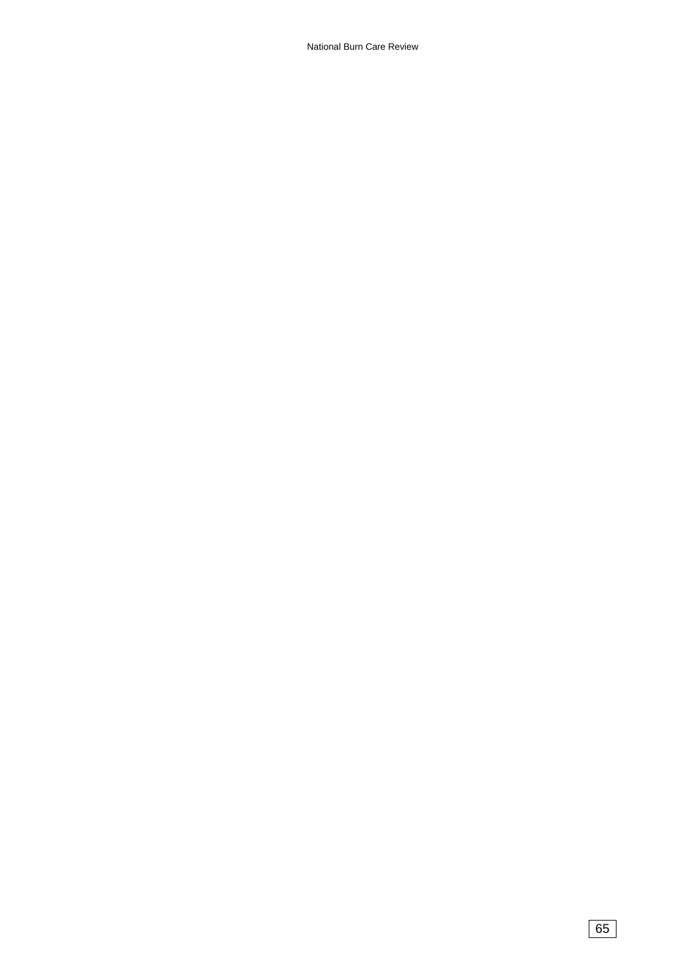National Burn Care Review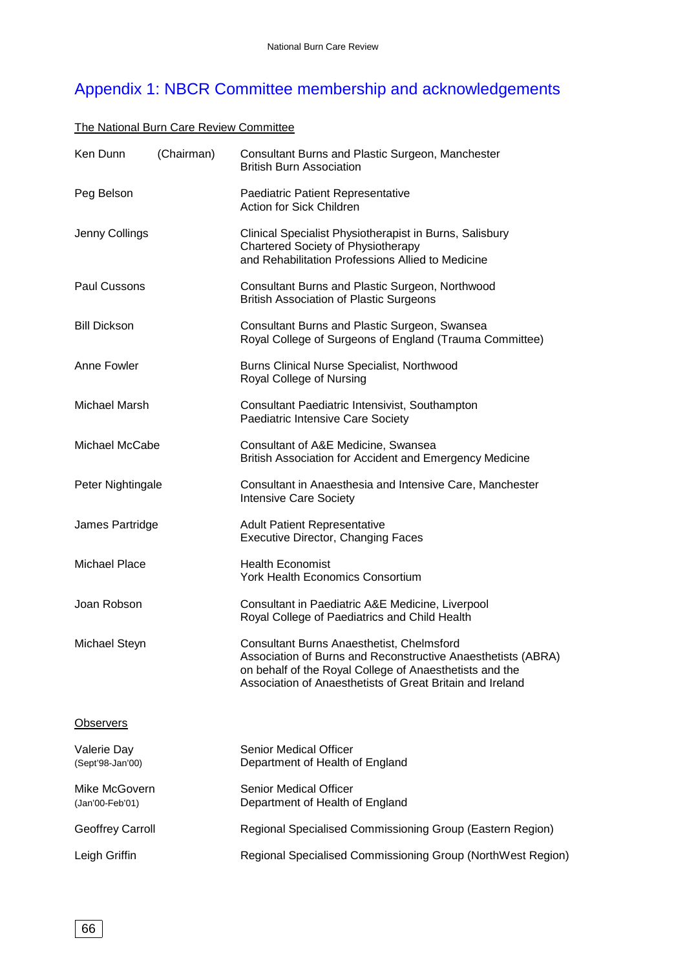# Appendix 1: NBCR Committee membership and acknowledgements

| The National Burn Care Review Committee |  |  |
|-----------------------------------------|--|--|

| Ken Dunn                         | (Chairman)                                                | Consultant Burns and Plastic Surgeon, Manchester<br><b>British Burn Association</b>                                                                                                                                                      |  |  |
|----------------------------------|-----------------------------------------------------------|------------------------------------------------------------------------------------------------------------------------------------------------------------------------------------------------------------------------------------------|--|--|
| Peg Belson                       |                                                           | Paediatric Patient Representative<br>Action for Sick Children                                                                                                                                                                            |  |  |
| Jenny Collings                   |                                                           | Clinical Specialist Physiotherapist in Burns, Salisbury<br>Chartered Society of Physiotherapy<br>and Rehabilitation Professions Allied to Medicine                                                                                       |  |  |
| Paul Cussons                     |                                                           | Consultant Burns and Plastic Surgeon, Northwood<br><b>British Association of Plastic Surgeons</b>                                                                                                                                        |  |  |
| <b>Bill Dickson</b>              |                                                           | Consultant Burns and Plastic Surgeon, Swansea<br>Royal College of Surgeons of England (Trauma Committee)                                                                                                                                 |  |  |
| Anne Fowler                      |                                                           | Burns Clinical Nurse Specialist, Northwood<br>Royal College of Nursing                                                                                                                                                                   |  |  |
| Michael Marsh                    |                                                           | Consultant Paediatric Intensivist, Southampton<br>Paediatric Intensive Care Society                                                                                                                                                      |  |  |
| Michael McCabe                   |                                                           | Consultant of A&E Medicine, Swansea<br>British Association for Accident and Emergency Medicine                                                                                                                                           |  |  |
| Peter Nightingale                |                                                           | Consultant in Anaesthesia and Intensive Care, Manchester<br><b>Intensive Care Society</b>                                                                                                                                                |  |  |
| James Partridge                  |                                                           | <b>Adult Patient Representative</b><br><b>Executive Director, Changing Faces</b>                                                                                                                                                         |  |  |
| Michael Place                    |                                                           | <b>Health Economist</b><br><b>York Health Economics Consortium</b>                                                                                                                                                                       |  |  |
| Joan Robson                      |                                                           | Consultant in Paediatric A&E Medicine, Liverpool<br>Royal College of Paediatrics and Child Health                                                                                                                                        |  |  |
| Michael Steyn                    |                                                           | <b>Consultant Burns Anaesthetist, Chelmsford</b><br>Association of Burns and Reconstructive Anaesthetists (ABRA)<br>on behalf of the Royal College of Anaesthetists and the<br>Association of Anaesthetists of Great Britain and Ireland |  |  |
| <b>Observers</b>                 |                                                           |                                                                                                                                                                                                                                          |  |  |
| Valerie Day<br>(Sept'98-Jan'00)  | Senior Medical Officer<br>Department of Health of England |                                                                                                                                                                                                                                          |  |  |
| Mike McGovern<br>(Jan'00-Feb'01) |                                                           | <b>Senior Medical Officer</b><br>Department of Health of England                                                                                                                                                                         |  |  |
| <b>Geoffrey Carroll</b>          |                                                           | Regional Specialised Commissioning Group (Eastern Region)                                                                                                                                                                                |  |  |
| Leigh Griffin                    |                                                           | Regional Specialised Commissioning Group (NorthWest Region)                                                                                                                                                                              |  |  |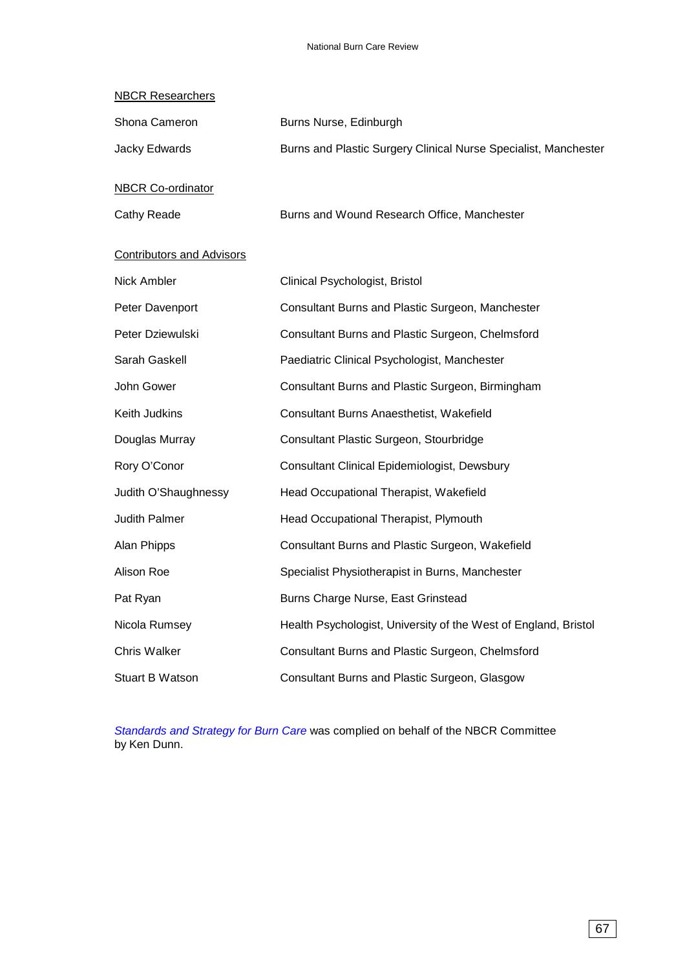| <b>NBCR Researchers</b>          |                                                                 |
|----------------------------------|-----------------------------------------------------------------|
| Shona Cameron                    | Burns Nurse, Edinburgh                                          |
| Jacky Edwards                    | Burns and Plastic Surgery Clinical Nurse Specialist, Manchester |
| <b>NBCR Co-ordinator</b>         |                                                                 |
| <b>Cathy Reade</b>               | Burns and Wound Research Office, Manchester                     |
| <b>Contributors and Advisors</b> |                                                                 |
| Nick Ambler                      | Clinical Psychologist, Bristol                                  |
| Peter Davenport                  | Consultant Burns and Plastic Surgeon, Manchester                |
| Peter Dziewulski                 | Consultant Burns and Plastic Surgeon, Chelmsford                |
| Sarah Gaskell                    | Paediatric Clinical Psychologist, Manchester                    |
| John Gower                       | Consultant Burns and Plastic Surgeon, Birmingham                |
| Keith Judkins                    | Consultant Burns Anaesthetist, Wakefield                        |
| Douglas Murray                   | Consultant Plastic Surgeon, Stourbridge                         |
| Rory O'Conor                     | Consultant Clinical Epidemiologist, Dewsbury                    |
| Judith O'Shaughnessy             | Head Occupational Therapist, Wakefield                          |
| Judith Palmer                    | Head Occupational Therapist, Plymouth                           |
| Alan Phipps                      | Consultant Burns and Plastic Surgeon, Wakefield                 |
| Alison Roe                       | Specialist Physiotherapist in Burns, Manchester                 |
| Pat Ryan                         | Burns Charge Nurse, East Grinstead                              |
| Nicola Rumsey                    | Health Psychologist, University of the West of England, Bristol |
| <b>Chris Walker</b>              | Consultant Burns and Plastic Surgeon, Chelmsford                |
| <b>Stuart B Watson</b>           | Consultant Burns and Plastic Surgeon, Glasgow                   |

*Standards and Strategy for Burn Care* was complied on behalf of the NBCR Committee by Ken Dunn.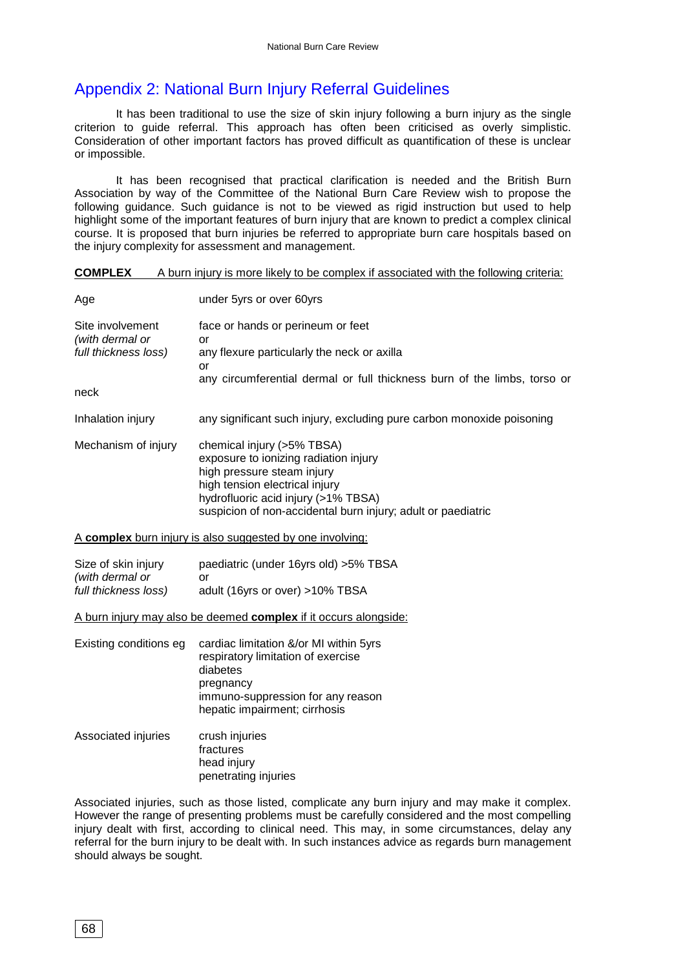## Appendix 2: National Burn Injury Referral Guidelines

 It has been traditional to use the size of skin injury following a burn injury as the single criterion to guide referral. This approach has often been criticised as overly simplistic. Consideration of other important factors has proved difficult as quantification of these is unclear or impossible.

 It has been recognised that practical clarification is needed and the British Burn Association by way of the Committee of the National Burn Care Review wish to propose the following guidance. Such guidance is not to be viewed as rigid instruction but used to help highlight some of the important features of burn injury that are known to predict a complex clinical course. It is proposed that burn injuries be referred to appropriate burn care hospitals based on the injury complexity for assessment and management.

#### **COMPLEX** A burn injury is more likely to be complex if associated with the following criteria:

| Age                                                            | under 5yrs or over 60yrs                                                                                                                                                                                                                   |
|----------------------------------------------------------------|--------------------------------------------------------------------------------------------------------------------------------------------------------------------------------------------------------------------------------------------|
| Site involvement<br>(with dermal or<br>full thickness loss)    | face or hands or perineum or feet<br>or<br>any flexure particularly the neck or axilla                                                                                                                                                     |
| neck                                                           | or<br>any circumferential dermal or full thickness burn of the limbs, torso or                                                                                                                                                             |
| Inhalation injury                                              | any significant such injury, excluding pure carbon monoxide poisoning                                                                                                                                                                      |
| Mechanism of injury                                            | chemical injury (>5% TBSA)<br>exposure to ionizing radiation injury<br>high pressure steam injury<br>high tension electrical injury<br>hydrofluoric acid injury (>1% TBSA)<br>suspicion of non-accidental burn injury; adult or paediatric |
|                                                                | A complex burn injury is also suggested by one involving:                                                                                                                                                                                  |
| Size of skin injury<br>(with dermal or<br>full thickness loss) | paediatric (under 16yrs old) > 5% TBSA<br>or<br>adult (16yrs or over) >10% TBSA                                                                                                                                                            |
|                                                                | A burn injury may also be deemed complex if it occurs alongside:                                                                                                                                                                           |
| Existing conditions eg                                         | cardiac limitation &/or MI within 5yrs<br>respiratory limitation of exercise<br>diabetes<br>pregnancy<br>immuno-suppression for any reason<br>hepatic impairment; cirrhosis                                                                |
| Associated injuries                                            | crush injuries<br>fractures<br>head injury<br>penetrating injuries                                                                                                                                                                         |

Associated injuries, such as those listed, complicate any burn injury and may make it complex. However the range of presenting problems must be carefully considered and the most compelling injury dealt with first, according to clinical need. This may, in some circumstances, delay any referral for the burn injury to be dealt with. In such instances advice as regards burn management should always be sought.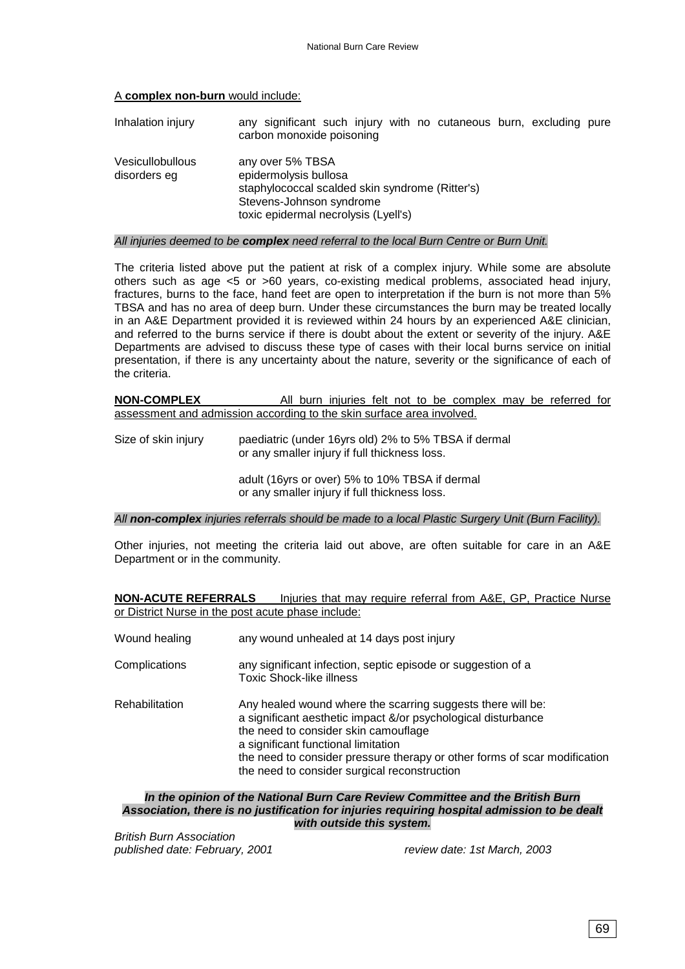A **complex non-burn** would include:

| Inhalation injury                       | any significant such injury with no cutaneous burn, excluding pure<br>carbon monoxide poisoning |
|-----------------------------------------|-------------------------------------------------------------------------------------------------|
| <b>Vesicullobullous</b><br>disorders eg | any over 5% TBSA<br>epidermolysis bullosa<br>staphylococcal scalded skin syndrome (Ritter's)    |

### *All injuries deemed to be complex need referral to the local Burn Centre or Burn Unit.*

 Stevens-Johnson syndrome toxic epidermal necrolysis (Lyell's)

The criteria listed above put the patient at risk of a complex injury. While some are absolute others such as age <5 or >60 years, co-existing medical problems, associated head injury, fractures, burns to the face, hand feet are open to interpretation if the burn is not more than 5% TBSA and has no area of deep burn. Under these circumstances the burn may be treated locally in an A&E Department provided it is reviewed within 24 hours by an experienced A&E clinician, and referred to the burns service if there is doubt about the extent or severity of the injury. A&E Departments are advised to discuss these type of cases with their local burns service on initial presentation, if there is any uncertainty about the nature, severity or the significance of each of the criteria.

**NON-COMPLEX** All burn injuries felt not to be complex may be referred for assessment and admission according to the skin surface area involved.

Size of skin injury paediatric (under 16yrs old) 2% to 5% TBSA if dermal or any smaller injury if full thickness loss.

> adult (16yrs or over) 5% to 10% TBSA if dermal or any smaller injury if full thickness loss.

*All non-complex injuries referrals should be made to a local Plastic Surgery Unit (Burn Facility).* 

Other injuries, not meeting the criteria laid out above, are often suitable for care in an A&E Department or in the community.

| <b>NON-ACUTE REFERRALS</b>                         | Injuries that may require referral from A&E, GP, Practice Nurse |  |  |  |
|----------------------------------------------------|-----------------------------------------------------------------|--|--|--|
| or District Nurse in the post acute phase include: |                                                                 |  |  |  |

| Wound healing  | any wound unhealed at 14 days post injury                                                                                                                                                                                                                                                                                                |
|----------------|------------------------------------------------------------------------------------------------------------------------------------------------------------------------------------------------------------------------------------------------------------------------------------------------------------------------------------------|
| Complications  | any significant infection, septic episode or suggestion of a<br>Toxic Shock-like illness                                                                                                                                                                                                                                                 |
| Rehabilitation | Any healed wound where the scarring suggests there will be:<br>a significant aesthetic impact &/or psychological disturbance<br>the need to consider skin camouflage<br>a significant functional limitation<br>the need to consider pressure therapy or other forms of scar modification<br>the need to consider surgical reconstruction |

#### *In the opinion of the National Burn Care Review Committee and the British Burn Association, there is no justification for injuries requiring hospital admission to be dealt with outside this system.*

*British Burn Association published date: February, 2001 review date: 1st March, 2003*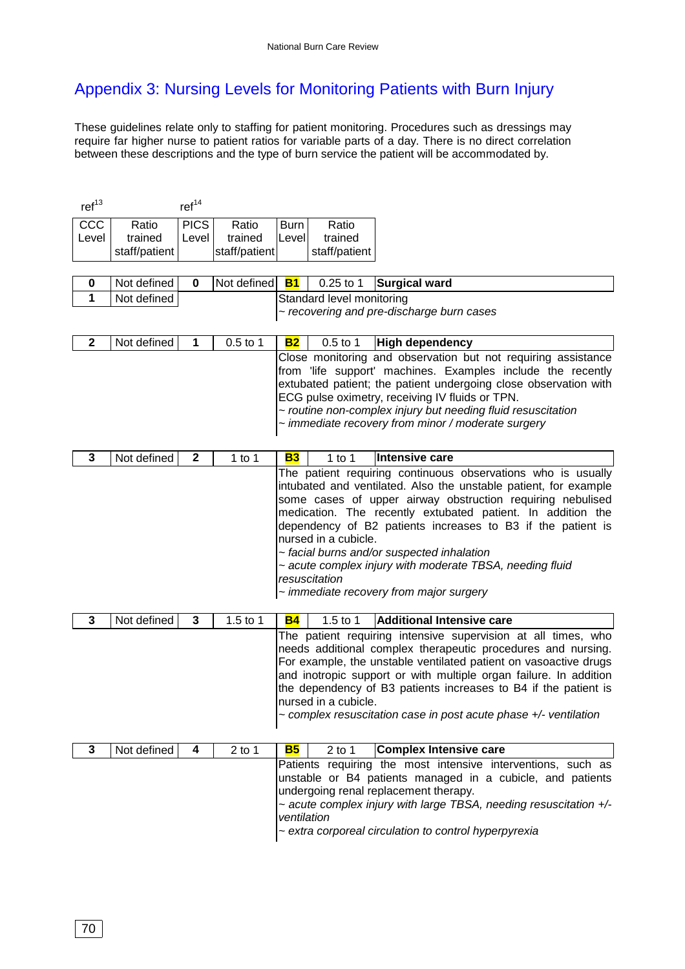# Appendix 3: Nursing Levels for Monitoring Patients with Burn Injury

These guidelines relate only to staffing for patient monitoring. Procedures such as dressings may require far higher nurse to patient ratios for variable parts of a day. There is no direct correlation between these descriptions and the type of burn service the patient will be accommodated by.

| ref <sup>13</sup> |               | ref <sup>14</sup> |               |                                                                                                                                                                                                                                                                                                                                                                                                                                                                                                                            |                           |                                                                                                                                                                                                                                                                                                                                                                                                               |  |  |
|-------------------|---------------|-------------------|---------------|----------------------------------------------------------------------------------------------------------------------------------------------------------------------------------------------------------------------------------------------------------------------------------------------------------------------------------------------------------------------------------------------------------------------------------------------------------------------------------------------------------------------------|---------------------------|---------------------------------------------------------------------------------------------------------------------------------------------------------------------------------------------------------------------------------------------------------------------------------------------------------------------------------------------------------------------------------------------------------------|--|--|
| CCC               | Ratio         | <b>PICS</b>       | Ratio         | <b>Burn</b>                                                                                                                                                                                                                                                                                                                                                                                                                                                                                                                | Ratio                     |                                                                                                                                                                                                                                                                                                                                                                                                               |  |  |
| Level             | trained       | Level             | trained       | Level                                                                                                                                                                                                                                                                                                                                                                                                                                                                                                                      | trained                   |                                                                                                                                                                                                                                                                                                                                                                                                               |  |  |
|                   | staff/patient |                   | staff/patient |                                                                                                                                                                                                                                                                                                                                                                                                                                                                                                                            | staff/patient             |                                                                                                                                                                                                                                                                                                                                                                                                               |  |  |
|                   |               |                   |               |                                                                                                                                                                                                                                                                                                                                                                                                                                                                                                                            |                           |                                                                                                                                                                                                                                                                                                                                                                                                               |  |  |
| 0                 | Not defined   | 0                 | Not defined   | <b>B1</b>                                                                                                                                                                                                                                                                                                                                                                                                                                                                                                                  | 0.25 to 1                 | <b>Surgical ward</b>                                                                                                                                                                                                                                                                                                                                                                                          |  |  |
| 1                 | Not defined   |                   |               |                                                                                                                                                                                                                                                                                                                                                                                                                                                                                                                            | Standard level monitoring |                                                                                                                                                                                                                                                                                                                                                                                                               |  |  |
|                   |               |                   |               |                                                                                                                                                                                                                                                                                                                                                                                                                                                                                                                            |                           | ~ recovering and pre-discharge burn cases                                                                                                                                                                                                                                                                                                                                                                     |  |  |
| $\mathbf 2$       | Not defined   | 1                 | $0.5$ to 1    | <b>B2</b>                                                                                                                                                                                                                                                                                                                                                                                                                                                                                                                  | $0.5$ to 1                | <b>High dependency</b>                                                                                                                                                                                                                                                                                                                                                                                        |  |  |
|                   |               |                   |               | Close monitoring and observation but not requiring assistance<br>from 'life support' machines. Examples include the recently<br>extubated patient; the patient undergoing close observation with<br>ECG pulse oximetry, receiving IV fluids or TPN.<br>~ routine non-complex injury but needing fluid resuscitation<br>~ immediate recovery from minor / moderate surgery                                                                                                                                                  |                           |                                                                                                                                                                                                                                                                                                                                                                                                               |  |  |
| 3                 | Not defined   | $\mathbf{2}$      | 1 to 1        | <b>B3</b>                                                                                                                                                                                                                                                                                                                                                                                                                                                                                                                  | 1 to 1                    | Intensive care                                                                                                                                                                                                                                                                                                                                                                                                |  |  |
|                   |               |                   |               | The patient requiring continuous observations who is usually<br>intubated and ventilated. Also the unstable patient, for example<br>some cases of upper airway obstruction requiring nebulised<br>medication. The recently extubated patient. In addition the<br>dependency of B2 patients increases to B3 if the patient is<br>nursed in a cubicle.<br>~ facial burns and/or suspected inhalation<br>~ acute complex injury with moderate TBSA, needing fluid<br>resuscitation<br>~ immediate recovery from major surgery |                           |                                                                                                                                                                                                                                                                                                                                                                                                               |  |  |
| 3                 | Not defined   | 3                 | 1.5 to 1      | <b>B4</b>                                                                                                                                                                                                                                                                                                                                                                                                                                                                                                                  | 1.5 to 1                  | <b>Additional Intensive care</b>                                                                                                                                                                                                                                                                                                                                                                              |  |  |
|                   |               |                   |               |                                                                                                                                                                                                                                                                                                                                                                                                                                                                                                                            | nursed in a cubicle.      | The patient requiring intensive supervision at all times, who<br>needs additional complex therapeutic procedures and nursing.<br>For example, the unstable ventilated patient on vasoactive drugs<br>and inotropic support or with multiple organ failure. In addition<br>the dependency of B3 patients increases to B4 if the patient is<br>~ complex resuscitation case in post acute phase +/- ventilation |  |  |
| 3                 | Not defined   | 4                 | $2$ to 1      | <b>B5</b>                                                                                                                                                                                                                                                                                                                                                                                                                                                                                                                  | $2$ to 1                  | <b>Complex Intensive care</b>                                                                                                                                                                                                                                                                                                                                                                                 |  |  |
|                   |               |                   |               | ventilation                                                                                                                                                                                                                                                                                                                                                                                                                                                                                                                |                           | Patients requiring the most intensive interventions, such as<br>unstable or B4 patients managed in a cubicle, and patients<br>undergoing renal replacement therapy.<br>~ acute complex injury with large TBSA, needing resuscitation +/-<br>~ extra corporeal circulation to control hyperpyrexia                                                                                                             |  |  |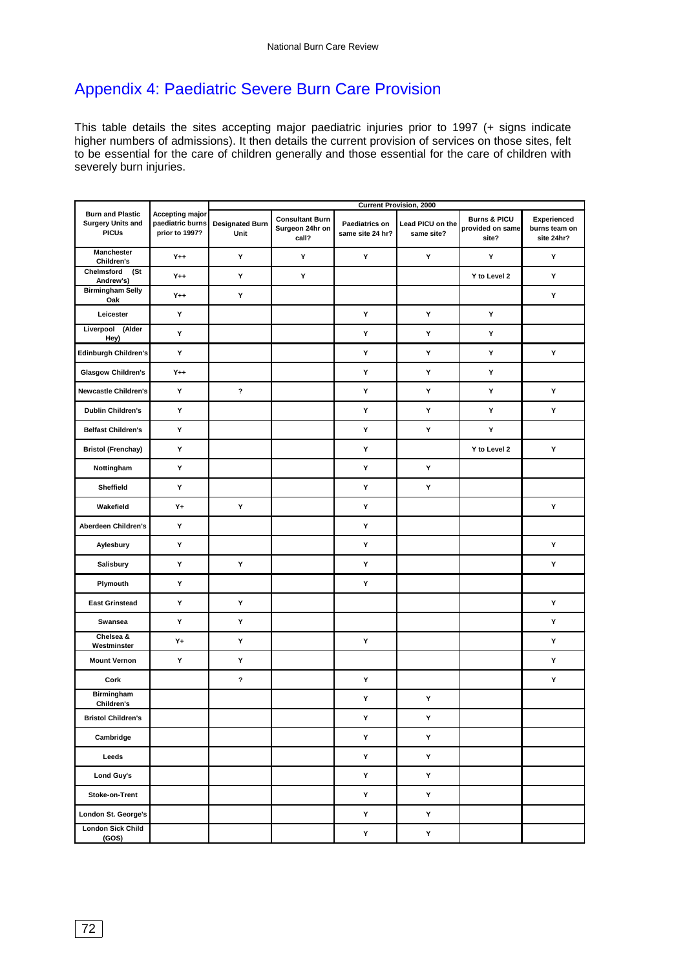# Appendix 4: Paediatric Severe Burn Care Provision

This table details the sites accepting major paediatric injuries prior to 1997 (+ signs indicate higher numbers of admissions). It then details the current provision of services on those sites, felt to be essential for the care of children generally and those essential for the care of children with severely burn injuries.

|                                                                     |                                                       | <b>Current Provision, 2000</b> |                                                    |                                           |                                |                                                      |                                            |
|---------------------------------------------------------------------|-------------------------------------------------------|--------------------------------|----------------------------------------------------|-------------------------------------------|--------------------------------|------------------------------------------------------|--------------------------------------------|
| <b>Burn and Plastic</b><br><b>Surgery Units and</b><br><b>PICUs</b> | Accepting major<br>paediatric burns<br>prior to 1997? | <b>Designated Burn</b><br>Unit | <b>Consultant Burn</b><br>Surgeon 24hr on<br>call? | <b>Paediatrics on</b><br>same site 24 hr? | Lead PICU on the<br>same site? | <b>Burns &amp; PICU</b><br>provided on same<br>site? | Experienced<br>burns team on<br>site 24hr? |
| <b>Manchester</b><br>Children's                                     | $Y_{++}$                                              | Y                              | Y                                                  | Y                                         | Y                              | Y                                                    | Y                                          |
| Chelmsford (St<br>Andrew's)                                         | $Y_{++}$                                              | Y                              | Y                                                  |                                           |                                | Y to Level 2                                         | Y                                          |
| <b>Birmingham Selly</b><br>Oak                                      | $Y_{++}$                                              | Y                              |                                                    |                                           |                                |                                                      | Y                                          |
| Leicester                                                           | Y                                                     |                                |                                                    | Y                                         | Y                              | Y                                                    |                                            |
| Liverpool (Alder<br>Hey)                                            | Y                                                     |                                |                                                    | Y                                         | Y                              | Y                                                    |                                            |
| Edinburgh Children's                                                | Y                                                     |                                |                                                    | Υ                                         | Y                              | Υ                                                    | Y                                          |
| <b>Glasgow Children's</b>                                           | $Y_{++}$                                              |                                |                                                    | Y                                         | Y                              | Y                                                    |                                            |
| <b>Newcastle Children's</b>                                         | Y                                                     | $\overline{\mathbf{r}}$        |                                                    | Y                                         | Y                              | Y                                                    | Y                                          |
| <b>Dublin Children's</b>                                            | Y                                                     |                                |                                                    | Y                                         | Y                              | Y                                                    | Y                                          |
| <b>Belfast Children's</b>                                           | Y                                                     |                                |                                                    | Y                                         | Y                              | Y                                                    |                                            |
| <b>Bristol (Frenchay)</b>                                           | Y                                                     |                                |                                                    | Y                                         |                                | Y to Level 2                                         | Y                                          |
| Nottingham                                                          | Y                                                     |                                |                                                    | Y                                         | Y                              |                                                      |                                            |
| Sheffield                                                           | Y                                                     |                                |                                                    | Y                                         | Y                              |                                                      |                                            |
| Wakefield                                                           | $Y_{+}$                                               | Y                              |                                                    | Y                                         |                                |                                                      | Y                                          |
| Aberdeen Children's                                                 | Y                                                     |                                |                                                    | Y                                         |                                |                                                      |                                            |
| Aylesbury                                                           | Y                                                     |                                |                                                    | Y                                         |                                |                                                      | Y                                          |
| Salisbury                                                           | Y                                                     | Y                              |                                                    | Y                                         |                                |                                                      | Y                                          |
| Plymouth                                                            | Y                                                     |                                |                                                    | Y                                         |                                |                                                      |                                            |
| <b>East Grinstead</b>                                               | Y                                                     | Y                              |                                                    |                                           |                                |                                                      | Y                                          |
| Swansea                                                             | Y                                                     | Y                              |                                                    |                                           |                                |                                                      | Y                                          |
| Chelsea &<br>Westminster                                            | Y+                                                    | Y                              |                                                    | Y                                         |                                |                                                      | Y                                          |
| <b>Mount Vernon</b>                                                 | Y                                                     | Y                              |                                                    |                                           |                                |                                                      | Y                                          |
| Cork                                                                |                                                       | $\boldsymbol{\mathsf{?}}$      |                                                    | Y                                         |                                |                                                      | Y                                          |
| Birmingham<br>Children's                                            |                                                       |                                |                                                    | Y                                         | Y                              |                                                      |                                            |
| <b>Bristol Children's</b>                                           |                                                       |                                |                                                    | Υ                                         | Y                              |                                                      |                                            |
| Cambridge                                                           |                                                       |                                |                                                    | Y                                         | Y                              |                                                      |                                            |
| Leeds                                                               |                                                       |                                |                                                    | Y                                         | Y                              |                                                      |                                            |
| Lond Guy's                                                          |                                                       |                                |                                                    | Y                                         | Y                              |                                                      |                                            |
| Stoke-on-Trent                                                      |                                                       |                                |                                                    | Y                                         | Y                              |                                                      |                                            |
| London St. George's                                                 |                                                       |                                |                                                    | Y                                         | Y                              |                                                      |                                            |
| <b>London Sick Child</b><br>(GOS)                                   |                                                       |                                |                                                    | Y                                         | Y                              |                                                      |                                            |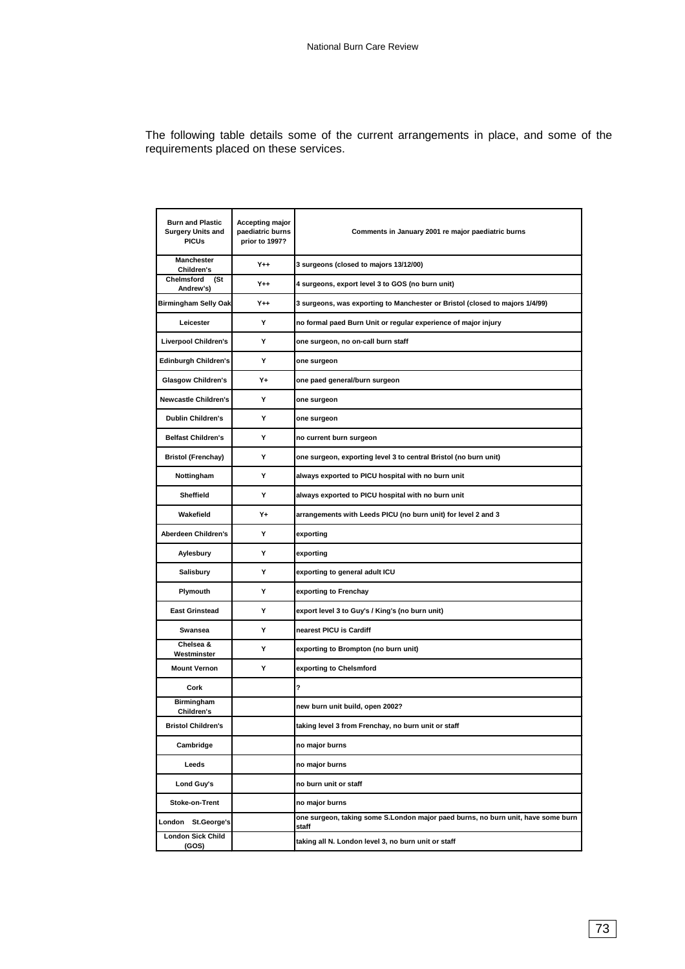The following table details some of the current arrangements in place, and some of the requirements placed on these services.

| <b>Burn and Plastic</b><br><b>Surgery Units and</b><br><b>PICUs</b> | Accepting major<br>paediatric burns<br>prior to 1997? | Comments in January 2001 re major paediatric burns                                        |  |
|---------------------------------------------------------------------|-------------------------------------------------------|-------------------------------------------------------------------------------------------|--|
| Manchester<br>Children's                                            | $Y_{++}$                                              | 3 surgeons (closed to majors 13/12/00)                                                    |  |
| Chelmsford<br>(St<br>Andrew's)                                      | $Y_{++}$                                              | 4 surgeons, export level 3 to GOS (no burn unit)                                          |  |
| Birmingham Selly Oak                                                | $Y_{++}$                                              | 3 surgeons, was exporting to Manchester or Bristol (closed to majors 1/4/99)              |  |
| Leicester                                                           | Y                                                     | no formal paed Burn Unit or regular experience of major injury                            |  |
| <b>Liverpool Children's</b>                                         | Y                                                     | one surgeon, no on-call burn staff                                                        |  |
| <b>Edinburgh Children's</b>                                         | Y                                                     | one surgeon                                                                               |  |
| <b>Glasgow Children's</b>                                           | $Y_{+}$                                               | one paed general/burn surgeon                                                             |  |
| Newcastle Children's                                                | Y                                                     | one surgeon                                                                               |  |
| <b>Dublin Children's</b>                                            | Y                                                     | one surgeon                                                                               |  |
| <b>Belfast Children's</b>                                           | Y                                                     | no current burn surgeon                                                                   |  |
| <b>Bristol (Frenchay)</b>                                           | Y                                                     | one surgeon, exporting level 3 to central Bristol (no burn unit)                          |  |
| Nottingham                                                          | Y                                                     | always exported to PICU hospital with no burn unit                                        |  |
| Sheffield                                                           | Y                                                     | always exported to PICU hospital with no burn unit                                        |  |
| Wakefield                                                           | $Y_{+}$                                               | arrangements with Leeds PICU (no burn unit) for level 2 and 3                             |  |
| Aberdeen Children's                                                 | Y                                                     | exporting                                                                                 |  |
| Aylesbury                                                           | Y                                                     | exporting                                                                                 |  |
| Salisbury                                                           | Y                                                     | exporting to general adult ICU                                                            |  |
| Plymouth                                                            | Y                                                     | exporting to Frenchay                                                                     |  |
| <b>East Grinstead</b>                                               | Y                                                     | export level 3 to Guy's / King's (no burn unit)                                           |  |
| <b>Swansea</b>                                                      | Y                                                     | nearest PICU is Cardiff                                                                   |  |
| Chelsea &<br>Westminster                                            | Y                                                     | exporting to Brompton (no burn unit)                                                      |  |
| <b>Mount Vernon</b>                                                 | Y                                                     | exporting to Chelsmford                                                                   |  |
| Cork                                                                |                                                       | ?                                                                                         |  |
| Birmingham<br>Children's                                            |                                                       | new burn unit build, open 2002?                                                           |  |
| <b>Bristol Children's</b>                                           |                                                       | taking level 3 from Frenchay, no burn unit or staff                                       |  |
| Cambridge                                                           |                                                       | no major burns                                                                            |  |
| Leeds                                                               |                                                       | no major burns                                                                            |  |
| Lond Guy's                                                          |                                                       | no burn unit or staff                                                                     |  |
| Stoke-on-Trent                                                      |                                                       | no major burns                                                                            |  |
| London St.George's                                                  |                                                       | one surgeon, taking some S.London major paed burns, no burn unit, have some burn<br>staff |  |
| <b>London Sick Child</b><br>(GOS)                                   |                                                       | taking all N. London level 3, no burn unit or staff                                       |  |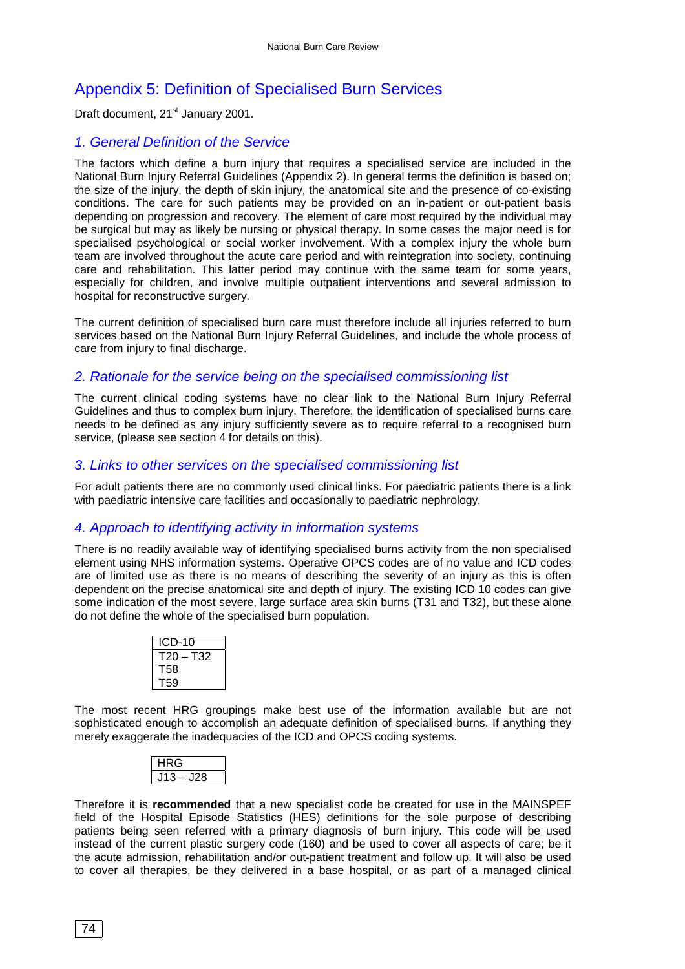## Appendix 5: Definition of Specialised Burn Services

Draft document, 21<sup>st</sup> January 2001.

### *1. General Definition of the Service*

The factors which define a burn injury that requires a specialised service are included in the National Burn Injury Referral Guidelines (Appendix 2). In general terms the definition is based on; the size of the injury, the depth of skin injury, the anatomical site and the presence of co-existing conditions. The care for such patients may be provided on an in-patient or out-patient basis depending on progression and recovery. The element of care most required by the individual may be surgical but may as likely be nursing or physical therapy. In some cases the major need is for specialised psychological or social worker involvement. With a complex injury the whole burn team are involved throughout the acute care period and with reintegration into society, continuing care and rehabilitation. This latter period may continue with the same team for some years, especially for children, and involve multiple outpatient interventions and several admission to hospital for reconstructive surgery.

The current definition of specialised burn care must therefore include all injuries referred to burn services based on the National Burn Injury Referral Guidelines, and include the whole process of care from injury to final discharge.

### *2. Rationale for the service being on the specialised commissioning list*

The current clinical coding systems have no clear link to the National Burn Injury Referral Guidelines and thus to complex burn injury. Therefore, the identification of specialised burns care needs to be defined as any injury sufficiently severe as to require referral to a recognised burn service, (please see section 4 for details on this).

### *3. Links to other services on the specialised commissioning list*

For adult patients there are no commonly used clinical links. For paediatric patients there is a link with paediatric intensive care facilities and occasionally to paediatric nephrology.

### *4. Approach to identifying activity in information systems*

There is no readily available way of identifying specialised burns activity from the non specialised element using NHS information systems. Operative OPCS codes are of no value and ICD codes are of limited use as there is no means of describing the severity of an injury as this is often dependent on the precise anatomical site and depth of injury. The existing ICD 10 codes can give some indication of the most severe, large surface area skin burns (T31 and T32), but these alone do not define the whole of the specialised burn population.

| ICD-10    |
|-----------|
| T20 – T32 |
| T58       |
| T59       |

The most recent HRG groupings make best use of the information available but are not sophisticated enough to accomplish an adequate definition of specialised burns. If anything they merely exaggerate the inadequacies of the ICD and OPCS coding systems.

| HRG                 |  |
|---------------------|--|
| $-$ .<br>אפו<br>J13 |  |

Therefore it is **recommended** that a new specialist code be created for use in the MAINSPEF field of the Hospital Episode Statistics (HES) definitions for the sole purpose of describing patients being seen referred with a primary diagnosis of burn injury. This code will be used instead of the current plastic surgery code (160) and be used to cover all aspects of care; be it the acute admission, rehabilitation and/or out-patient treatment and follow up. It will also be used to cover all therapies, be they delivered in a base hospital, or as part of a managed clinical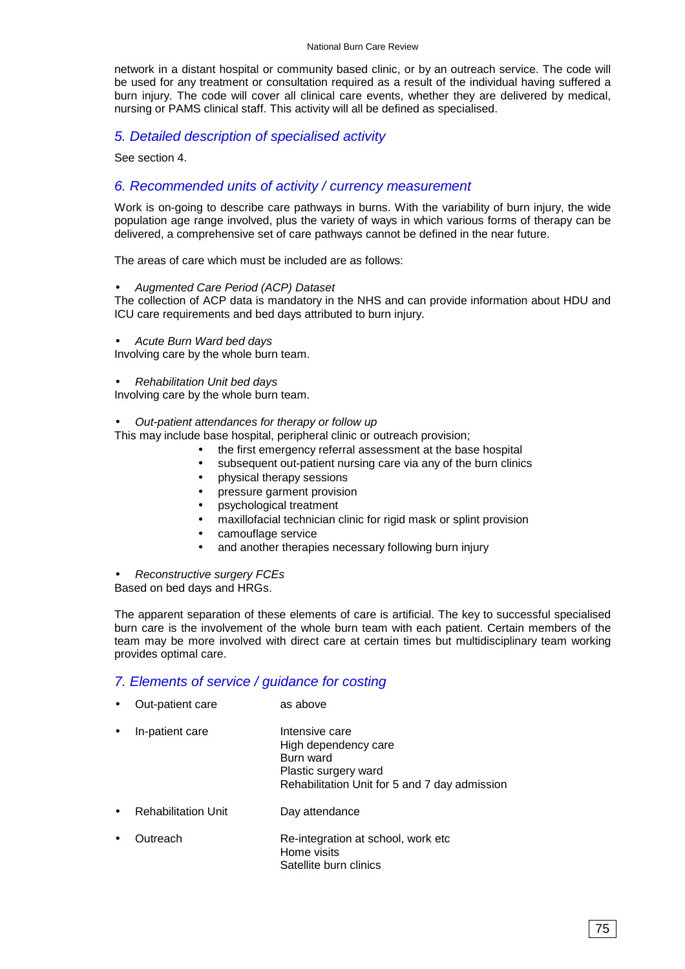network in a distant hospital or community based clinic, or by an outreach service. The code will be used for any treatment or consultation required as a result of the individual having suffered a burn injury. The code will cover all clinical care events, whether they are delivered by medical, nursing or PAMS clinical staff. This activity will all be defined as specialised.

### *5. Detailed description of specialised activity*

See section 4.

### *6. Recommended units of activity / currency measurement*

Work is on-going to describe care pathways in burns. With the variability of burn injury, the wide population age range involved, plus the variety of ways in which various forms of therapy can be delivered, a comprehensive set of care pathways cannot be defined in the near future.

The areas of care which must be included are as follows:

#### • *Augmented Care Period (ACP) Dataset*

The collection of ACP data is mandatory in the NHS and can provide information about HDU and ICU care requirements and bed days attributed to burn injury.

• *Acute Burn Ward bed days* 

Involving care by the whole burn team.

• *Rehabilitation Unit bed days* 

Involving care by the whole burn team.

• *Out-patient attendances for therapy or follow up* 

This may include base hospital, peripheral clinic or outreach provision;

- the first emergency referral assessment at the base hospital
- subsequent out-patient nursing care via any of the burn clinics
- physical therapy sessions
- pressure garment provision
- psychological treatment
- maxillofacial technician clinic for rigid mask or splint provision
- camouflage service
- and another therapies necessary following burn injury

• *Reconstructive surgery FCEs* 

Based on bed days and HRGs.

The apparent separation of these elements of care is artificial. The key to successful specialised burn care is the involvement of the whole burn team with each patient. Certain members of the team may be more involved with direct care at certain times but multidisciplinary team working provides optimal care.

## *7. Elements of service / guidance for costing*

- Out-patient care as above
- In-patient care **Intensive care**  High dependency care Burn ward Plastic surgery ward Rehabilitation Unit for 5 and 7 day admission
- Rehabilitation Unit Day attendance
- Outreach Re-integration at school, work etc Home visits Satellite burn clinics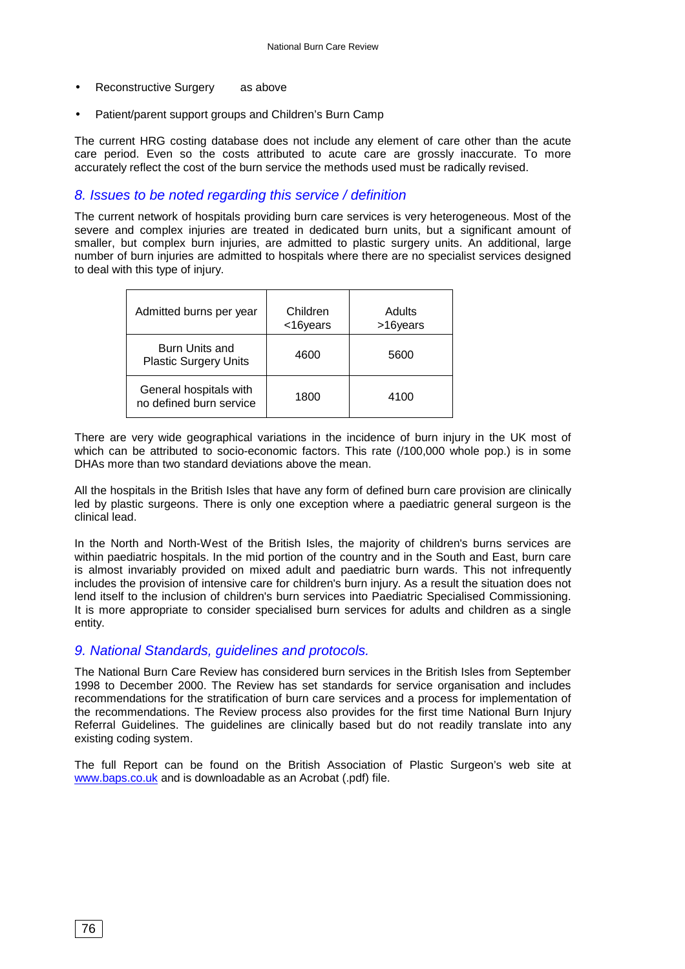- Reconstructive Surgery as above
- Patient/parent support groups and Children's Burn Camp

The current HRG costing database does not include any element of care other than the acute care period. Even so the costs attributed to acute care are grossly inaccurate. To more accurately reflect the cost of the burn service the methods used must be radically revised.

### *8. Issues to be noted regarding this service / definition*

The current network of hospitals providing burn care services is very heterogeneous. Most of the severe and complex injuries are treated in dedicated burn units, but a significant amount of smaller, but complex burn injuries, are admitted to plastic surgery units. An additional, large number of burn injuries are admitted to hospitals where there are no specialist services designed to deal with this type of injury.

| Admitted burns per year                           | Children<br><16years | Adults<br>>16years |
|---------------------------------------------------|----------------------|--------------------|
| Burn Units and<br><b>Plastic Surgery Units</b>    | 4600                 | 5600               |
| General hospitals with<br>no defined burn service | 1800                 | 4100               |

There are very wide geographical variations in the incidence of burn injury in the UK most of which can be attributed to socio-economic factors. This rate (/100,000 whole pop.) is in some DHAs more than two standard deviations above the mean.

All the hospitals in the British Isles that have any form of defined burn care provision are clinically led by plastic surgeons. There is only one exception where a paediatric general surgeon is the clinical lead.

In the North and North-West of the British Isles, the majority of children's burns services are within paediatric hospitals. In the mid portion of the country and in the South and East, burn care is almost invariably provided on mixed adult and paediatric burn wards. This not infrequently includes the provision of intensive care for children's burn injury. As a result the situation does not lend itself to the inclusion of children's burn services into Paediatric Specialised Commissioning. It is more appropriate to consider specialised burn services for adults and children as a single entity.

### *9. National Standards, guidelines and protocols.*

The National Burn Care Review has considered burn services in the British Isles from September 1998 to December 2000. The Review has set standards for service organisation and includes recommendations for the stratification of burn care services and a process for implementation of the recommendations. The Review process also provides for the first time National Burn Injury Referral Guidelines. The guidelines are clinically based but do not readily translate into any existing coding system.

The full Report can be found on the British Association of Plastic Surgeon's web site at www.baps.co.uk and is downloadable as an Acrobat (.pdf) file.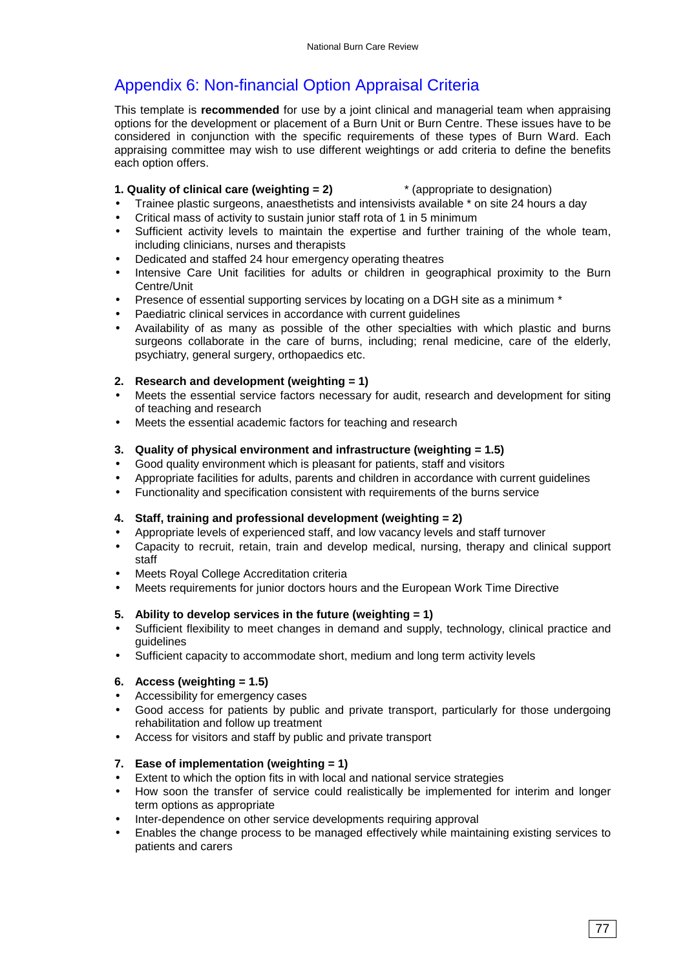# Appendix 6: Non-financial Option Appraisal Criteria

This template is **recommended** for use by a joint clinical and managerial team when appraising options for the development or placement of a Burn Unit or Burn Centre. These issues have to be considered in conjunction with the specific requirements of these types of Burn Ward. Each appraising committee may wish to use different weightings or add criteria to define the benefits each option offers.

#### **1. Quality of clinical care (weighting = 2)** \* (appropriate to designation)

- Trainee plastic surgeons, anaesthetists and intensivists available \* on site 24 hours a day
- Critical mass of activity to sustain junior staff rota of 1 in 5 minimum
- Sufficient activity levels to maintain the expertise and further training of the whole team, including clinicians, nurses and therapists
- Dedicated and staffed 24 hour emergency operating theatres
- Intensive Care Unit facilities for adults or children in geographical proximity to the Burn Centre/Unit
- Presence of essential supporting services by locating on a DGH site as a minimum \*
- Paediatric clinical services in accordance with current guidelines
- Availability of as many as possible of the other specialties with which plastic and burns surgeons collaborate in the care of burns, including; renal medicine, care of the elderly, psychiatry, general surgery, orthopaedics etc.

#### **2. Research and development (weighting = 1)**

- Meets the essential service factors necessary for audit, research and development for siting of teaching and research
- Meets the essential academic factors for teaching and research

#### **3. Quality of physical environment and infrastructure (weighting = 1.5)**

- Good quality environment which is pleasant for patients, staff and visitors
- Appropriate facilities for adults, parents and children in accordance with current guidelines
- Functionality and specification consistent with requirements of the burns service

### **4. Staff, training and professional development (weighting = 2)**

- Appropriate levels of experienced staff, and low vacancy levels and staff turnover
- Capacity to recruit, retain, train and develop medical, nursing, therapy and clinical support staff
- Meets Royal College Accreditation criteria
- Meets requirements for junior doctors hours and the European Work Time Directive

#### **5. Ability to develop services in the future (weighting = 1)**

- Sufficient flexibility to meet changes in demand and supply, technology, clinical practice and guidelines
- Sufficient capacity to accommodate short, medium and long term activity levels

### **6. Access (weighting = 1.5)**

- Accessibility for emergency cases
- Good access for patients by public and private transport, particularly for those undergoing rehabilitation and follow up treatment
- Access for visitors and staff by public and private transport

#### **7. Ease of implementation (weighting = 1)**

- Extent to which the option fits in with local and national service strategies
- How soon the transfer of service could realistically be implemented for interim and longer term options as appropriate
- Inter-dependence on other service developments requiring approval
- Enables the change process to be managed effectively while maintaining existing services to patients and carers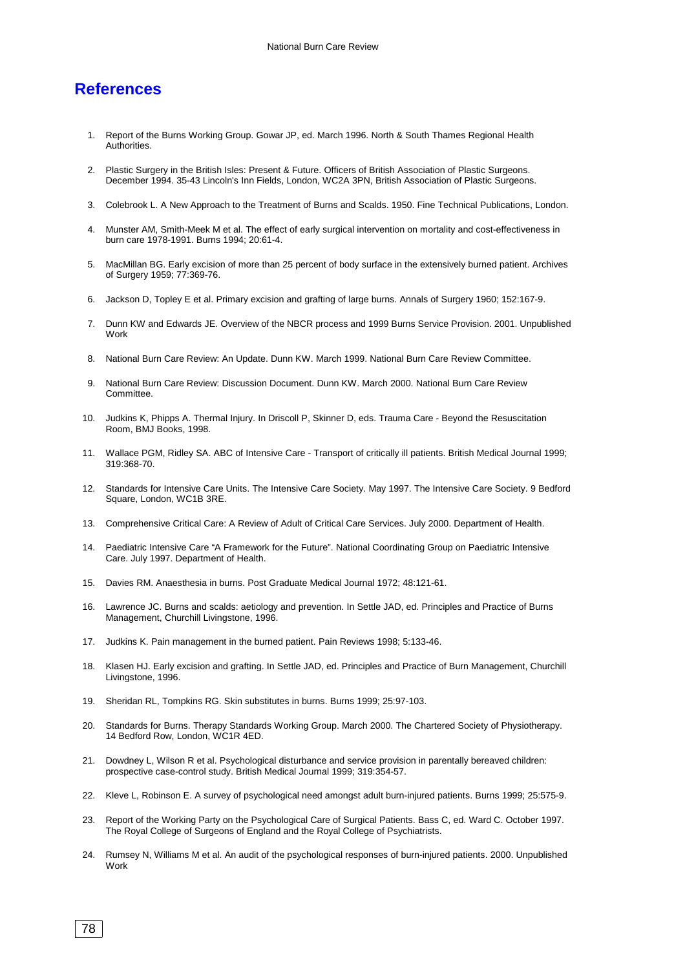## **References**

- 1. Report of the Burns Working Group. Gowar JP, ed. March 1996. North & South Thames Regional Health Authorities.
- 2. Plastic Surgery in the British Isles: Present & Future. Officers of British Association of Plastic Surgeons. December 1994. 35-43 Lincoln's Inn Fields, London, WC2A 3PN, British Association of Plastic Surgeons.
- 3. Colebrook L. A New Approach to the Treatment of Burns and Scalds. 1950. Fine Technical Publications, London.
- 4. Munster AM, Smith-Meek M et al. The effect of early surgical intervention on mortality and cost-effectiveness in burn care 1978-1991. Burns 1994; 20:61-4.
- 5. MacMillan BG. Early excision of more than 25 percent of body surface in the extensively burned patient. Archives of Surgery 1959; 77:369-76.
- 6. Jackson D, Topley E et al. Primary excision and grafting of large burns. Annals of Surgery 1960; 152:167-9.
- 7. Dunn KW and Edwards JE. Overview of the NBCR process and 1999 Burns Service Provision. 2001. Unpublished Work
- 8. National Burn Care Review: An Update. Dunn KW. March 1999. National Burn Care Review Committee.
- 9. National Burn Care Review: Discussion Document. Dunn KW. March 2000. National Burn Care Review Committee.
- 10. Judkins K, Phipps A. Thermal Injury. In Driscoll P, Skinner D, eds. Trauma Care Beyond the Resuscitation Room, BMJ Books, 1998.
- 11. Wallace PGM, Ridley SA. ABC of Intensive Care Transport of critically ill patients. British Medical Journal 1999; 319:368-70.
- 12. Standards for Intensive Care Units. The Intensive Care Society. May 1997. The Intensive Care Society. 9 Bedford Square, London, WC1B 3RE.
- 13. Comprehensive Critical Care: A Review of Adult of Critical Care Services. July 2000. Department of Health.
- 14. Paediatric Intensive Care "A Framework for the Future". National Coordinating Group on Paediatric Intensive Care. July 1997. Department of Health.
- 15. Davies RM. Anaesthesia in burns. Post Graduate Medical Journal 1972; 48:121-61.
- 16. Lawrence JC. Burns and scalds: aetiology and prevention. In Settle JAD, ed. Principles and Practice of Burns Management, Churchill Livingstone, 1996.
- 17. Judkins K. Pain management in the burned patient. Pain Reviews 1998; 5:133-46.
- 18. Klasen HJ. Early excision and grafting. In Settle JAD, ed. Principles and Practice of Burn Management, Churchill Livingstone, 1996.
- 19. Sheridan RL, Tompkins RG. Skin substitutes in burns. Burns 1999; 25:97-103.
- 20. Standards for Burns. Therapy Standards Working Group. March 2000. The Chartered Society of Physiotherapy. 14 Bedford Row, London, WC1R 4ED.
- 21. Dowdney L, Wilson R et al. Psychological disturbance and service provision in parentally bereaved children: prospective case-control study. British Medical Journal 1999; 319:354-57.
- 22. Kleve L, Robinson E. A survey of psychological need amongst adult burn-injured patients. Burns 1999; 25:575-9.
- 23. Report of the Working Party on the Psychological Care of Surgical Patients. Bass C, ed. Ward C. October 1997. The Royal College of Surgeons of England and the Royal College of Psychiatrists.
- 24. Rumsey N, Williams M et al. An audit of the psychological responses of burn-injured patients. 2000. Unpublished **Work**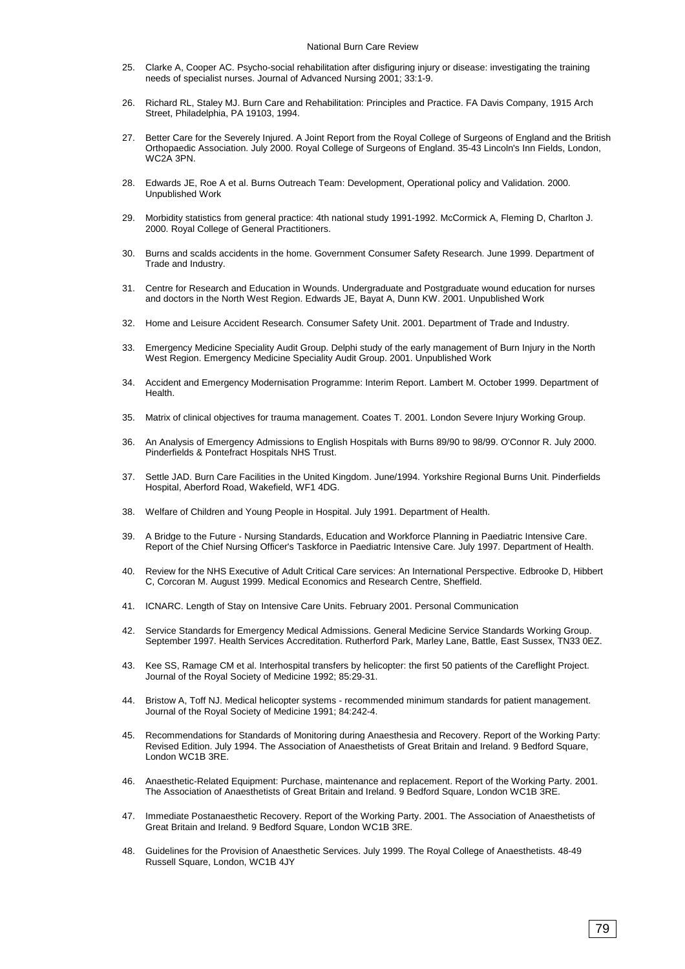- 25. Clarke A, Cooper AC. Psycho-social rehabilitation after disfiguring injury or disease: investigating the training needs of specialist nurses. Journal of Advanced Nursing 2001; 33:1-9.
- 26. Richard RL, Staley MJ. Burn Care and Rehabilitation: Principles and Practice. FA Davis Company, 1915 Arch Street, Philadelphia, PA 19103, 1994.
- 27. Better Care for the Severely Injured. A Joint Report from the Royal College of Surgeons of England and the British Orthopaedic Association. July 2000. Royal College of Surgeons of England. 35-43 Lincoln's Inn Fields, London, WC2A 3PN.
- 28. Edwards JE, Roe A et al. Burns Outreach Team: Development, Operational policy and Validation. 2000. Unpublished Work
- 29. Morbidity statistics from general practice: 4th national study 1991-1992. McCormick A, Fleming D, Charlton J. 2000. Royal College of General Practitioners.
- 30. Burns and scalds accidents in the home. Government Consumer Safety Research. June 1999. Department of Trade and Industry.
- 31. Centre for Research and Education in Wounds. Undergraduate and Postgraduate wound education for nurses and doctors in the North West Region. Edwards JE, Bayat A, Dunn KW. 2001. Unpublished Work
- 32. Home and Leisure Accident Research. Consumer Safety Unit. 2001. Department of Trade and Industry.
- 33. Emergency Medicine Speciality Audit Group. Delphi study of the early management of Burn Injury in the North West Region. Emergency Medicine Speciality Audit Group. 2001. Unpublished Work
- 34. Accident and Emergency Modernisation Programme: Interim Report. Lambert M. October 1999. Department of Health.
- 35. Matrix of clinical objectives for trauma management. Coates T. 2001. London Severe Injury Working Group.
- 36. An Analysis of Emergency Admissions to English Hospitals with Burns 89/90 to 98/99. O'Connor R. July 2000. Pinderfields & Pontefract Hospitals NHS Trust.
- 37. Settle JAD. Burn Care Facilities in the United Kingdom. June/1994. Yorkshire Regional Burns Unit. Pinderfields Hospital, Aberford Road, Wakefield, WF1 4DG.
- 38. Welfare of Children and Young People in Hospital. July 1991. Department of Health.
- 39. A Bridge to the Future Nursing Standards, Education and Workforce Planning in Paediatric Intensive Care. Report of the Chief Nursing Officer's Taskforce in Paediatric Intensive Care. July 1997. Department of Health.
- 40. Review for the NHS Executive of Adult Critical Care services: An International Perspective. Edbrooke D, Hibbert C, Corcoran M. August 1999. Medical Economics and Research Centre, Sheffield.
- 41. ICNARC. Length of Stay on Intensive Care Units. February 2001. Personal Communication
- 42. Service Standards for Emergency Medical Admissions. General Medicine Service Standards Working Group. September 1997. Health Services Accreditation. Rutherford Park, Marley Lane, Battle, East Sussex, TN33 0EZ.
- 43. Kee SS, Ramage CM et al. Interhospital transfers by helicopter: the first 50 patients of the Careflight Project. Journal of the Royal Society of Medicine 1992; 85:29-31.
- Bristow A, Toff NJ. Medical helicopter systems recommended minimum standards for patient management. Journal of the Royal Society of Medicine 1991; 84:242-4.
- 45. Recommendations for Standards of Monitoring during Anaesthesia and Recovery. Report of the Working Party: Revised Edition. July 1994. The Association of Anaesthetists of Great Britain and Ireland. 9 Bedford Square, London WC1B 3RE.
- 46. Anaesthetic-Related Equipment: Purchase, maintenance and replacement. Report of the Working Party. 2001. The Association of Anaesthetists of Great Britain and Ireland. 9 Bedford Square, London WC1B 3RE.
- 47. Immediate Postanaesthetic Recovery. Report of the Working Party. 2001. The Association of Anaesthetists of Great Britain and Ireland. 9 Bedford Square, London WC1B 3RE.
- 48. Guidelines for the Provision of Anaesthetic Services. July 1999. The Royal College of Anaesthetists. 48-49 Russell Square, London, WC1B 4JY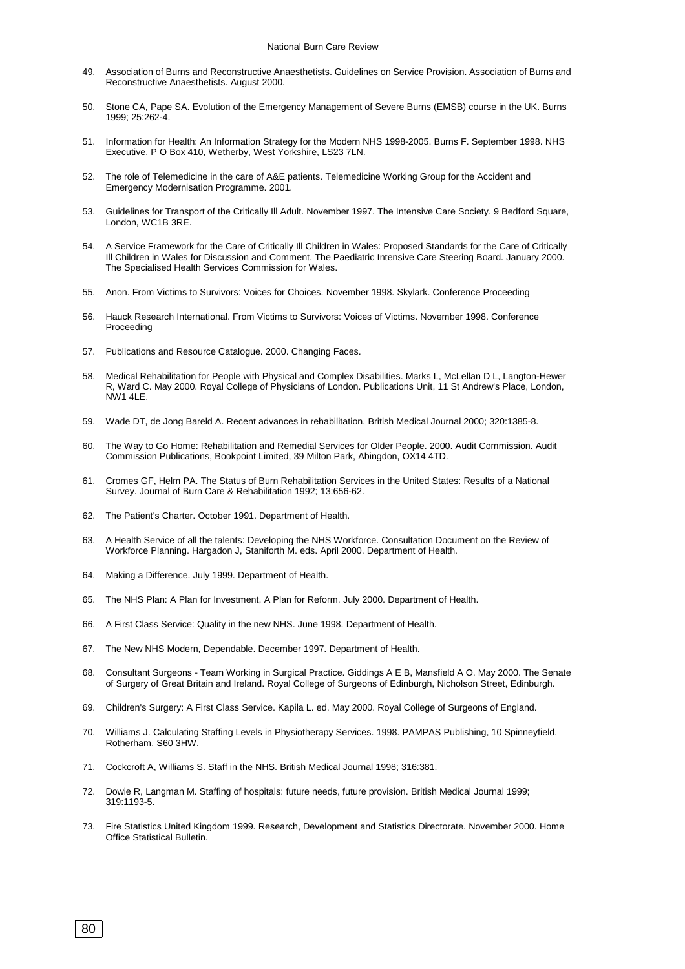- 49. Association of Burns and Reconstructive Anaesthetists. Guidelines on Service Provision. Association of Burns and Reconstructive Anaesthetists. August 2000.
- 50. Stone CA, Pape SA. Evolution of the Emergency Management of Severe Burns (EMSB) course in the UK. Burns 1999; 25:262-4.
- 51. Information for Health: An Information Strategy for the Modern NHS 1998-2005. Burns F. September 1998. NHS Executive. P O Box 410, Wetherby, West Yorkshire, LS23 7LN.
- 52. The role of Telemedicine in the care of A&E patients. Telemedicine Working Group for the Accident and Emergency Modernisation Programme. 2001.
- 53. Guidelines for Transport of the Critically Ill Adult. November 1997. The Intensive Care Society. 9 Bedford Square, London, WC1B 3RE.
- 54. A Service Framework for the Care of Critically Ill Children in Wales: Proposed Standards for the Care of Critically Ill Children in Wales for Discussion and Comment. The Paediatric Intensive Care Steering Board. January 2000. The Specialised Health Services Commission for Wales.
- 55. Anon. From Victims to Survivors: Voices for Choices. November 1998. Skylark. Conference Proceeding
- 56. Hauck Research International. From Victims to Survivors: Voices of Victims. November 1998. Conference Proceeding
- 57. Publications and Resource Catalogue. 2000. Changing Faces.
- 58. Medical Rehabilitation for People with Physical and Complex Disabilities. Marks L, McLellan D L, Langton-Hewer R, Ward C. May 2000. Royal College of Physicians of London. Publications Unit, 11 St Andrew's Place, London, NW1 4LE.
- 59. Wade DT, de Jong Bareld A. Recent advances in rehabilitation. British Medical Journal 2000; 320:1385-8.
- 60. The Way to Go Home: Rehabilitation and Remedial Services for Older People. 2000. Audit Commission. Audit Commission Publications, Bookpoint Limited, 39 Milton Park, Abingdon, OX14 4TD.
- 61. Cromes GF, Helm PA. The Status of Burn Rehabilitation Services in the United States: Results of a National Survey. Journal of Burn Care & Rehabilitation 1992; 13:656-62.
- 62. The Patient's Charter. October 1991. Department of Health.
- 63. A Health Service of all the talents: Developing the NHS Workforce. Consultation Document on the Review of Workforce Planning. Hargadon J, Staniforth M. eds. April 2000. Department of Health.
- 64. Making a Difference. July 1999. Department of Health.
- 65. The NHS Plan: A Plan for Investment, A Plan for Reform. July 2000. Department of Health.
- 66. A First Class Service: Quality in the new NHS. June 1998. Department of Health.
- 67. The New NHS Modern, Dependable. December 1997. Department of Health.
- 68. Consultant Surgeons Team Working in Surgical Practice. Giddings A E B, Mansfield A O. May 2000. The Senate of Surgery of Great Britain and Ireland. Royal College of Surgeons of Edinburgh, Nicholson Street, Edinburgh.
- 69. Children's Surgery: A First Class Service. Kapila L. ed. May 2000. Royal College of Surgeons of England.
- 70. Williams J. Calculating Staffing Levels in Physiotherapy Services. 1998. PAMPAS Publishing, 10 Spinneyfield, Rotherham, S60 3HW.
- 71. Cockcroft A, Williams S. Staff in the NHS. British Medical Journal 1998; 316:381.
- 72. Dowie R, Langman M. Staffing of hospitals: future needs, future provision. British Medical Journal 1999; 319:1193-5.
- 73. Fire Statistics United Kingdom 1999. Research, Development and Statistics Directorate. November 2000. Home Office Statistical Bulletin.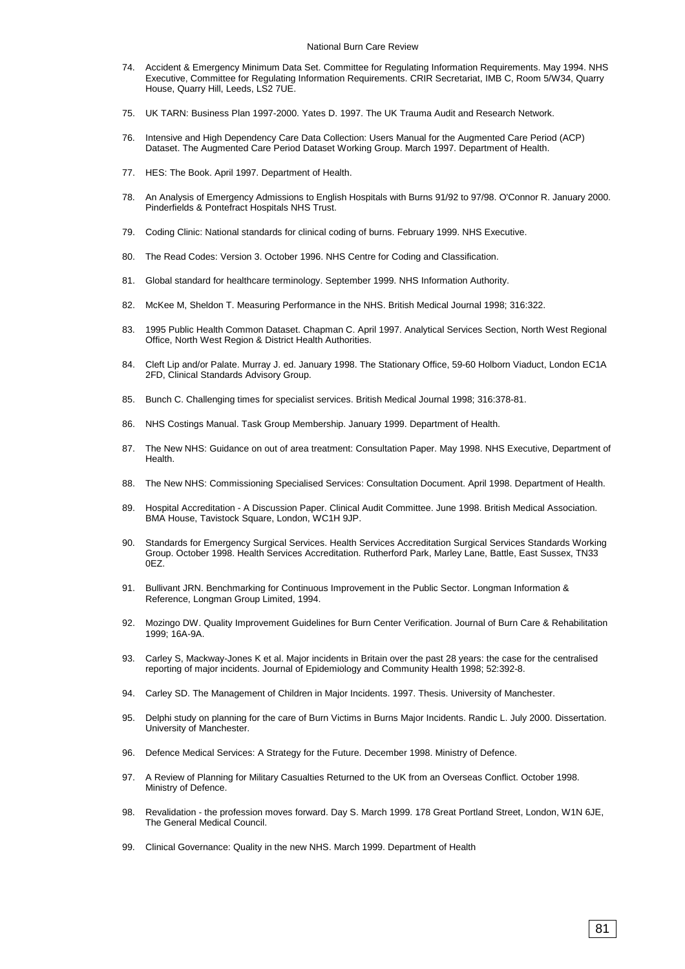- 74. Accident & Emergency Minimum Data Set. Committee for Regulating Information Requirements. May 1994. NHS Executive, Committee for Regulating Information Requirements. CRIR Secretariat, IMB C, Room 5/W34, Quarry House, Quarry Hill, Leeds, LS2 7UE.
- UK TARN: Business Plan 1997-2000. Yates D. 1997. The UK Trauma Audit and Research Network.
- 76. Intensive and High Dependency Care Data Collection: Users Manual for the Augmented Care Period (ACP) Dataset. The Augmented Care Period Dataset Working Group. March 1997. Department of Health.
- 77. HES: The Book. April 1997. Department of Health.
- 78. An Analysis of Emergency Admissions to English Hospitals with Burns 91/92 to 97/98. O'Connor R. January 2000. Pinderfields & Pontefract Hospitals NHS Trust.
- 79. Coding Clinic: National standards for clinical coding of burns. February 1999. NHS Executive.
- 80. The Read Codes: Version 3. October 1996. NHS Centre for Coding and Classification.
- 81. Global standard for healthcare terminology. September 1999. NHS Information Authority.
- 82. McKee M, Sheldon T. Measuring Performance in the NHS. British Medical Journal 1998; 316:322.
- 83. 1995 Public Health Common Dataset. Chapman C. April 1997. Analytical Services Section, North West Regional Office, North West Region & District Health Authorities.
- 84. Cleft Lip and/or Palate. Murray J. ed. January 1998. The Stationary Office, 59-60 Holborn Viaduct, London EC1A 2FD, Clinical Standards Advisory Group.
- 85. Bunch C. Challenging times for specialist services. British Medical Journal 1998; 316:378-81.
- 86. NHS Costings Manual. Task Group Membership. January 1999. Department of Health.
- 87. The New NHS: Guidance on out of area treatment: Consultation Paper. May 1998. NHS Executive, Department of Health.
- 88. The New NHS: Commissioning Specialised Services: Consultation Document. April 1998. Department of Health.
- 89. Hospital Accreditation A Discussion Paper. Clinical Audit Committee. June 1998. British Medical Association. BMA House, Tavistock Square, London, WC1H 9JP.
- 90. Standards for Emergency Surgical Services. Health Services Accreditation Surgical Services Standards Working Group. October 1998. Health Services Accreditation. Rutherford Park, Marley Lane, Battle, East Sussex, TN33 0EZ.
- 91. Bullivant JRN. Benchmarking for Continuous Improvement in the Public Sector. Longman Information & Reference, Longman Group Limited, 1994.
- 92. Mozingo DW. Quality Improvement Guidelines for Burn Center Verification. Journal of Burn Care & Rehabilitation 1999; 16A-9A.
- 93. Carley S, Mackway-Jones K et al. Major incidents in Britain over the past 28 years: the case for the centralised reporting of major incidents. Journal of Epidemiology and Community Health 1998; 52:392-8.
- 94. Carley SD. The Management of Children in Major Incidents. 1997. Thesis. University of Manchester.
- 95. Delphi study on planning for the care of Burn Victims in Burns Major Incidents. Randic L. July 2000. Dissertation. University of Manchester.
- 96. Defence Medical Services: A Strategy for the Future. December 1998. Ministry of Defence.
- 97. A Review of Planning for Military Casualties Returned to the UK from an Overseas Conflict. October 1998. Ministry of Defence.
- 98. Revalidation the profession moves forward. Day S. March 1999. 178 Great Portland Street, London, W1N 6JE, The General Medical Council.
- 99. Clinical Governance: Quality in the new NHS. March 1999. Department of Health